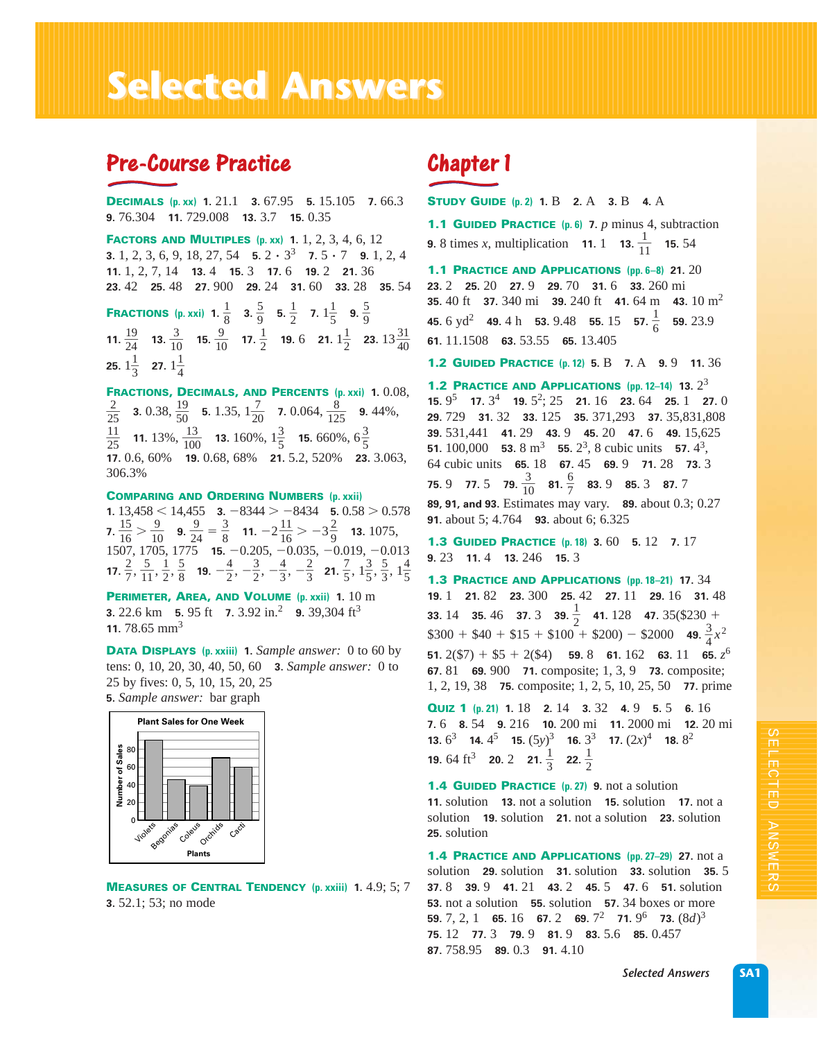# **Selected Answers Selected Answers**

### **Pre-Course Practice**

4 -

**DECIMALS (p. xx) 1.** 21.1 **3.** 67.95 **5.** 15.105 **7.** 66.3 **9.** 76.304 **11.** 729.008 **13.** 3.7 **15.** 0.35

**FACTORS AND MULTIPLES (p. xx) 1.** 1, 2, 3, 4, 6, 12 **3.** 1, 2, 3, 6, 9, 18, 27, 54 **5.**  $2 \cdot 3^3$  **7.**  $5 \cdot 7$  **9.** 1, 2, 4 **11.** 1, 2, 7, 14 **13.** 4 **15.** 3 **17.** 6 **19.** 2 **21.** 36 **23.** 42 **25.** 48 **27.** 900 **29.** 24 **31.** 60 **33.** 28 **35.** 54 **FRACTIONS** (p. xxi) 1.  $\frac{1}{8}$  $\frac{1}{8}$  **3.**  $\frac{5}{9}$  $\frac{5}{9}$  **5.**  $\frac{1}{2}$  $\frac{1}{2}$  **7.**  $1\frac{1}{5}$  $\frac{1}{5}$  **9.**  $\frac{5}{9}$ 9 - **11.**  $\frac{1}{2}$ 2 9  $\frac{2}{4}$  **13.**  $\frac{1}{1}$ 3  $\frac{1}{0}$  **15.**  $\frac{3}{1}$ 9  $\frac{9}{0}$  **17.**  $\frac{1}{2}$  $\frac{1}{2}$  **19.** 6 **21.**  $1\frac{1}{2}$  $\frac{1}{2}$  **23.** 13 $\frac{3}{4}$ 4 1  $\overline{0}$ **25.**  $1\frac{1}{2}$  $\frac{1}{3}$  **27.**  $1\frac{1}{4}$ 

**FRACTIONS, DECIMALS, AND PERCENTS (p. xxi) 1.** 0.08, -2 2  $\frac{2}{5}$  **3.** 0.38,  $\frac{1}{5}$ 5 9  $\frac{5}{0}$  **5.** 1.35,  $1\frac{1}{2}$ 7  $\frac{1}{0}$  **7.** 0.064,  $\frac{1}{12}$  $\frac{8}{25}$  **9.** 44%,  $\frac{1}{2}$ 2 1  $\frac{1}{5}$  **11.** 13%,  $\frac{1}{10}$ 1 0 3  $\frac{3}{00}$  **13.** 160%, 1 $\frac{3}{5}$  $\frac{3}{5}$  **15.** 660%, 6 $\frac{3}{5}$ 5 - **17.** 0.6, 60% **19.** 0.68, 68% **21.** 5.2, 520% **23.** 3.063, 306.3%

#### **COMPARING AND ORDERING NUMBERS (p. xxii)**

**1.**  $13,458 \le 14,455$  **3.**  $-8344 \ge -8434$  **5.**  $0.58 \ge 0.578$  $7. \frac{1}{1}$ 1 5  $\frac{3}{6} > \frac{3}{1}$ 9  $\frac{2}{0}$  **9.**  $\frac{3}{2}$ 9  $\frac{9}{4} = \frac{3}{8}$  $\frac{3}{8}$  **11.**  $-2\frac{1}{1}$ 1 1  $\frac{1}{6}$  >  $-3\frac{2}{9}$  $\frac{2}{9}$  **13.** 1075,  $1507, 1705, 1775$  **15.**  $-0.205, -0.035, -0.019, -0.013$ **17.**  $\frac{2}{7}$  $\frac{2}{7}, \frac{1}{1}$ 5  $\frac{5}{1}, \frac{1}{2}$  $\frac{1}{2}$ ,  $\frac{5}{8}$  $\frac{5}{8}$  **19.**  $-\frac{4}{2}$  $\frac{4}{2}, -\frac{3}{2}$  $\frac{3}{2}, -\frac{4}{3}$  $\frac{4}{3}, -\frac{2}{3}$  $\frac{2}{3}$  **21.**  $\frac{7}{5}$  $\frac{7}{5}$ ,  $1\frac{3}{5}$  $\frac{3}{5}, \frac{5}{3}$  $\frac{5}{3}$ ,  $1\frac{4}{5}$ 5 -

**PERIMETER, AREA, AND VOLUME (p. xxii) 1.** 10 m **3.** 22.6 km **5.** 95 ft **7.** 3.92 in.2 **9.** 39,304 ft<sup>3</sup> **11.** 78.65 mm3

**DATA DISPLAYS (p. xxiii) 1.** *Sample answer:* 0 to 60 by tens: 0, 10, 20, 30, 40, 50, 60 **3.** *Sample answer:* 0 to 25 by fives: 0, 5, 10, 15, 20, 25 **5.** *Sample answer:* bar graph



#### **MEASURES OF CENTRAL TENDENCY (p. xxiii) 1.** 4.9; 5; 7 **3.** 52.1; 53; no mode

### **Chapter 1**

**STUDY GUIDE (p. 2) 1.** B **2.** A **3.** B **4.** A **1.1 GUIDED PRACTICE (p. 6) 7.** *p* minus 4, subtraction **9.** 8 times *x*, multiplication **11.** 1 **13.**  $\frac{1}{1}$ 1  $\frac{1}{1}$  **15.** 54 **1.1 PRACTICE AND APPLICATIONS (pp. 6–8) 21.** 20 **23.** 2 **25.** 20 **27.** 9 **29.** 70 **31.** 6 **33.** 260 mi **35.** 40 ft **37.** 340 mi **39.** 240 ft **41.** 64 m **43.** 10 m2 **45.** 6 yd<sup>2</sup> **49.** 4 h **53.** 9.48 **55.** 15 **57.**  $\frac{1}{6}$  $\frac{1}{6}$  **59.** 23.9 **61.** 11.1508 **63.** 53.55 **65.** 13.405

**1.2 GUIDED PRACTICE (p. 12) 5.** B **7.** A **9.** 9 **11.** 36

**1.2 PRACTICE AND APPLICATIONS (pp. 12–14) 13.** 23 **15.** 95 **17.** 34 **19.** 52 ; 25 **21.** 16 **23.** 64 **25.** 1 **27.** 0 **29.** 729 **31.** 32 **33.** 125 **35.** 371,293 **37.** 35,831,808 **39.** 531,441 **41.** 29 **43.** 9 **45.** 20 **47.** 6 **49.** 15,625 **51.** 100,000 **53.** 8  $\text{m}^3$  **55.** 2<sup>3</sup>, 8 cubic units **57.** 4<sup>3</sup>, 64 cubic units **65.** 18 **67.** 45 **69.** 9 **71.** 28 **73.** 3 **75.** 9 **77.** 5 **79.** -1 3  $\frac{3}{0}$  **81.**  $\frac{6}{7}$  $\frac{6}{7}$  **83.** 9 **85.** 3 **87.** 7 **89, 91, and 93.** Estimates may vary. **89.** about 0.3; 0.27 **91.** about 5; 4.764 **93.** about 6; 6.325

**1.3 GUIDED PRACTICE (p. 18) 3.** 60 **5.** 12 **7.** 17 **9.** 23 **11.** 4 **13.** 246 **15.** 3

**1.3 PRACTICE AND APPLICATIONS (pp. 18–21) 17.** 34 **19.** 1 **21.** 82 **23.** 300 **25.** 42 **27.** 11 **29.** 16 **31.** 48 **33.** 14 **35.** 46 **37.** 3 **39.**  $\frac{1}{2}$  $\frac{1}{2}$  **41.** 128 **47.** 35(\$230 +  $$300 + $40 + $15 + $100 + $200$  - \$2000 **49.**  $\frac{3}{4}$  $\frac{3}{4}x^2$ **51.**  $2(\text{$}57) + \text{$}55 + 2(\text{$}4)$  **59.** 8 **61.** 162 **63.** 11 **65.**  $z^6$ **67.** 81 **69.** 900 **71.** composite; 1, 3, 9 **73.** composite; 1, 2, 19, 38 **75.** composite; 1, 2, 5, 10, 25, 50 **77.** prime

**QUIZ 1 (p. 21) 1.** 18 **2.** 14 **3.** 32 **4.** 9 **5.** 5 **6.** 16 **7.** 6 **8.** 54 **9.** 216 **10.** 200 mi **11.** 2000 mi **12.** 20 mi **13.**  $6^3$  **14.**  $4^5$  **15.**  $(5y)^3$  **16.**  $3^3$  **17.**  $(2x)^4$  **18.**  $8^2$ **19.** 64 ft<sup>3</sup> **20.** 2 **21.**  $\frac{1}{2}$  $\frac{1}{3}$  **22.**  $\frac{1}{2}$ 2 -

**1.4 GUIDED PRACTICE (p. 27) 9.** not a solution **11.** solution **13.** not a solution **15.** solution **17.** not a solution **19.** solution **21.** not a solution **23.** solution **25.** solution

**1.4 PRACTICE AND APPLICATIONS (pp. 27–29) 27.** not a solution **29.** solution **31.** solution **33.** solution **35.** 5 **37.** 8 **39.** 9 **41.** 21 **43.** 2 **45.** 5 **47.** 6 **51.** solution **53.** not a solution **55.** solution **57.** 34 boxes or more **59.** 7, 2, 1 **65.** 16 **67.** 2 **69.**  $7^2$  **71.**  $9^6$  **73.**  $(8d)^3$ **75.** 12 **77.** 3 **79.** 9 **81.** 9 **83.** 5.6 **85.** 0.457 **87.** 758.95 **89.** 0.3 **91.** 4.10

*Selected Answers* **SA1**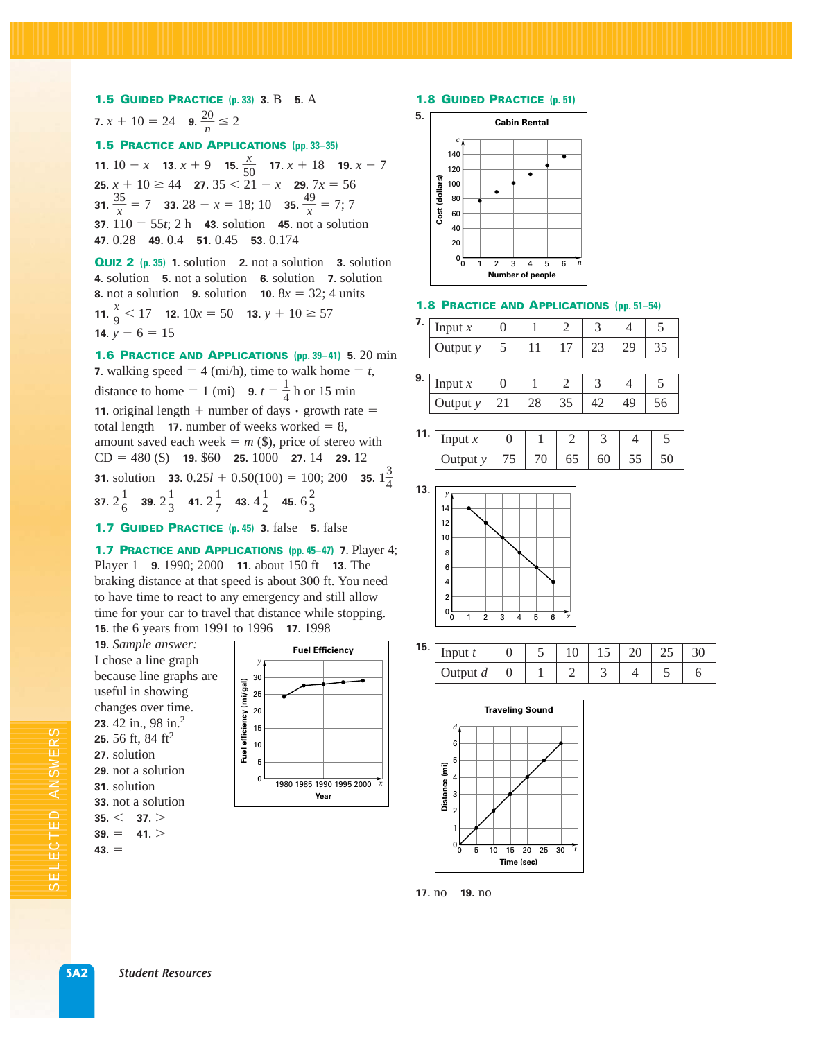#### **1.5 GUIDED PRACTICE (p. 33) 3.** B **5.** A **7.**  $x + 10 = 24$  **9.**  $\frac{2}{3}$ *n*  $\frac{0}{1} \leq 2$

#### **1.5 PRACTICE AND APPLICATIONS (pp. 33–35)**

**11.**  $10 - x$  **13.**  $x + 9$  **15.**  $\frac{3}{5}$ *x*  $\frac{6}{0}$  **17.** *x* + 18 **19.** *x* - 7 **25.**  $x + 10 \ge 44$  **27.**  $35 < 21 - x$  **29.**  $7x = 56$  $31.\frac{3}{7}$ *x*  $\frac{5}{x}$  = 7 **33.** 28 - x = 18; 10 **35.**  $\frac{4}{x}$ *x*  $\frac{9}{4}$  = 7; 7 **37.**  $110 = 55t$ ; 2 h **43.** solution **45.** not a solution **47.** 0.28 **49.** 0.4 **51.** 0.45 **53.** 0.174

**QUIZ 2 (p. 35) 1.** solution **2.** not a solution **3.** solution **4.** solution **5.** not a solution **6.** solution **7.** solution **8.** not a solution **9.** solution **10.**  $8x = 32$ ; 4 units **11.**  $\frac{\pi}{9}$  $\frac{x}{6}$  < 17 **12.**  $10x = 50$  **13.**  $y + 10 \ge 57$ **14.**  $y - 6 = 15$ 

**1.6 PRACTICE AND APPLICATIONS (pp. 39–41) 5.** 20 min **7.** walking speed  $= 4$  (mi/h), time to walk home  $= t$ , distance to home = 1 (mi) **9.**  $t = \frac{1}{4}$  $rac{1}{4}$  h or 15 min **11.** original length  $+$  number of days  $\cdot$  growth rate  $=$ total length **17.** number of weeks worked  $= 8$ , amount saved each week  $= m$  (\$), price of stereo with  $CD = 480$  (\$) **19.** \$60 **25.** 1000 **27.** 14 **29.** 12 **31.** solution **33.**  $0.25l + 0.50(100) = 100$ ; 200 **35.**  $1\frac{3}{4}$ 4 - **37.**  $2\frac{1}{6}$  $\frac{1}{6}$  **39.**  $2\frac{1}{3}$  $\frac{1}{3}$  **41.**  $2\frac{1}{7}$  $\frac{1}{7}$  **43.**  $4\frac{1}{2}$  $\frac{1}{2}$  **45.**  $6\frac{2}{3}$ 3 - **1.7 GUIDED PRACTICE (p. 45) 3.** false **5.** false

**1.7 PRACTICE AND APPLICATIONS (pp. 45–47) 7.** Player 4; Player 1 **9.** 1990; 2000 **11.** about 150 ft **13.** The braking distance at that speed is about 300 ft. You need to have time to react to any emergency and still allow time for your car to travel that distance while stopping. **15.** the 6 years from 1991 to 1996 **17.** 1998

**19.** *Sample answer:* I chose a line graph because line graphs are useful in showing changes over time. **23.** 42 in., 98 in.2 **25.** 56 ft, 84 ft<sup>2</sup> **27.** solution **29.** not a solution **31.** solution **33.** not a solution  $35. < 37. >$  $39. = 41. >$ **43.**



#### **1.8 GUIDED PRACTICE (p. 51)**

**5.**



#### **1.8 PRACTICE AND APPLICATIONS (pp. 51–54)**

| , | Input $x$  |  |  |  |
|---|------------|--|--|--|
|   | Output $y$ |  |  |  |

| 9. | Input $x$  |  |  |  |  |
|----|------------|--|--|--|--|
|    | Output $y$ |  |  |  |  |

| 11. | Input $x$ | U                        |   |    | ٠  |  |
|-----|-----------|--------------------------|---|----|----|--|
|     | Output    | $\overline{\phantom{a}}$ | v | υJ | vv |  |

**13.**



| 15. | Input $t$ |   |  |  |  |
|-----|-----------|---|--|--|--|
|     | Output d  | ັ |  |  |  |

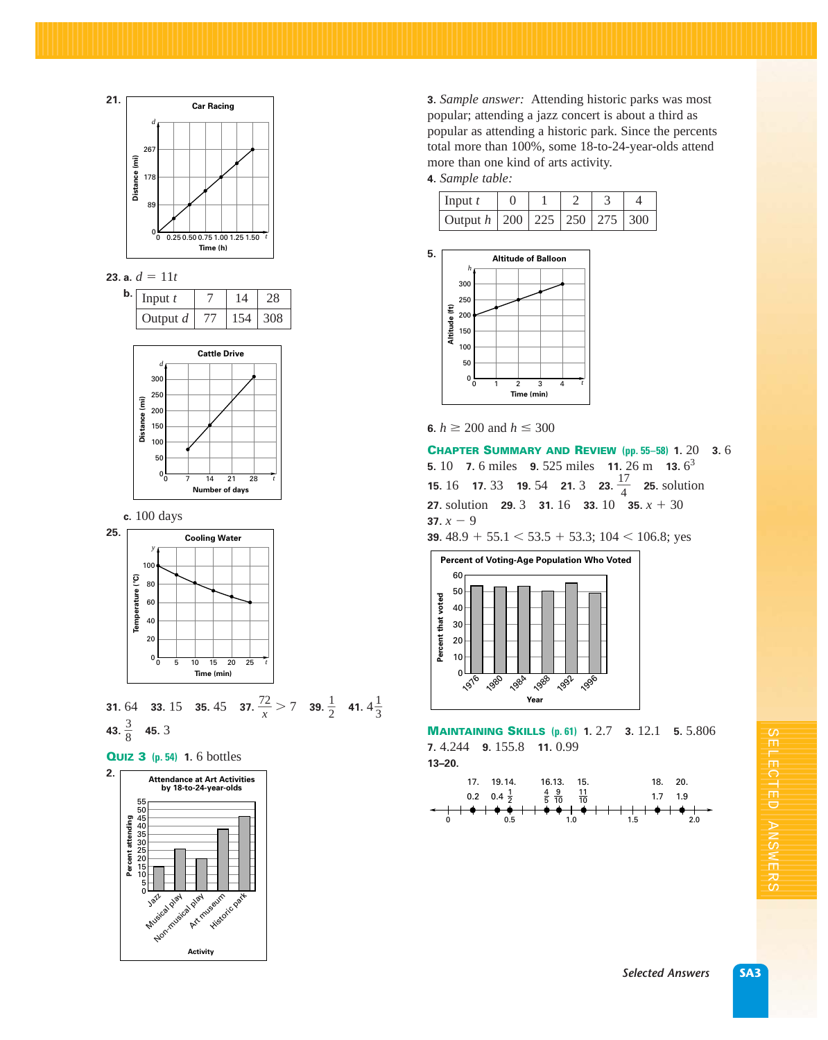



**3.** *Sample answer:* Attending historic parks was most popular; attending a jazz concert is about a third as popular as attending a historic park. Since the percents total more than 100%, some 18-to-24-year-olds attend more than one kind of arts activity.

|  | 4. Sample table: |  |
|--|------------------|--|
|--|------------------|--|

| Input $t$                                |  |  |  |
|------------------------------------------|--|--|--|
| Output $h   200   225   250   275   300$ |  |  |  |



**6.**  $h \ge 200$  and  $h \le 300$ 

3 -

**CHAPTER SUMMARY AND REVIEW (pp. 55–58) 1.** 20 **3.** 6 **5.** 10 **7.** 6 miles **9.** 525 miles **11.** 26 m **13.** 63 **15.** 16 **17.** 33 **19.** 54 **21.** 3 **23.** - $\frac{1}{\sqrt{2}}$ 4  $\frac{7}{1}$  **25.** solution **27.** solution **29.** 3 **31.** 16 **33.** 10 **35.**  $x + 30$ **37.**  $x - 9$ **39.**  $48.9 + 55.1 < 53.5 + 53.3$ ;  $104 < 106.8$ ; yes







SELECTED ANSWERS SELECTED ANSWERS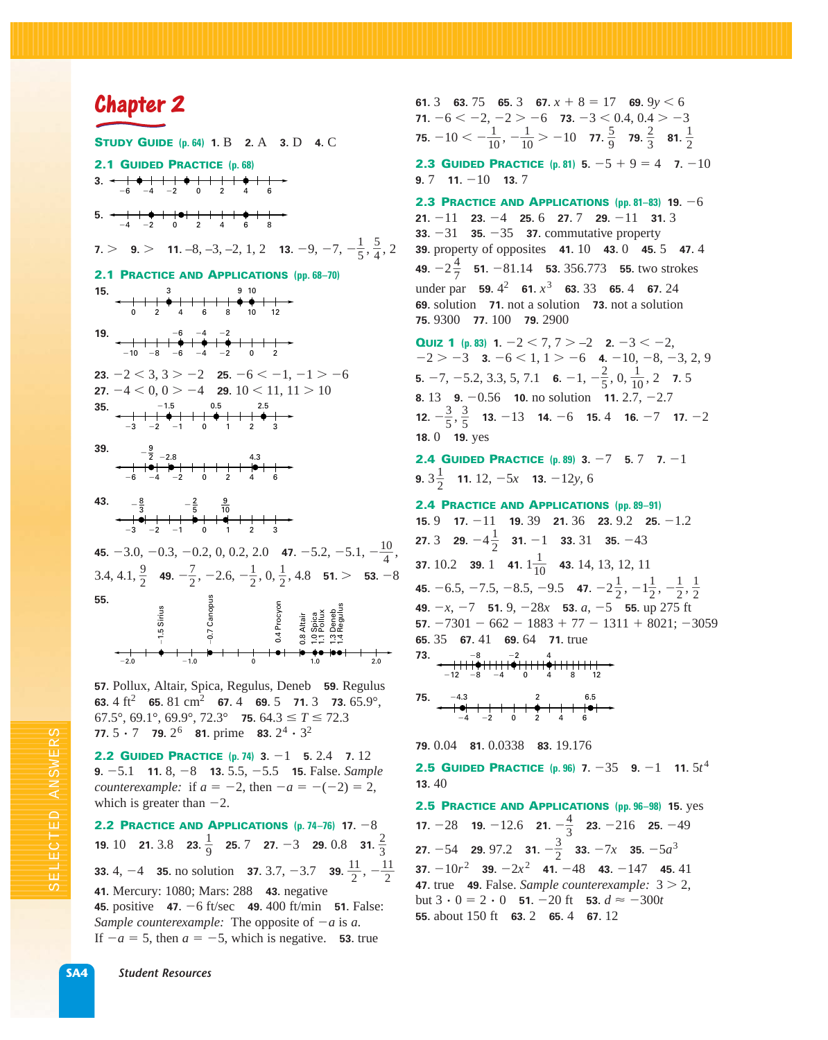### **Chapter 2**

**STUDY GUIDE** (p. 64) 1. B 2. A 3. D 4. C

2.1 GUIDED PRACTICE (p. 68) 3.  $\leftarrow$   $\bullet$   $\rightarrow$   $\bullet$   $\rightarrow$   $\rightarrow$ 5.  $\leftarrow$   $\leftarrow$   $\leftarrow$   $\leftarrow$   $\leftarrow$   $\leftarrow$   $\leftarrow$   $\leftarrow$   $\leftarrow$   $\leftarrow$   $\leftarrow$   $\leftarrow$   $\leftarrow$   $\leftarrow$   $\leftarrow$   $\leftarrow$   $\leftarrow$   $\leftarrow$   $\leftarrow$   $\leftarrow$   $\leftarrow$   $\leftarrow$   $\leftarrow$   $\leftarrow$   $\leftarrow$   $\leftarrow$   $\leftarrow$   $\leftarrow$   $\leftarrow$   $\leftarrow$   $\leftarrow$   $\leftarrow$   $\leftarrow$   $\leftarrow$   $\leftarrow$   $\leftarrow$   $\$ 7. > 9. > 11. -8, -3, -2, 1, 2 13. -9, -7,  $-\frac{1}{5}$ ,  $\frac{5}{4}$ , 2

#### 2.1 PRACTICE AND APPLICATIONS (pp. 68-70)

 $\begin{array}{c|cccc}\n & & 3 & & 9 & 10 \\
\hline\n\bullet & & & & \\
0 & 2 & 4 & 6 & 8 & 10 & 12\n\end{array}$ 19.  $-6$  -4 -2<br>-10 -8 -6 -4 -2 0 2









57. Pollux, Altair, Spica, Regulus, Deneb 59. Regulus 63. 4 ft<sup>2</sup> 65. 81 cm<sup>2</sup> 67. 4 69. 5 71. 3 73. 65.9°, 67.5°, 69.1°, 69.9°, 72.3° **75.** 64.3  $\leq T \leq 72.3$ 77.5 · 7 79.2<sup>6</sup> 81. prime 83.2<sup>4</sup> · 3<sup>2</sup>

**2.2 GUIDED PRACTICE** (p. 74)  $3. -1$  5. 2.4 7. 12 **9.**  $-5.1$  **11.** 8,  $-8$  **13.** 5.5,  $-5.5$  **15.** False. Sample *counterexample:* if  $a = -2$ , then  $-a = -(-2) = 2$ , which is greater than  $-2$ .

**2.2 PRACTICE AND APPLICATIONS (p. 74-76) 17.**  $-8$ **19.** 10 **21.** 3.8 **23.**  $\frac{1}{9}$  **25.** 7 **27.** -3 **29.** 0.8 **31.**  $\frac{2}{3}$ **33.** 4, -4 **35.** no solution **37.** 3.7, -3.7 **39.**  $\frac{11}{2}$ , - $\frac{11}{2}$ 41. Mercury: 1080; Mars: 288 43. negative 45. positive  $47. -6$  ft/sec  $49.400$  ft/min  $51.$  False: Sample counterexample: The opposite of  $-a$  is a. If  $-a = 5$ , then  $a = -5$ , which is negative. **53**. true

61. 3 63. 75 65. 3 67.  $x + 8 = 17$  69.  $9y < 6$ 71.  $-6 < -2, -2 > -6$  73.  $-3 < 0.4, 0.4 > -3$ 75.  $-10 < -\frac{1}{10}$ ,  $-\frac{1}{10} > -10$  77.  $\frac{5}{9}$  79.  $\frac{2}{3}$  81.  $\frac{1}{2}$ 

**2.3 GUIDED PRACTICE** (p. 81) 5.  $-5 + 9 = 4$  7.  $-10$ 9. 7 11.  $-10$  13. 7

**2.3 PRACTICE AND APPLICATIONS** (pp. 81-83) 19.  $-6$ 21.  $-11$  23.  $-4$  25. 6 27. 7 29.  $-11$  31. 3 33.  $-31$  35.  $-35$  37 commutative property **39.** property of opposites 41. 10 43. 0 45. 5 47. 4 49.  $-2\frac{4}{7}$  51.  $-81.14$  53. 356.773 55. two strokes under par  $\begin{array}{cccc} 59.4^2 & 61. x^3 & 63.33 & 65.4 & 67.24 \end{array}$ 69. solution 71. not a solution 73. not a solution 75.9300 77.100 79.2900

QUIZ 1 (p. 83) 1.  $-2 < 7, 7 > -2$  2.  $-3 < -2,$  $-2 > -3$  3.  $-6 < 1, 1 > -6$  4.  $-10, -8, -3, 2, 9$ <br>5.  $-7, -5.2, 3.3, 5, 7.1$  6.  $-1, -\frac{2}{5}, 0, \frac{1}{10}, 2$  7. 5 **8.** 13 **9.**  $-0.56$  **10.** no solution **11.** 2.7,  $-2.7$ **12.**  $-\frac{3}{5}, \frac{3}{5}$  **13.** -13 **14.** -6 **15.** 4 **16.** -7 **17.** -2 18.  $0$  19. yes

**2.4 GUIDED PRACTICE** (p. 89) 3. -7 5. 7 7. -1 **9.**  $3\frac{1}{2}$  **11.** 12,  $-5x$  **13.**  $-12y$ , 6

#### 2.4 PRACTICE AND APPLICATIONS (pp. 89-91)

**15.** 9 **17.**  $-11$  **19.** 39 **21.** 36 **23.** 9.2 **25.**  $-1.2$ **27.** 3 **29.**  $-4\frac{1}{2}$  **31.**  $-1$  **33.** 31 **35.**  $-43$ **37.** 10.2 **39.** 1 **41.**  $1\frac{1}{10}$  **43.** 14, 13, 12, 11 45. –6.5, –7.5, –8.5, –9.5 47. –2 $\frac{1}{2}$ , –1 $\frac{1}{2}$ , – $\frac{1}{2}$ ,  $\frac{1}{2}$ 49.  $-x$ ,  $-7$  51. 9,  $-28x$  53. a,  $-5$  55. up 275 ft 57.  $-7301 - 662 - 1883 + 77 - 1311 + 8021$ ;  $-3059$ 65.35 67.41 69.64 71. true 73.  $-8$   $-2$  4

$$
-12 \t-8 \t-4 \t0 \t4 \t8 \t12
$$
  
75. -4.3 2 6.5

79. 0.04 81. 0.0338 83. 19.176

**2.5 GUIDED PRACTICE** (p. 96) 7. -35 9. -1 11.  $5t^4$  $13.40$ 

2.5 PRACTICE AND APPLICATIONS (pp. 96-98) 15. yes **17.** -28 **19.** -12.6 **21.** - $\frac{4}{3}$  **23.** -216 **25.** -49 **27.** -54 **29.** 97.2 **31.**  $-\frac{3}{2}$  **33.** -7x **35.** -5a<sup>3</sup> 37.  $-10r^2$  39.  $-2x^2$  41.  $-48$  43.  $-147$  45. 41 47. true 49. False. Sample counterexample:  $3 > 2$ , but  $3 \cdot 0 = 2 \cdot 0$  51. -20 ft 53.  $d \approx -300t$ **55.** about 150 ft **63.** 2 **65.** 4 **67.** 12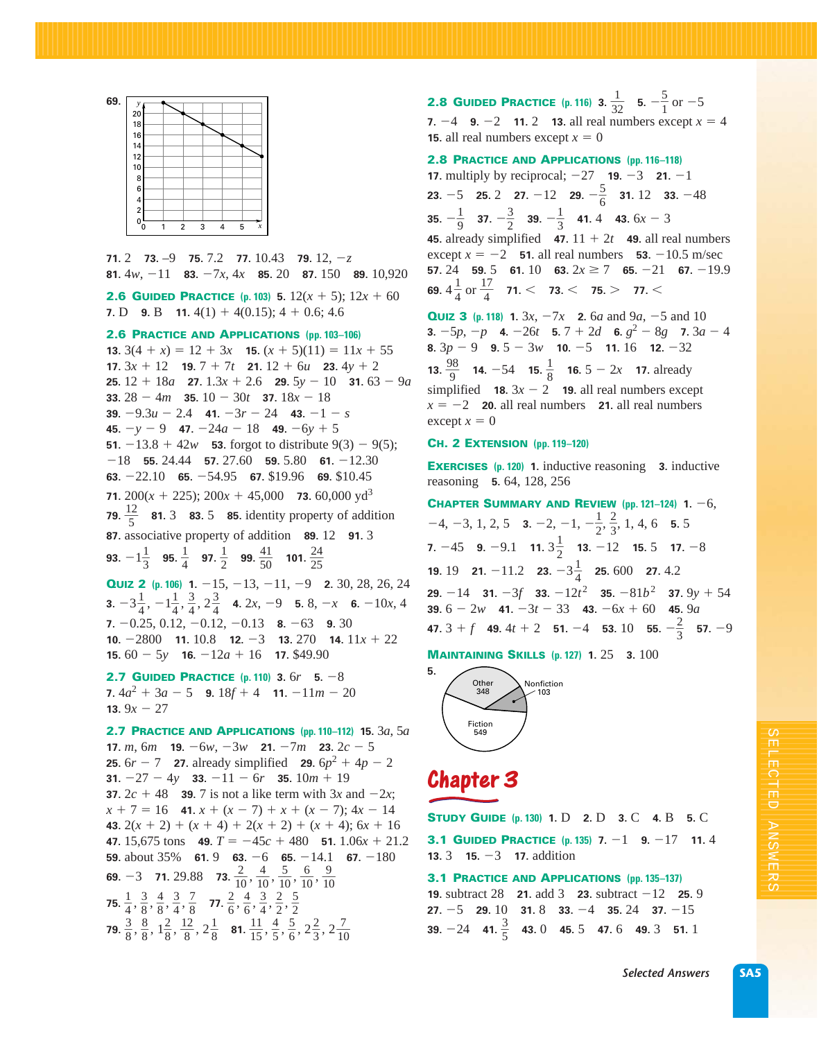

71. 2 73. -9 75. 7.2 77. 10.43 79. 12,  $-z$ **81.**  $4w$ ,  $-11$  **83.**  $-7x$ ,  $4x$  **85.** 20 **87.** 150 **89.** 10,920 **2.6 GUIDED PRACTICE** (p. 103) 5.  $12(x + 5)$ ;  $12x + 60$ 7. D 9. B 11.  $4(1) + 4(0.15)$ ; 4 + 0.6; 4.6

#### 2.6 PRACTICE AND APPLICATIONS (pp. 103-106)

**13.**  $3(4 + x) = 12 + 3x$  **15.**  $(x + 5)(11) = 11x + 55$ 17.  $3x + 12$  19.  $7 + 7t$  21.  $12 + 6u$  23.  $4y + 2$ **25.**  $12 + 18a$  **27.**  $1.3x + 2.6$  **29.**  $5y - 10$  **31.**  $63 - 9a$ 33.  $28 - 4m$  35.  $10 - 30t$  37.  $18x - 18$ **39.**  $-9.3u - 2.4$  **41.**  $-3r - 24$  **43.**  $-1 - s$ 45.  $-y - 9$  47.  $-24a - 18$  49.  $-6y + 5$ **51.**  $-13.8 + 42w$  **53.** forgot to distribute 9(3) - 9(5);  $-18$  55. 24.44 57. 27.60 59. 5.80 61.  $-12.30$ 63.  $-22.10$  65.  $-54.95$  67. \$19.96 69. \$10.45 **71.** 200(x + 225); 200x + 45,000 **73.** 60,000 yd<sup>3</sup> **79.**  $\frac{12}{5}$  **81.** 3 **83.** 5 **85.** identity property of addition 87. associative property of addition 89. 12 91. 3 **93.**  $-1\frac{1}{3}$  **95.**  $\frac{1}{4}$  **97.**  $\frac{1}{2}$  **99.**  $\frac{41}{50}$  **101.**  $\frac{24}{25}$ QUIZ 2 (p. 106) 1. -15, -13, -11, -9 2. 30, 28, 26, 24

**3.**  $-3\frac{1}{4}$ ,  $-1\frac{1}{4}$ ,  $\frac{3}{4}$ ,  $2\frac{3}{4}$  **4.** 2x, -9 **5.** 8, -x **6.** -10x, 4 7.  $-0.25$ , 0.12,  $-0.12$ ,  $-0.13$  8.  $-63$  9. 30 **10.**  $-2800$  **11.** 10.8 **12.**  $-3$  **13.** 270 **14.** 11x + 22 **15.**  $60 - 5y$  **16.**  $-12a + 16$  **17.** \$49.90

**2.7 GUIDED PRACTICE** (p. 110) 3.  $6r$  5.  $-8$ 7.  $4a^2 + 3a - 5$  9.  $18f + 4$  11.  $-11m - 20$ 13.  $9x - 27$ 

**2.7 PRACTICE AND APPLICATIONS (pp. 110-112) 15.**  $3a, 5a$ **17.** *m*, 6*m* **19.**  $-6w$ ,  $-3w$  **21.**  $-7m$  **23.**  $2c - 5$ **25.**  $6r - 7$  **27.** already simplified **29.**  $6p^2 + 4p - 2$ **31.**  $-27 - 4y$  **33.**  $-11 - 6r$  **35.**  $10m + 19$ **37.**  $2c + 48$  **39.** 7 is not a like term with 3x and  $-2x$ ;  $x + 7 = 16$  41.  $x + (x - 7) + x + (x - 7)$ ;  $4x - 14$ 43.  $2(x + 2) + (x + 4) + 2(x + 2) + (x + 4)$ ; 6x + 16 47. 15,675 tons 49.  $T = -45c + 480$  51. 1.06x + 21.2 **59.** about 35% **61.** 9 **63.**  $-6$  **65.**  $-14.1$  **67.**  $-180$ **69.** -3 **71.** 29.88 **73.**  $\frac{2}{10}$ ,  $\frac{4}{10}$ ,  $\frac{5}{10}$ ,  $\frac{6}{10}$ ,  $\frac{9}{10}$ **75.**  $\frac{1}{4}$ ,  $\frac{3}{8}$ ,  $\frac{4}{8}$ ,  $\frac{3}{4}$ ,  $\frac{7}{8}$  **77.**  $\frac{2}{6}$ ,  $\frac{4}{6}$ ,  $\frac{3}{4}$ ,  $\frac{2}{2}$ ,  $\frac{5}{2}$ **79.**  $\frac{3}{8}$ ,  $\frac{8}{8}$ ,  $1\frac{2}{8}$ ,  $\frac{12}{8}$ ,  $2\frac{1}{8}$  **81.**  $\frac{11}{15}$ ,  $\frac{4}{5}$ ,  $\frac{5}{6}$ ,  $2\frac{2}{3}$ ,  $2\frac{7}{10}$ 

**2.8 GUIDED PRACTICE** (p. 116) **3.**  $\frac{1}{32}$  **5.**  $-\frac{5}{1}$  or  $-5$ 7. -4 9. -2 11. 2 13. all real numbers except  $x = 4$ **15.** all real numbers except  $x = 0$ 

#### 2.8 PRACTICE AND APPLICATIONS (pp. 116-118)

**17.** multiply by reciprocal;  $-27$  **19.**  $-3$  **21.**  $-1$ **23.** -5 **25.** 2 **27.** -12 **29.**  $-\frac{5}{6}$  **31.** 12 **33.** -48 **35.**  $-\frac{1}{9}$  **37.**  $-\frac{3}{2}$  **39.**  $-\frac{1}{3}$  **41.** 4 **43.** 6x - 3 45. already simplified 47.  $11 + 2t$  49. all real numbers except  $x = -2$  **51.** all real numbers **53.**  $-10.5$  m/sec **57.** 24 **59.** 5 **61.** 10 **63.**  $2x \ge 7$  **65.** -21 **67.** -19.9 69.  $4\frac{1}{4}$  or  $\frac{17}{4}$  71. < 73. < 75. > 77. <

Quiz 3 (p. 118) 1.  $3x$ ,  $-7x$  2. 6a and 9a,  $-5$  and 10 **3.**  $-5p$ ,  $-p$  **4.**  $-26t$  **5.**  $7 + 2d$  **6.**  $g^2 - 8g$  **7.**  $3a - 4$ **8.**  $3p - 9$  **9.**  $5 - 3w$  **10.**  $-5$  **11.** 16 **12.**  $-32$ **13.**  $\frac{98}{9}$  **14.** -54 **15.**  $\frac{1}{8}$  **16.** 5 - 2x **17.** already simplified **18.**  $3x - 2$  **19.** all real numbers except  $x = -2$  **20.** all real numbers **21.** all real numbers except  $x = 0$ 

#### **CH. 2 EXTENSION (pp. 119-120)**

**EXERCISES** (p. 120) 1. inductive reasoning 3. inductive reasoning 5.64, 128, 256

**CHAPTER SUMMARY AND REVIEW (pp. 121-124) 1.**  $-6$ ,  $-4, -3, 1, 2, 5$  **3**.  $-2, -1, -\frac{1}{2}, \frac{2}{3}, 1, 4, 6$  **5.** 5 7.  $-45$  9.  $-9.1$  11.  $3\frac{1}{2}$  13.  $-12$  15. 5 17.  $-8$ **19.** 19 **21.** -11.2 **23.** -3 $\frac{1}{4}$  **25.** 600 **27.** 4.2 **29.**  $-14$  **31.**  $-3f$  **33.**  $-12t^2$  **35.**  $-81b^2$  **37.**  $9y + 54$ **39.**  $6 - 2w$  **41.**  $-3t - 33$  **43.**  $-6x + 60$  **45.** 9*a* 47.  $3 + f$  49.  $4t + 2$  51.  $-4$  53. 10 55.  $-\frac{2}{3}$  57.  $-9$ 

#### **MAINTAINING SKILLS (p. 127) 1. 25 3. 100**



### **Chapter 3**

**STUDY GUIDE** (p. 130) 1. D 2. D 3. C 4. B 5. C **3.1 GUIDED PRACTICE** (p. 135) 7.  $-1$  9.  $-17$  11. 4 **13.**  $3 \t 15 \t -3 \t 17$  addition

#### 3.1 PRACTICE AND APPLICATIONS (pp. 135-137)

| <b>19.</b> subtract 28 <b>21.</b> add 3 <b>23.</b> subtract $-12$ <b>25.</b> 9                             |  |  |  |
|------------------------------------------------------------------------------------------------------------|--|--|--|
| 27. $-5$ 29. 10 31. 8 33. $-4$ 35. 24 37. $-15$                                                            |  |  |  |
| <b>39.</b> $-24$ <b>41.</b> $\frac{3}{5}$ <b>43.</b> 0 <b>45.</b> 5 <b>47.</b> 6 <b>49.</b> 3 <b>51.</b> 1 |  |  |  |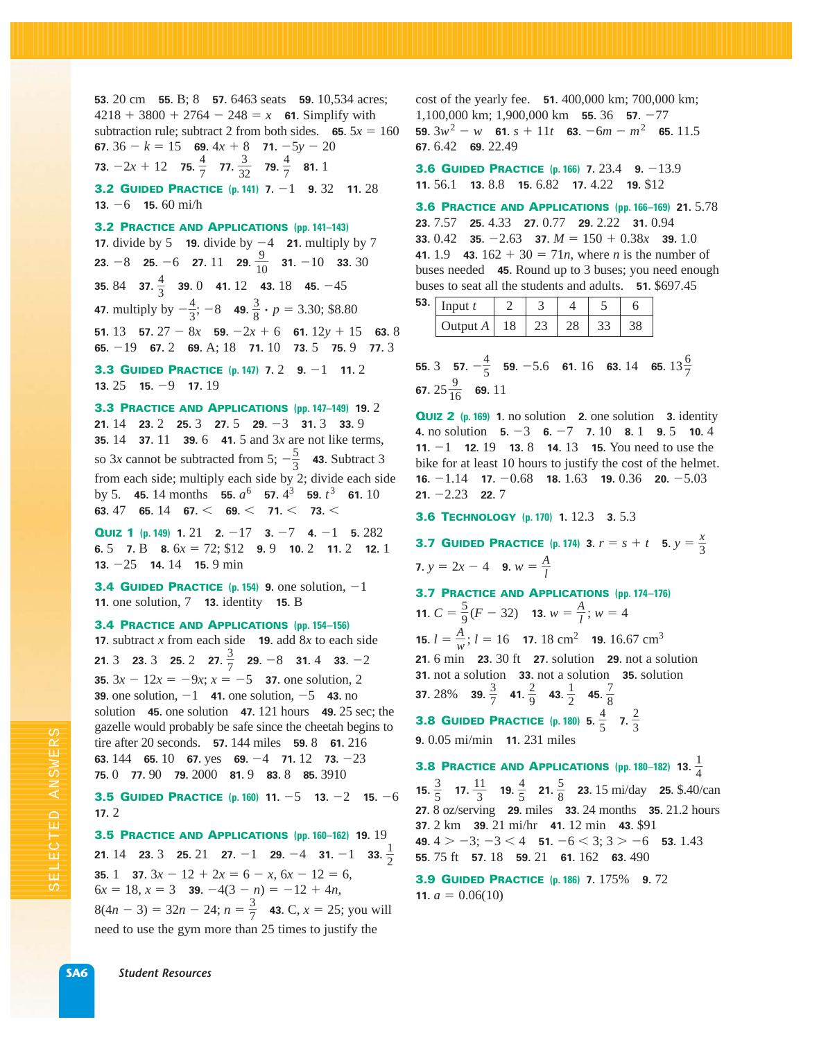**53.** 20 cm **55.** B; 8 **57.** 6463 seats **59.** 10,534 acres;  $4218 + 3800 + 2764 - 248 = x$  **61.** Simplify with subtraction rule; subtract 2 from both sides.  $65. 5x = 160$ **67.**  $36 - k = 15$  **69.**  $4x + 8$  **71.**  $-5y - 20$ **73.**  $-2x + 12$  **75.**  $\frac{4}{7}$  $\frac{1}{7}$  **77.**  $\frac{1}{3}$ 3  $\frac{3}{2}$  **79.**  $\frac{4}{7}$  $\frac{4}{7}$  **81.** 1

**3.2 GUIDED PRACTICE** (p. 141) **7.**  $-1$  **9.** 32 **11.** 28 **13.**  $-6$  **15.** 60 mi/h

#### **3.2 PRACTICE AND APPLICATIONS (pp. 141–143)**

**17.** divide by 5 **19.** divide by  $-4$  **21.** multiply by 7 **23.**  $-8$  **25.**  $-6$  **27.** 11 **29.**  $\frac{1}{1}$ 9  $\frac{6}{0}$  **31.** -10 **33.** 30 **35.** 84 **37.**  $\frac{4}{3}$  $\frac{1}{3}$  **39.** 0 **41.** 12 **43.** 18 **45.** -45 **47.** multiply by  $-\frac{4}{3}$  $\frac{4}{3}$ ; -8 **49.**  $\frac{3}{8}$  $\frac{3}{8} \cdot p = 3.30;$  \$8.80 **51.** 13 **57.** 27 – 8*x* **59.**  $-2x + 6$  **61.** 12*y* + 15 **63.** 8 **65.** 19 **67.** 2 **69.** A; 18 **71.** 10 **73.** 5 **75.** 9 **77.** 3

**3.3 GUIDED PRACTICE** (p. 147) 7. 2 **9.** -1 **11.** 2 **13.** 25 **15.** 9 **17.** 19

**3.3 PRACTICE AND APPLICATIONS (pp. 147–149) 19.** 2 **21.** 14 **23.** 2 **25.** 3 **27.** 5 **29.** 3 **31.** 3 **33.** 9 **35.** 14 **37.** 11 **39.** 6 **41.** 5 and 3*x* are not like terms, so 3x cannot be subtracted from 5;  $-\frac{5}{3}$  $\frac{3}{3}$  **43.** Subtract 3 from each side; multiply each side by 2; divide each side by 5. **45.** 14 months **55.**  $a^6$  **57.**  $4^3$  **59.**  $t^3$  **61.** 10 **63.** 47 **65.** 14 **67.**  $\leq$  **69.**  $\leq$  **71.**  $\leq$  **73.**  $\leq$ 

**QUIZ 1** (p. 149) **1.** 21 **2.**  $-17$  **3.**  $-7$  **4.**  $-1$  **5.** 282 **6.** 5 **7.** B **8.** 6*x* 72; \$12 **9.** 9 **10.** 2 **11.** 2 **12.** 1 **13.** 25 **14.** 14 **15.** 9 min

**3.4 GUIDED PRACTICE** (p. 154) **9.** one solution,  $-1$ **11.** one solution, 7 **13.** identity **15.** B

#### **3.4 PRACTICE AND APPLICATIONS (pp. 154–156)**

**17.** subtract *x* from each side **19.** add 8*x* to each side **21.** 3 **23.** 3 **25.** 2 **27.**  $\frac{3}{7}$  $\frac{3}{7}$  **29.** -8 **31.** 4 **33.** -2 **35.**  $3x - 12x = -9x$ ;  $x = -5$  **37.** one solution, 2 **39.** one solution,  $-1$  **41.** one solution,  $-5$  **43.** no solution **45.** one solution **47.** 121 hours **49.** 25 sec; the gazelle would probably be safe since the cheetah begins to tire after 20 seconds. **57.** 144 miles **59.** 8 **61.** 216 **63.** 144 **65.** 10 **67.** yes **69.**  $-4$  **71.** 12 **73.**  $-23$ **75.** 0 **77.** 90 **79.** 2000 **81.** 9 **83.** 8 **85.** 3910

**3.5 GUIDED PRACTICE** (p. 160) **11.**  $-5$  **13.**  $-2$  **15.**  $-6$ **17.** 2

**3.5 PRACTICE AND APPLICATIONS (pp. 160–162) 19.** 19 **21.** 14 **23.** 3 **25.** 21 **27.** -1 **29.** -4 **31.** -1 **33.**  $\frac{1}{2}$ 2 - **35.** 1 **37.**  $3x - 12 + 2x = 6 - x$ ,  $6x - 12 = 6$ ,  $6x = 18$ ,  $x = 3$  **39.**  $-4(3 - n) = -12 + 4n$ ,  $8(4n - 3) = 32n - 24; n = \frac{3}{7}$ **43.** C,  $x = 25$ ; you will need to use the gym more than 25 times to justify the

cost of the yearly fee. **51.** 400,000 km; 700,000 km; 1,100,000 km; 1,900,000 km **55.** 36 **57.** -77 **59.**  $3w^2 - w$  **61.**  $s + 11t$  **63.**  $-6m - m^2$  **65.** 11.5 **67.** 6.42 **69.** 22.49

**3.6 GUIDED PRACTICE (p. 166) 7.** 23.4 **9.** 13.9 **11.** 56.1 **13.** 8.8 **15.** 6.82 **17.** 4.22 **19.** \$12

**3.6 PRACTICE AND APPLICATIONS (pp. 166–169) 21.** 5.78 **23.** 7.57 **25.** 4.33 **27.** 0.77 **29.** 2.22 **31.** 0.94 **33.** 0.42 **35.**  $-2.63$  **37.**  $M = 150 + 0.38x$  **39.** 1.0 **41.** 1.9 **43.** 162 + 30 = 71*n*, where *n* is the number of buses needed **45.** Round up to 3 buses; you need enough buses to seat all the students and adults. **51.** \$697.45

| 53. | Input $t$  |    |  |  |
|-----|------------|----|--|--|
|     | Output $A$ | 18 |  |  |

**55.** 3 **57.** 
$$
-\frac{4}{5}
$$
 **59.** -5.6 **61.** 16 **63.** 14 **65.**  $13\frac{6}{7}$   
**67.**  $25\frac{9}{16}$  **69.** 11

**QUIZ 2 (p. 169) 1.** no solution **2.** one solution **3.** identity **4.** no solution **5.**  $-3$  **6.**  $-7$  **7.** 10 **8.** 1 **9.** 5 **10.** 4 **11.**  $-1$  **12.** 19 **13.** 8 **14.** 13 **15.** You need to use the bike for at least 10 hours to justify the cost of the helmet. **16.** 1.14 **17.** 0.68 **18.** 1.63 **19.** 0.36 **20.** 5.03 **21.**  $-2.23$  **22.** 7

**3.6 TECHNOLOGY (p. 170) 1.** 12.3 **3.** 5.3

**3.7 GUIDED PRACTICE** (p. 174) **3.**  $r = s + t$  **5.**  $y = \frac{\lambda}{3}$  $\frac{x}{2}$ **7.**  $y = 2x - 4$  **9.**  $w = \frac{A}{l}$ *l* -

**3.7 PRACTICE AND APPLICATIONS (pp. 174–176) 11.**  $C = \frac{5}{0}$  $\frac{5}{9}(F-32)$  **13.**  $w = \frac{A}{l}$  $\frac{1}{l}$ ; *w* = 4 **15.**  $l = \frac{A}{w}$  $\frac{A}{m}$ ; *l* = 16 **17.** 18 cm<sup>2</sup> **19.** 16.67 cm<sup>3</sup> **21.** 6 min **23.** 30 ft **27.** solution **29.** not a solution **31.** not a solution **33.** not a solution **35.** solution **37.** 28% **39.**  $\frac{3}{7}$  $\frac{3}{7}$  **41.**  $\frac{2}{9}$  $\frac{2}{9}$  **43.**  $\frac{1}{2}$  $\frac{1}{2}$  **45.**  $\frac{7}{8}$ 8 -

**3.8 GUIDED PRACTICE (p. 180) 5.** - 4  $\frac{4}{5}$  7.  $\frac{2}{3}$ 3 - **9.** 0.05 mi/min **11.** 231 miles

**3.8 PRACTICE AND APPLICATIONS** (pp. 180–182) 13.  $\frac{1}{4}$ 4 - **15.**  $\frac{3}{5}$  $\frac{3}{5}$  **17.**  $\frac{1}{3}$ 3  $\frac{1}{2}$  **19.**  $\frac{4}{5}$  $\frac{4}{5}$  **21.**  $\frac{5}{8}$  $\frac{3}{8}$  **23.** 15 mi/day **25.** \$.40/can **27.** 8 oz/serving **29.** miles **33.** 24 months **35.** 21.2 hours **37.** 2 km **39.** 21 mi/hr **41.** 12 min **43.** \$91 **49.**  $4 > -3$ ;  $-3 < 4$  **51.**  $-6 < 3$ ;  $3 > -6$  **53.** 1.43 **55.** 75 ft **57.** 18 **59.** 21 **61.** 162 **63.** 490

**3.9 GUIDED PRACTICE (p. 186) 7.** 175% **9.** 72 **11.**  $a = 0.06(10)$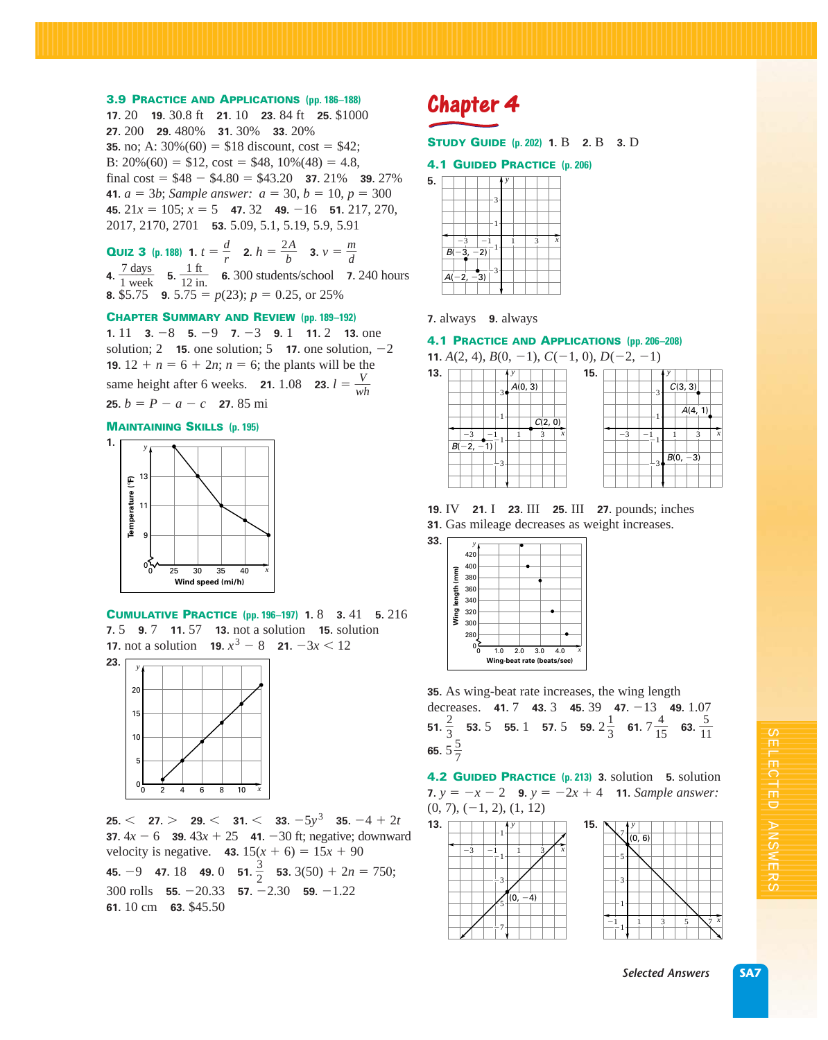#### **3.9 PRACTICE AND APPLICATIONS (pp. 186-188)**

17. 20 19. 30.8 ft 21. 10 23. 84 ft 25. \$1000 27. 200 29. 480% 31. 30% 33. 20% **35.** no: A:  $30\%(60) = $18$  discount, cost = \$42; B:  $20\%(60) = $12$ ,  $cost = $48, 10\%(48) = 4.8$ , final cost =  $$48 - $4.80 = $43.20$  37. 21% 39. 27% **41.**  $a = 3b$ ; Sample answer:  $a = 30$ ,  $b = 10$ ,  $p = 300$ 45.  $21x = 105$ ;  $x = 5$  47. 32 49. -16 51. 217, 270, 2017, 2170, 2701 53, 5.09, 5.1, 5.19, 5.9, 5.91

**QUIZ 3** (p. 188) **1.**  $t = \frac{d}{r}$  **2.**  $h = \frac{2A}{b}$  **3.**  $v = \frac{m}{d}$ **4.**  $\frac{7 \text{ days}}{1 \text{ week}}$  **5.**  $\frac{1 \text{ ft}}{12 \text{ in.}}$  **6.** 300 students/school **7.** 240 hours **8.** \$5.75 **9.** 5.75 =  $p(23)$ ;  $p = 0.25$ , or 25%

#### **CHAPTER SUMMARY AND REVIEW (pp. 189-192)**

1. 11  $3. -8$  5.  $-9$  7.  $-3$  9. 1 11. 2 13. one solution; 2 **15.** one solution; 5 **17.** one solution,  $-2$ **19.** 12 +  $n = 6 + 2n$ ;  $n = 6$ ; the plants will be the same height after 6 weeks. **21.** 1.08 **23.**  $l = \frac{V}{wh}$ **25.**  $b = P - a - c$  **27.** 85 mi

#### **MAINTAINING SKILLS (p. 195)**



**CUMULATIVE PRACTICE** (pp. 196-197) 1. 8 3. 41 5. 216 **7.5 9.7 11.57 13. not a solution 15. solution 17.** not a solution **19.**  $x^3 - 8$  **21.**  $-3x \le 12$ 



25.  $\lt$  27.  $>$  29.  $\lt$  31.  $\lt$  33.  $-5y^3$  35.  $-4 + 2t$ **37.**  $4x - 6$  **39.**  $43x + 25$  **41.**  $-30$  ft; negative; downward velocity is negative. **43.**  $15(x + 6) = 15x + 90$ 45. –9 47. 18 49. 0 51.  $\frac{3}{2}$  53. 3(50) + 2n = 750; 300 rolls  $\overline{55}$ ,  $-20.33$   $\overline{57}$ ,  $-2.30$   $\overline{59}$ ,  $-1.22$ 61.10 cm 63. \$45.50

### **Chapter 4**

5.

 $13$ 

33.

**STUDY GUIDE** (p. 202) 1. B 2. B 3. D

#### 4.1 GUIDED PRACTICE (p. 206)

|  |                                                                   |      | ν |  |              |
|--|-------------------------------------------------------------------|------|---|--|--------------|
|  |                                                                   | -3   |   |  |              |
|  |                                                                   |      |   |  |              |
|  |                                                                   |      |   |  |              |
|  | $\begin{array}{c c c}\n-3 & -1 \\ \hline\nB(-3, -2)\n\end{array}$ |      |   |  | $\mathbf{x}$ |
|  | $A(-2, -3)$                                                       | $-3$ |   |  |              |

7. always 9. always

#### 4.1 PRACTICE AND APPLICATIONS (pp. 206-208)

11.  $A(2, 4)$ ,  $B(0, -1)$ ,  $C(-1, 0)$ ,  $D(-2, -1)$ 



### 19. IV 21. I 23. III 25. III 27. pounds; inches

31. Gas mileage decreases as weight increases.

| y   |                 |   |     |     |     |                                   |
|-----|-----------------|---|-----|-----|-----|-----------------------------------|
| 420 |                 |   |     |     |     |                                   |
|     |                 |   |     |     |     |                                   |
|     |                 |   |     |     |     |                                   |
|     |                 |   |     |     |     |                                   |
| 360 |                 |   |     |     |     |                                   |
| 340 |                 |   |     |     |     |                                   |
| 320 |                 |   |     |     |     |                                   |
| 300 |                 |   |     |     |     |                                   |
| 280 |                 |   |     |     |     |                                   |
|     |                 |   |     |     |     |                                   |
|     |                 |   |     |     |     | À                                 |
|     |                 |   |     |     |     |                                   |
|     | 400<br>380<br>0 | 0 | 1.0 | 2.0 | 3.0 | 4.0<br>Wing-beat rate (beats/sec) |

35. As wing-beat rate increases, the wing length decreases.  $41.7$   $43.3$   $45.39$   $47. -13$   $49. 1.07$ **53.** 5 **55.** 1 **57.** 5 **59.**  $2\frac{1}{3}$  **61.**  $7\frac{4}{15}$  **63.**  $\frac{5}{11}$ 51. 65.  $5\frac{5}{7}$ 

4.2 GUIDED PRACTICE (p. 213) 3. solution 5. solution **7.**  $y = -x - 2$  **9.**  $y = -2x + 4$  **11.** Sample answer:  $(0, 7), (-1, 2), (1, 12)$ 



SA<sub>7</sub>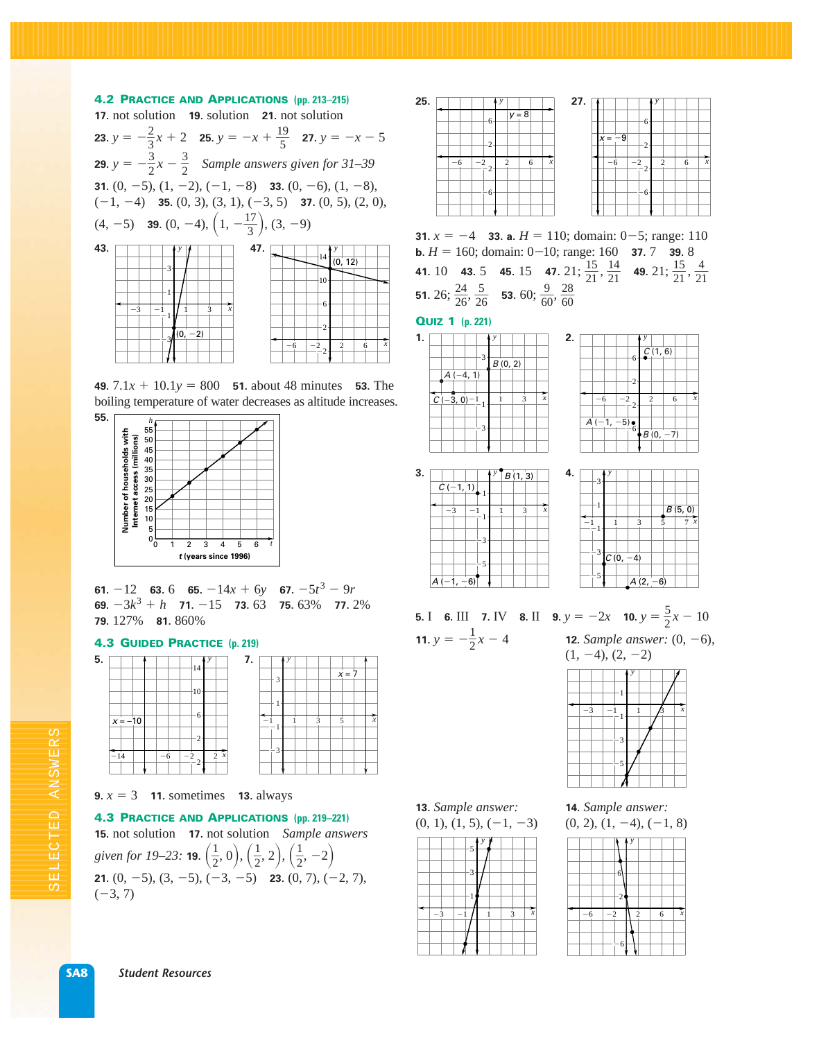### **4.2 PRACTICE AND APPLICATIONS (pp. 213–215)**

**17.** not solution **19.** solution **21.** not solution **23.**  $y = -\frac{2}{3}$  $\frac{2}{3}x + 2$  **25.**  $y = -x + \frac{1}{3}$ 5  $\frac{9}{5}$  **27.**  $y = -x - 5$ **29.**  $y = -\frac{3}{2}$  $\frac{3}{2}x - \frac{3}{2}$ 2 - *Sample answers given for 31–39* **31.**  $(0, -5)$ ,  $(1, -2)$ ,  $(-1, -8)$  **33.**  $(0, -6)$ ,  $(1, -8)$ ,  $(-1, -4)$  **35.** (0, 3), (3, 1), (-3, 5) **37.** (0, 5), (2, 0),  $(4, -5)$  **39.**  $(0, -4), \left(1, -\frac{1}{3}\right)$ 3  $\left(\frac{7}{3}\right)$ , (3, -9)



**49.**  $7.1x + 10.1y = 800$  **51.** about 48 minutes **53.** The boiling temperature of water decreases as altitude increases.



**61.**  $-12$  **63.** 6 **65.**  $-14x + 6y$  **67.**  $-5t^3 - 9r$ **69.**  $-3k^3 + h$  **71.**  $-15$  **73.** 63 **75.** 63% **77.** 2% **79.** 127% **81.** 860%

#### **4.3 GUIDED PRACTICE (p. 219)**



#### **9.**  $x = 3$  **11.** sometimes **13.** always

#### **4.3 PRACTICE AND APPLICATIONS (pp. 219–221)**

**15.** not solution **17.** not solution *Sample answers given for 19–23:* **19.**  $\left(\frac{1}{2}\right)$  $(\frac{1}{2}, 0), (\frac{1}{2})$  $(\frac{1}{2}, 2), (\frac{1}{2})$  $\frac{1}{2}$ , -2) **21.**  $(0, -5)$ ,  $(3, -5)$ ,  $(-3, -5)$  **23.**  $(0, 7)$ ,  $(-2, 7)$ ,  $(-3, 7)$ 







#### **QUIZ 1 (p. 221)**









**5.** I **6.** III **7.** IV **8.** II **9.**  $y = -2x$  **10.**  $y = \frac{5}{2}$ **11.**  $y = -\frac{1}{2}$ 2 -

**12.** *Sample answer:*  $(0, -6)$ ,  $(1, -4), (2, -2)$ 

 $\frac{3}{2}x - 10$ 



**13.** *Sample answer:* **14.** *Sample answer:*

|     | -5<br>3 | y |   |
|-----|---------|---|---|
|     |         |   |   |
| - 2 |         |   | x |
|     |         |   |   |

 $(0, 1), (1, 5), (-1, -3)$   $(0, 2), (1, -4), (-1, 8)$ 

| $-\hat{6}$ | $-\frac{2}{3}$<br>б | $\overline{c}$ | É | $\boldsymbol{x}$ |
|------------|---------------------|----------------|---|------------------|

SELECTED ANSWERS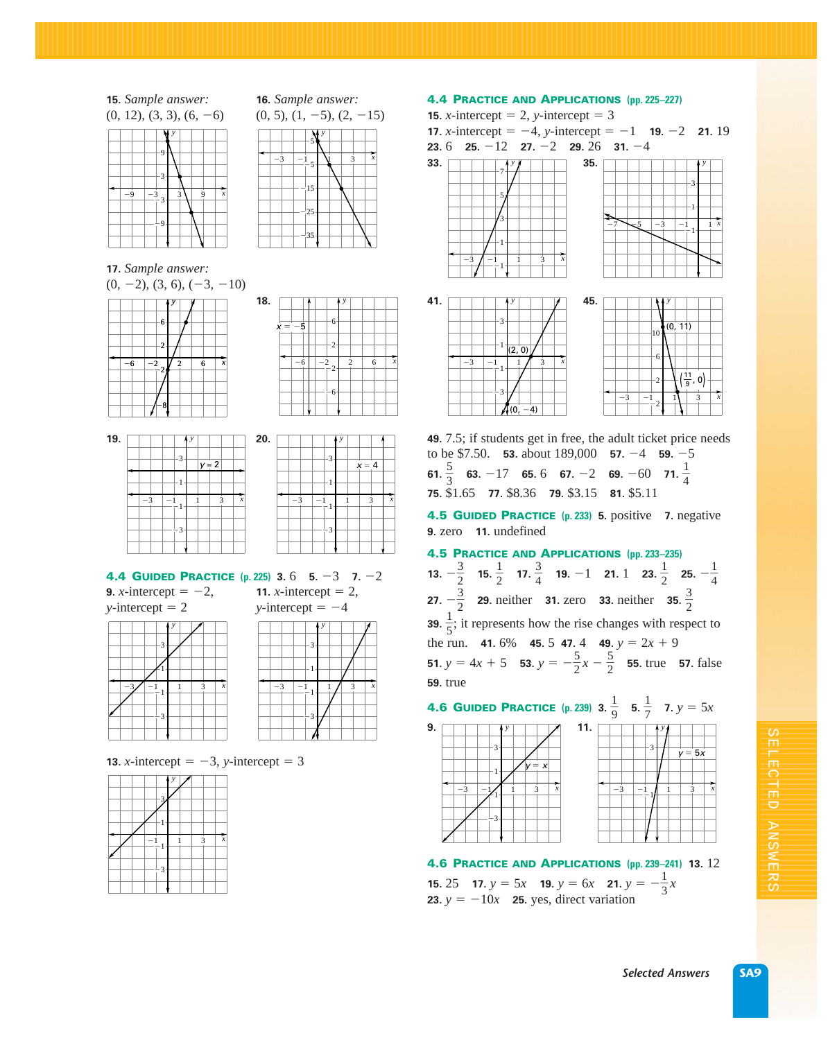**15.** *Sample answer:* **16.** *Sample answer:*  $(0, 12), (3, 3), (6, -6)$   $(0, 5), (1, -5), (2, -15)$ 

|  |  | з |  |  |  |
|--|--|---|--|--|--|
|  |  | 3 |  |  |  |
|  |  |   |  |  |  |
|  |  |   |  |  |  |
|  |  | q |  |  |  |

**17.** *Sample answer:*  $(0, -2), (3, 6), (-3, -10)$ 

|  |      | б |                |  |   |
|--|------|---|----------------|--|---|
|  |      |   |                |  |   |
|  |      | 2 |                |  |   |
|  |      |   |                |  |   |
|  | $-2$ |   | $\overline{2}$ |  | x |
|  |      | っ |                |  |   |
|  |      |   |                |  |   |

**19.** [

|    | 8 |    |   |         |                  |     |   |  |
|----|---|----|---|---------|------------------|-----|---|--|
|    |   |    | y |         |                  | 20. |   |  |
|    |   | -3 |   |         |                  |     |   |  |
|    |   |    |   | $y = 2$ |                  |     |   |  |
|    |   |    |   |         |                  |     |   |  |
|    |   |    |   |         |                  |     |   |  |
| -3 |   |    |   | 3       | $\boldsymbol{x}$ |     | 3 |  |
|    |   |    |   |         |                  |     |   |  |

|  |          |   |                 |      | $\mathcal{Y}% _{0}$ |   |                  |
|--|----------|---|-----------------|------|---------------------|---|------------------|
|  | $x = -5$ |   |                 | 6    |                     |   |                  |
|  |          |   |                 | 7    |                     |   |                  |
|  |          |   |                 |      |                     |   |                  |
|  |          | 6 | $\overline{-2}$ | $-2$ | $\overline{c}$      | 6 | $\boldsymbol{x}$ |
|  |          |   |                 | 6    |                     |   |                  |

| J |      |  | $-3$ | $\overline{y}$ | $x = 4$ |                     |
|---|------|--|------|----------------|---------|---------------------|
|   |      |  |      |                |         |                     |
|   | $-3$ |  | 1    |                |         | $\boldsymbol{\chi}$ |
|   |      |  | $-3$ |                |         |                     |
|   |      |  |      |                |         |                     |

**4.4 GUIDED PRACTICE** (p. 225) **3.** 6 **5.**  $-3$  **7.**  $-2$ 

**9.** *x*-intercept =  $-2$ , **11.** *x*-intercept = 2,

 $-3$ 



|  |  | 3 |  |  |   |
|--|--|---|--|--|---|
|  |  |   |  |  |   |
|  |  |   |  |  |   |
|  |  |   |  |  |   |
|  |  |   |  |  | x |
|  |  |   |  |  |   |
|  |  | 3 |  |  |   |
|  |  |   |  |  |   |
|  |  |   |  |  |   |

**13.** *x*-intercept =  $-3$ , *y*-intercept = 3

|  |  | P, |  |  |  |
|--|--|----|--|--|--|

|  | ample answer: |  |
|--|---------------|--|
|--|---------------|--|

|      | 5            | y |   |                  | 17.    |
|------|--------------|---|---|------------------|--------|
| $-3$ | $^{-1}$<br>5 |   | 3 | $\boldsymbol{x}$ | 23.33. |
|      | $15 -$       |   |   |                  |        |
|      | 25           |   |   |                  |        |
|      | 35           |   |   |                  |        |
|      |              |   |   |                  |        |

| 18. | $x = -5$ |      | $6 -$<br>2 | $\mathcal{Y}$  |   |                  |
|-----|----------|------|------------|----------------|---|------------------|
|     | 6        | $-2$ | $-2$       | $\overline{c}$ | 6 | $\boldsymbol{x}$ |
|     |          |      | 6          |                |   |                  |
|     |          |      |            |                |   |                  |

|         | 49. 7.5; if |
|---------|-------------|
|         | to be \$7.5 |
| $x = 4$ |             |

**61.**  $\frac{3}{3}$ 

**4.4 PRACTICE AND APPLICATIONS (pp. 225–227)**



students get in free, the adult ticket price needs 50. **53.** about 189,000 **57.**  $-4$  **59.**  $-5$ **63.**  $-17$  **65.** 6 **67.**  $-2$  **69.**  $-60$  **71.**  $\frac{1}{4}$ 4 - **75.** \$1.65 **77.** \$8.36 **79.** \$3.15 **81.** \$5.11

**4.5 GUIDED PRACTICE (p. 233) 5.** positive **7.** negative **9.** zero **11.** undefined

#### **4.5 PRACTICE AND APPLICATIONS (pp. 233–235)**

**13.**  $-\frac{3}{2}$  $\frac{3}{2}$  **15.**  $\frac{1}{2}$  $\frac{1}{2}$  **17.**  $\frac{3}{4}$  $\frac{3}{4}$  **19.** -1 **21.** 1 **23.**  $\frac{1}{2}$  $\frac{1}{2}$  **25.**  $-\frac{1}{4}$ 4 - **27.** - $\frac{3}{2}$  $\frac{3}{2}$  **29.** neither **31.** zero **33.** neither **35.**  $\frac{3}{2}$ 2 - **39.**  $\frac{1}{5}$  $\frac{1}{5}$ ; it represents how the rise changes with respect to the run. **41.** 6% **45.** 5 **47.** 4 **49.**  $y = 2x + 9$ **51.**  $y = 4x + 5$  **53.**  $y = -\frac{5}{2}$  $\frac{5}{2}x - \frac{5}{2}$  $\frac{3}{2}$  **55.** true **57.** false **59.** true

**4.6 GUIDED PRACTICE (p. 239) 3.** - 1  $\frac{1}{9}$  **5.**  $\frac{1}{7}$  $\frac{1}{7}$  **7.**  $y = 5x$ 



|                 | 3 | у | $y = 5x$           |                |
|-----------------|---|---|--------------------|----------------|
| $-\overline{3}$ |   |   | $\mathbf{\hat{z}}$ | $\overline{x}$ |

#### **4.6 PRACTICE AND APPLICATIONS (pp. 239–241) 13.** 12

**15.** 25 **17.**  $y = 5x$  **19.**  $y = 6x$  **21.**  $y = -\frac{1}{3}$  $\frac{1}{3}x$ **23.**  $y = -10x$  **25.** yes, direct variation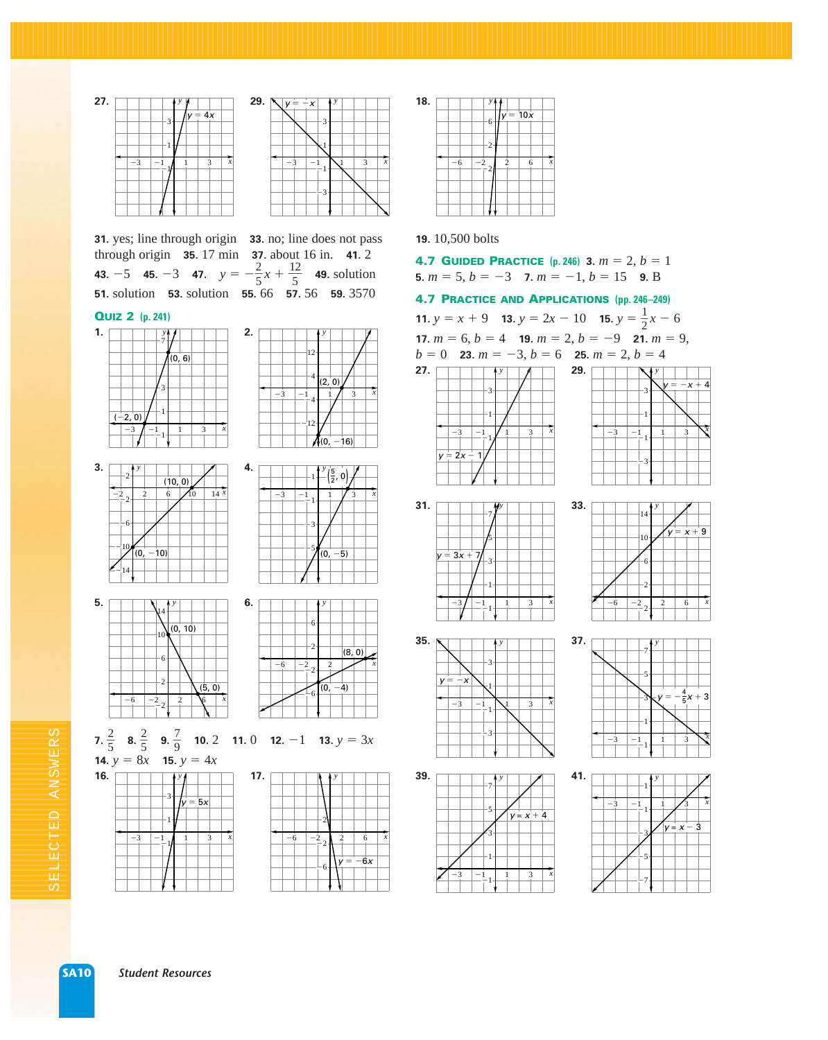



**31.** yes; line through origin **33.** no; line does not pass through origin **35.** 17 min **37.** about 16 in. **41.** 2 **43.** -5 **45.** -3 **47.**  $y = -\frac{2}{5}$  $\frac{2}{5}x + \frac{1}{3}$ 5  $\frac{2}{5}$  **49.** solution **51.** solution **53.** solution **55.** 66 **57.** 56 **59.** 3570

#### **QUIZ 2 (p. 241)**





 $-3$   $-1$   $1$   $7$   $3$   $x$ 1  $\frac{1}{1}$  $-3$  $-5$ 

 $(0, -5)$ 

*y*

 $\left(\frac{5}{2}, 0\right)$ 





 $\frac{2}{5}$  **8.**  $\frac{2}{5}$ 5 - $\frac{2}{7}$  **9.**  $\frac{7}{9}$ 9 -**10.** 2 **11.** 0 **12.**  $-1$  **13.**  $y = 3x$ 

**14.**  $y = 8x$  **15.**  $y = 4x$ 

5 -



| 7. |      |                       | y              |                     |                  |
|----|------|-----------------------|----------------|---------------------|------------------|
|    |      |                       |                |                     |                  |
|    |      |                       |                |                     |                  |
|    | $-6$ | $^{-2}$ <sub>-2</sub> | $\overline{2}$ | 6                   | $\boldsymbol{x}$ |
|    |      | 6                     |                | $\overline{z}$ – 6x |                  |
|    |      |                       |                |                     |                  |

 $-6$   $-2$   $2$   $x$ 2  $\bar{=}2$  $-6$ 

 $(0, -4)$ 

 $(8, 0)$ 

6 *y*



**19.** 10,500 bolts

**4.7 GUIDED PRACTICE** (p. 246) **3.**  $m = 2, b = 1$ **5.**  $m = 5, b = -3$  **7.**  $m = -1, b = 15$  **9.** B

#### **4.7 PRACTICE AND APPLICATIONS (pp. 246–249)**

**11.**  $y = x + 9$  **13.**  $y = 2x - 10$  **15.**  $y = \frac{1}{2}$  $\frac{1}{2}x - 6$ **17.**  $m = 6, b = 4$  **19.**  $m = 2, b = -9$  **21.**  $m = 9$ ,  $b = 0$  **23.**  $m = -3$ ,  $b = 6$  **25.**  $m = 2$ ,  $b = 4$ **27. 1 1 1 1 1 1 29.** *y*  $x + 4$ *y*







 $-3$   $-1$   $1$   $3$   $\sqrt{x}$ 1  $-1$  $-3$ 

3







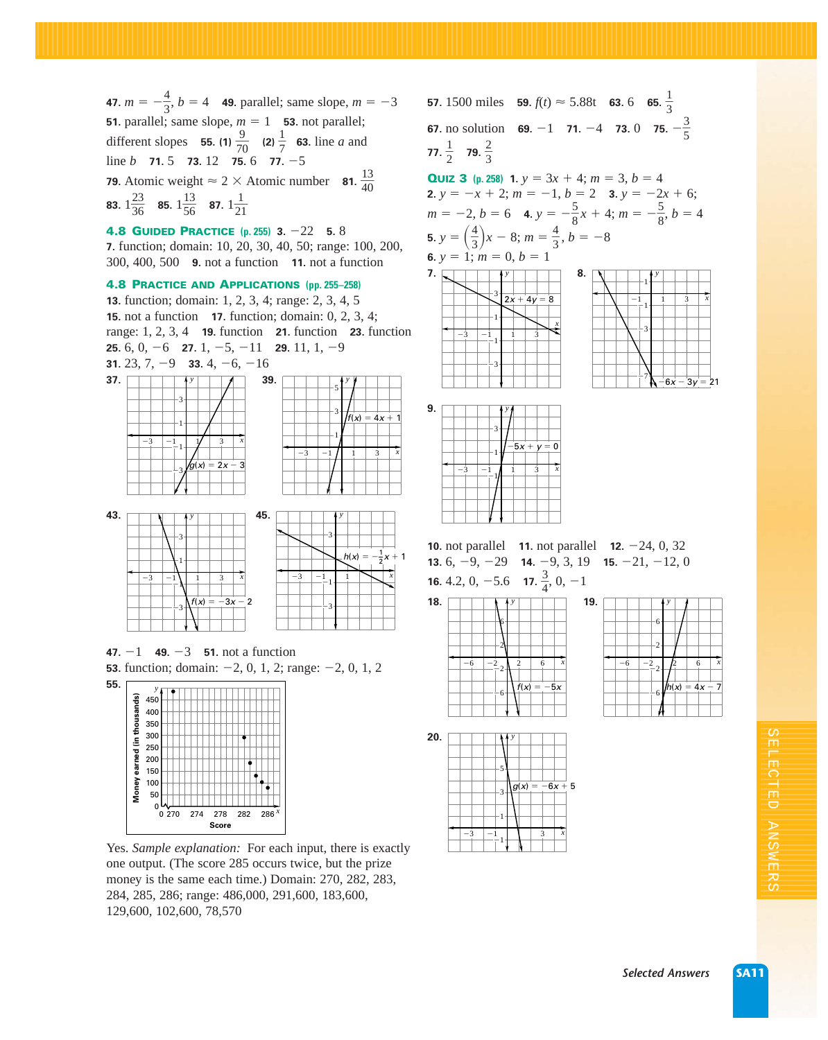**47.**  $m = -\frac{4}{3}$  $\frac{4}{3}$ , *b* = 4 **49**. parallel; same slope, *m* = -3 **51.** parallel; same slope,  $m = 1$  **53.** not parallel; different slopes **55. (1)**  $\frac{1}{7}$ 9  $\frac{9}{0}$  (2)  $\frac{1}{7}$  $\frac{1}{7}$  **63.** line *a* and line *b* **71.** 5 **73.** 12 **75.** 6 **77.**  $-5$ **79.** Atomic weight  $\approx 2 \times$  Atomic number **81.**  $\frac{1}{4}$ 4 3  $\overline{0}$ **83.**  $1\frac{2}{2}$ 3 3  $\frac{3}{6}$  **85.** 1 $\frac{1}{5}$ 5 3  $\frac{3}{6}$  **87.**  $1\frac{1}{2}$ 1  $\overline{1}$ 

#### **4.8 GUIDED PRACTICE (p. 255) 3.** 22 **5.** 8

**7.** function; domain: 10, 20, 30, 40, 50; range: 100, 200, 300, 400, 500 **9.** not a function **11.** not a function

#### **4.8 PRACTICE AND APPLICATIONS (pp. 255–258)**

**13.** function; domain: 1, 2, 3, 4; range: 2, 3, 4, 5 **15.** not a function **17.** function; domain: 0, 2, 3, 4; range: 1, 2, 3, 4 **19.** function **21.** function **23.** function **25.** 6, 0, -6 **27.** 1, -5, -11 **29.** 11, 1, -9 **31.** 23, 7, -9 **33.** 4, -6, -16





 $\begin{array}{|c|c|c|c|c|}\n -3 & -1 & 1 & \n\hline\n & -1 & & \n\end{array}$ 

 $h(x)$ 

1

 $-3$ 

3



**47.**  $-1$  **49.**  $-3$  **51.** not a function **53.** function; domain:  $-2$ , 0, 1, 2; range:  $-2$ , 0, 1, 2



Yes. *Sample explanation:* For each input, there is exactly one output. (The score 285 occurs twice, but the prize money is the same each time.) Domain: 270, 282, 283, 284, 285, 286; range: 486,000, 291,600, 183,600, 129,600, 102,600, 78,570

**57.** 1500 miles **59.**  $f(t) \approx 5.88t$  **63.** 6 **65.**  $\frac{1}{2}$ 3 - **67.** no solution **69.** -1 **71.** -4 **73.** 0 **75.**  $-\frac{3}{5}$ 5 - **77.**  $\frac{1}{2}$  $\frac{1}{2}$  **79.**  $\frac{2}{3}$ 3 -

**QUIZ 3** (p. 258) **1.**  $y = 3x + 4$ ;  $m = 3$ ,  $b = 4$ **2.**  $y = -x + 2$ ;  $m = -1$ ,  $b = 2$  **3.**  $y = -2x + 6$ ;  $m = -2, b = 6$  **4.**  $y = -\frac{5}{8}$  $\frac{5}{8}x + 4$ ;  $m = -\frac{5}{8}$  $\frac{5}{8}$ , *b* = 4 **5.**  $y = \left(\frac{4}{3}\right)$  $\left(\frac{4}{3}\right)x - 8; m = \frac{4}{3}$  $\frac{4}{3}$ ,  $b = -8$ **6.**  $y = 1$ ;  $m = 0, b = 1$ 







**10.** not parallel **11.** not parallel **12.**  $-24$ , 0, 32 **13.** 6,  $-9$ ,  $-29$  **14.**  $-9$ , 3, 19 **15.**  $-21$ ,  $-12$ , 0 **16.** 4.2, 0,  $-5.6$  **17.**  $\frac{3}{4}$  $\frac{3}{4}$ , 0, -1









SELECTED ANSWERS SELECTED ANSWERS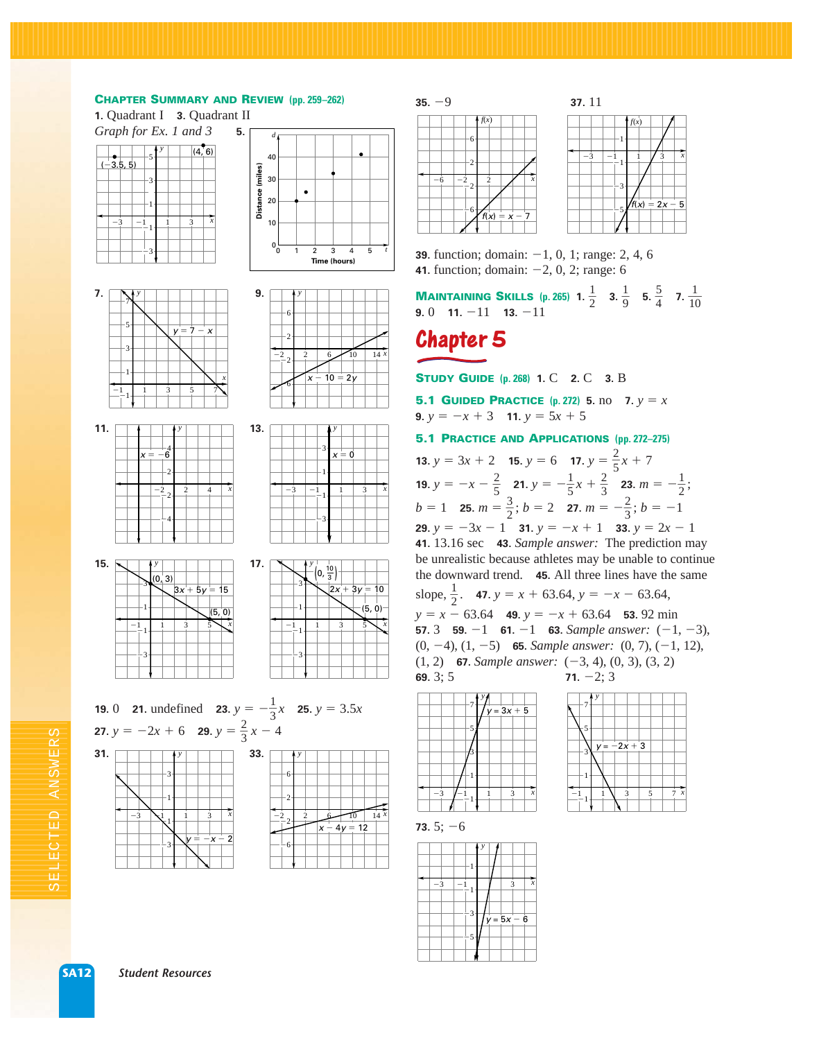#### **CHAPTER SUMMARY AND REVIEW (pp. 259–262)**

**1.** Quadrant I **3.** Quadrant II

*Graph for Ex. 1 and 3* **5.** 











 $-2$  2 6 10 14 *x* 

 $10 = 2y$ 

2  $\frac{2}{1}$ 6

6 *y*





**19.** 0 **21.** undefined **23.**  $y = -\frac{1}{2}$  $\frac{1}{3}x$  **25.**  $y = 3.5x$ **27.**  $y = -2x + 6$  **29.**  $y = \frac{2}{3}$  $\frac{2}{3}x - 4$ 

**31.**  $\begin{array}{|c|c|c|c|c|c|} \hline \textbf{33.} & \textbf{33.} \ \hline \end{array}$  $-3$   $\begin{array}{|c|c|c|c|c|c|} \hline 1 & 3 & x \\ \hline \end{array}$ 1 ∱1  $-3$ 3 *y*  $y = -x - 2$ 

|      |           | $\overline{y}$ |                |  |               |  |     |
|------|-----------|----------------|----------------|--|---------------|--|-----|
|      | 6         |                |                |  |               |  |     |
|      |           |                |                |  |               |  |     |
|      |           |                |                |  |               |  |     |
|      |           |                |                |  |               |  |     |
| $-2$ | $\cdot$ 2 |                | $\overline{c}$ |  |               |  | 14x |
|      |           |                |                |  | $x - 4y = 12$ |  |     |
|      | 6         |                |                |  |               |  |     |





**39.** function; domain:  $-1$ , 0, 1; range: 2, 4, 6 **41.** function; domain:  $-2$ , 0, 2; range: 6

**MAINTAINING SKILLS (p. 265) 1.** - 1  $\frac{1}{2}$  **3.**  $\frac{1}{9}$  $\frac{1}{9}$  **5.**  $\frac{5}{4}$  $\frac{3}{4}$  7.  $\frac{3}{1}$ 1 **MAINTAINING SKILLS** (p. 265) 1.  $\frac{1}{2}$  3.  $\frac{1}{9}$  5.  $\frac{1}{4}$  7.  $\frac{1}{10}$ <br>9. 0 11. -11 13. -11

## **Chapter 5**

**STUDY GUIDE (p. 268) 1.** C **2.** C **3.** B

**5.1 GUIDED PRACTICE** (p. 272) **5.** no **7.**  $y = x$ **9.**  $y = -x + 3$  **11.**  $y = 5x + 5$ 

#### **5.1 PRACTICE AND APPLICATIONS (pp. 272–275)**

**13.**  $y = 3x + 2$  **15.**  $y = 6$  **17.**  $y = \frac{2}{5}$  $\frac{2}{5}x + 7$ **19.**  $y = -x - \frac{2}{5}$  $\frac{2}{5}$  **21.**  $y = -\frac{1}{5}$  $\frac{1}{5}x + \frac{2}{3}$  $\frac{2}{3}$  **23.**  $m = -\frac{1}{2}$  $\frac{1}{2}$ ;  $b = 1$  **25.**  $m = \frac{3}{2}$  $\frac{3}{2}$ ; *b* = 2 **27.** *m* =  $-\frac{2}{3}$  $\frac{2}{3}$ ; *b* = -1 **29.**  $y = -3x - 1$  **31.**  $y = -x + 1$  **33.**  $y = 2x - 1$ **41.** 13.16 sec **43.** *Sample answer:* The prediction may be unrealistic because athletes may be unable to continue the downward trend. **45.** All three lines have the same slope,  $\frac{1}{2}$  $\frac{1}{2}$ . **47.**  $y = x + 63.64$ ,  $y = -x - 63.64$ ,  $y = x - 63.64$  **49.**  $y = -x + 63.64$  **53.** 92 min **57.** 3 **59.**  $-1$  **61.**  $-1$  **63.** *Sample answer:*  $(-1, -3)$ ,  $(0, -4), (1, -5)$  **65.** *Sample answer*:  $(0, 7), (-1, 12),$  $(1, 2)$  **67.** *Sample answer:*  $(-3, 4)$ ,  $(0, 3)$ ,  $(3, 2)$ **69.** 3; 5 **71.** 2; 3

|    |  |   | ÿ |              |  |                     |
|----|--|---|---|--------------|--|---------------------|
|    |  |   |   | $y = 3x + 5$ |  |                     |
|    |  | 5 |   |              |  |                     |
|    |  |   |   |              |  |                     |
|    |  |   |   |              |  |                     |
|    |  |   |   |              |  |                     |
|    |  |   |   |              |  |                     |
|    |  |   |   |              |  |                     |
| -4 |  |   |   |              |  | $\boldsymbol{\chi}$ |
|    |  |   |   |              |  |                     |

 $-1$   $1 \times 3$  5 7 *x* 1  $-1$ 3 5 7 *y*  $y = -2x + 3$ 

**73.** 5;  $-6$ 

|     |  |    | $\overline{y}$ |              |                     |
|-----|--|----|----------------|--------------|---------------------|
|     |  |    |                |              |                     |
|     |  |    |                |              |                     |
| - 3 |  |    |                |              | $\boldsymbol{\chi}$ |
|     |  |    |                |              |                     |
|     |  |    |                |              |                     |
|     |  | -3 |                | $y = 5x - 6$ |                     |
|     |  |    |                |              |                     |
|     |  | 5  |                |              |                     |
|     |  |    |                |              |                     |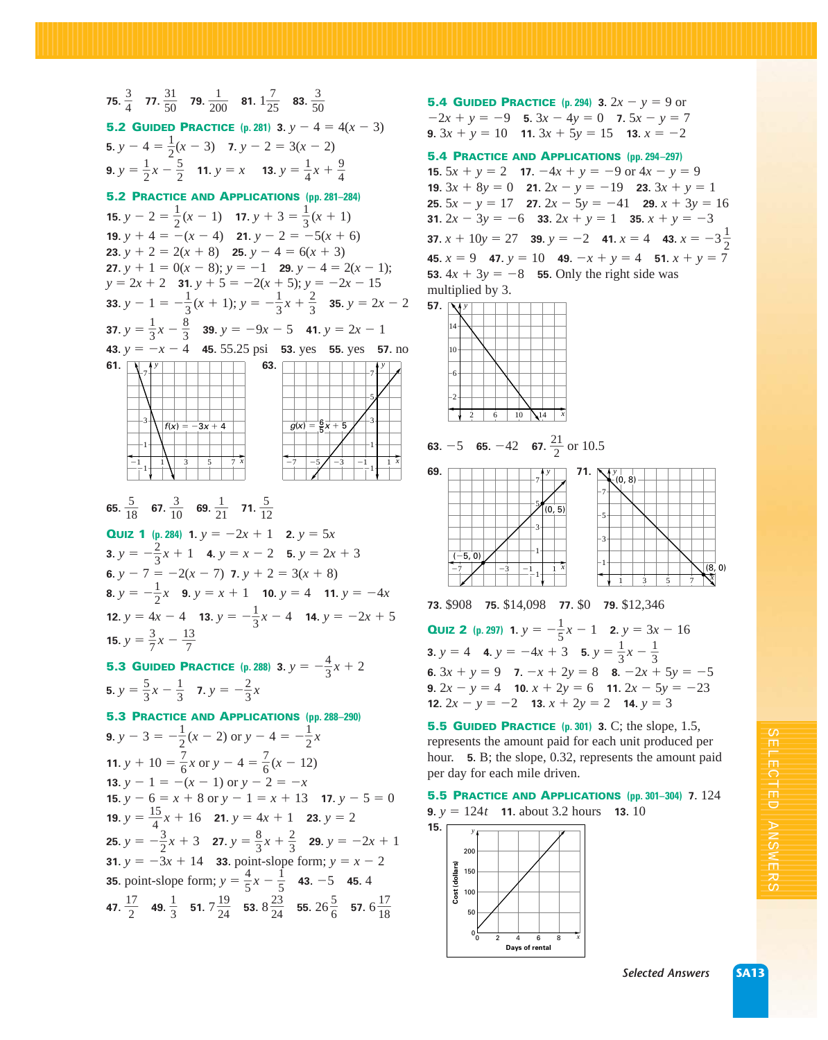**75.**  $\frac{3}{4}$  **77.**  $\frac{31}{50}$  **79.**  $\frac{1}{200}$  **81.**  $1\frac{7}{25}$  **83.**  $\frac{3}{50}$ **5.2 GUIDED PRACTICE** (p. 281) 3.  $y - 4 = 4(x - 3)$ **5.**  $y - 4 = \frac{1}{2}(x - 3)$  **7.**  $y - 2 = 3(x - 2)$ **9.**  $y = \frac{1}{2}x - \frac{5}{2}$  **11.**  $y = x$  **13.**  $y = \frac{1}{4}x + \frac{9}{4}$ **5.2 PRACTICE AND APPLICATIONS (pp. 281-284) 15.**  $y - 2 = \frac{1}{2}(x - 1)$  **17.**  $y + 3 = \frac{1}{2}(x + 1)$ **19.**  $y + 4 = -(x - 4)$  **21.**  $y - 2 = -5(x + 6)$ **23.**  $y + 2 = 2(x + 8)$  **25.**  $y - 4 = 6(x + 3)$ **27.**  $y + 1 = 0(x - 8)$ ;  $y = -1$  **29.**  $y - 4 = 2(x - 1)$ ;  $y = 2x + 2$  31.  $y + 5 = -2(x + 5)$ ;  $y = -2x - 15$ **33.**  $y - 1 = -\frac{1}{3}(x + 1); y = -\frac{1}{3}x + \frac{2}{3}$  **35.**  $y = 2x - 2$ **37.**  $y = \frac{1}{3}x - \frac{8}{3}$  **39.**  $y = -9x - 5$  **41.**  $y = 2x - 1$ 43.  $y = -x - 4$  45. 55.25 psi 53. yes 55. yes 57. no 61. 63  $g(x) = \frac{6}{5}x + 5$  $f(x) = -3x + 4$ 65.  $rac{5}{18}$  67.  $rac{3}{10}$  69.  $rac{1}{21}$  71.  $rac{5}{12}$ Quiz 1 (p. 284) 1.  $y = -2x + 1$  2.  $y = 5x$ **3.**  $y = -\frac{2}{3}x + 1$  **4.**  $y = x - 2$  **5.**  $y = 2x + 3$ 6.  $y - 7 = -2(x - 7)$  7.  $y + 2 = 3(x + 8)$ **8.**  $y = -\frac{1}{2}x$  **9.**  $y = x + 1$  **10.**  $y = 4$  **11.**  $y = -4x$ **12.**  $y = 4x - 4$  **13.**  $y = -\frac{1}{3}x - 4$  **14.**  $y = -2x + 5$ **15.**  $y = \frac{3}{7}x - \frac{13}{7}$ **5.3 GUIDED PRACTICE** (p. 288) 3.  $y = -\frac{4}{3}x + 2$ **5.**  $y = \frac{5}{2}x - \frac{1}{2}$  **7.**  $y = -\frac{2}{3}x$ **5.3 PRACTICE AND APPLICATIONS (pp. 288-290) 9.**  $y - 3 = -\frac{1}{2}(x - 2)$  or  $y - 4 = -\frac{1}{2}x$ 11.  $y + 10 = \frac{7}{6}x$  or  $y - 4 = \frac{7}{6}(x - 12)$ **13.**  $y - 1 = -(x - 1)$  or  $y - 2 = -x$ <br> **15.**  $y - 6 = x + 8$  or  $y - 1 = x + 13$  **17.**  $y - 5 = 0$ **19.**  $y = \frac{15}{4}x + 16$  **21.**  $y = 4x + 1$  **23.**  $y = 2$ **25.**  $y = -\frac{3}{2}x + 3$  **27.**  $y = \frac{8}{3}x + \frac{2}{3}$  **29.**  $y = -2x + 1$ **31.**  $y = -3x + 14$  **33.** point-slope form;  $y = x - 2$ **35.** point-slope form;  $y = \frac{4}{5}x - \frac{1}{5}$  **43.** -5 **45.** 4 47.  $\frac{17}{2}$  49.  $\frac{1}{3}$  51.  $7\frac{19}{24}$  53.  $8\frac{23}{24}$  55.  $26\frac{5}{6}$  57.  $6\frac{17}{18}$ 

**5.4 GUIDED PRACTICE** (p. 294) 3.  $2x - y = 9$  or  $-2x + y = -9$  5.  $3x - 4y = 0$  7.  $5x - y = 7$ **9.**  $3x + y = 10$  **11.**  $3x + 5y = 15$  **13.**  $x = -2$ 

#### 5.4 PRACTICE AND APPLICATIONS (pp. 294-297)

**15.**  $5x + y = 2$  **17.**  $-4x + y = -9$  or  $4x - y = 9$ **19.**  $3x + 8y = 0$  **21.**  $2x - y = -19$  **23.**  $3x + y = 1$ **25.**  $5x - y = 17$  **27.**  $2x - 5y = -41$  **29.**  $x + 3y = 16$ **31.**  $2x - 3y = -6$  **33.**  $2x + y = 1$  **35.**  $x + y = -3$ **37.**  $x + 10y = 27$  **39.**  $y = -2$  **41.**  $x = 4$  **43.**  $x = -3\frac{1}{2}$ 45.  $x = 9$  47.  $y = 10$  49.  $-x + y = 4$  51.  $x + y = 7$ 53.  $4x + 3y = -8$  55. Only the right side was multiplied by 3.



**63.** 
$$
-5
$$
 **65.**  $-42$  **67.**  $\frac{21}{2}$  or 10.5



73. \$908 75. \$14,098 77. \$0 79. \$12,346 **QUIZ 2** (p. 297) 1.  $y = -\frac{1}{5}x - 1$  2.  $y = 3x - 16$ **3.**  $y = 4$  **4.**  $y = -4x + 3$  **5.**  $y = \frac{1}{3}x - \frac{1}{3}$ 6.  $3x + y = 9$  7.  $-x + 2y = 8$  8.  $-2x + 5y = -5$ **9.**  $2x - y = 4$  **10.**  $x + 2y = 6$  **11.**  $2x - 5y = -23$ **12.**  $2x - y = -2$  **13.**  $x + 2y = 2$  **14.**  $y = 3$ 

5.5 GUIDED PRACTICE  $(p. 301)$  3. C; the slope, 1.5, represents the amount paid for each unit produced per hour. 5. B; the slope, 0.32, represents the amount paid per day for each mile driven.

#### 5.5 PRACTICE AND APPLICATIONS (pp. 301-304) 7. 124 **9.**  $y = 124t$  **11.** about 3.2 hours **13.** 10

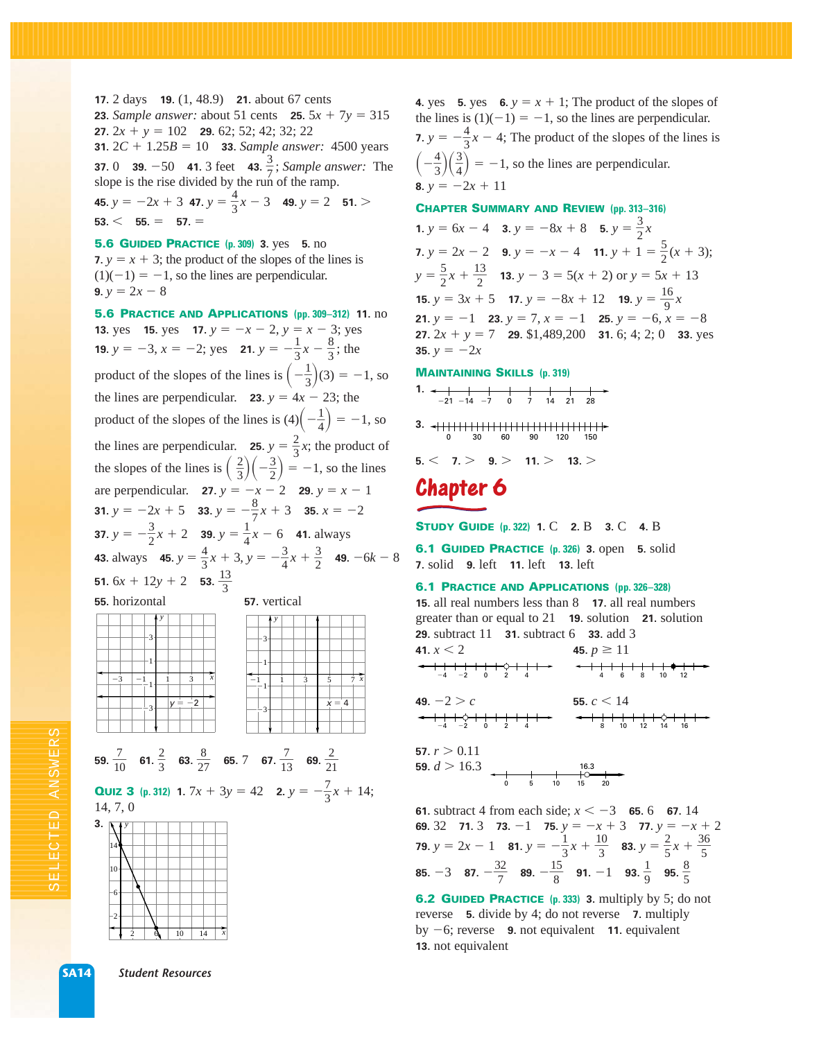**17.** 2 days **19.** (1, 48.9) **21.** about 67 cents **23.** *Sample answer:* about 51 cents **25.**  $5x + 7y = 315$ **27.**  $2x + y = 102$  **29.** 62; 52; 42; 32; 22 **31.**  $2C + 1.25B = 10$  **33.** *Sample answer*: 4500 years **37.** 0 **39.**  $-50$  **41.** 3 feet **43.**  $\frac{3}{7}$  $\frac{3}{7}$ ; *Sample answer:* The slope is the rise divided by the run of the ramp. **45.**  $y = -2x + 3$  **47.**  $y = \frac{4}{3}$ 

 $\frac{4}{3}x - 3$  **49.**  $y = 2$  **51.** >  $53. < 55. = 57. =$ 

**5.6 GUIDED PRACTICE (p. 309) 3.** yes **5.** no **7.**  $y = x + 3$ ; the product of the slopes of the lines is  $(1)(-1) = -1$ , so the lines are perpendicular. **9.**  $y = 2x - 8$ 

**5.6 PRACTICE AND APPLICATIONS (pp. 309–312) 11.** no **13.** yes **15.** yes **17.**  $y = -x - 2$ ,  $y = x - 3$ ; yes **19.**  $y = -3$ ,  $x = -2$ ; yes **21.**  $y = -\frac{1}{3}$  $\frac{1}{3}x - \frac{8}{3}$  $\frac{8}{3}$ ; the product of the slopes of the lines is  $\left(-\frac{1}{3}\right)$  $\frac{1}{3}$ (3) = -1, so the lines are perpendicular. **23.**  $y = 4x - 23$ ; the product of the slopes of the lines is  $(4)(-\frac{1}{4})$  $\frac{1}{4}$  = -1, so the lines are perpendicular. **25.**  $y = \frac{2}{3}$  $\frac{2}{3}x$ ; the product of the slopes of the lines is  $\left(\frac{2}{3}\right)$  $\frac{2}{3}$  $\left(-\frac{3}{2}\right)$  $\left(\frac{3}{2}\right)^3 = -1$ , so the lines are perpendicular. **27.**  $y = -x - 2$  **29.**  $y = x - 1$ **31.**  $y = -2x + 5$  **33.**  $y = -\frac{8}{7}$  $\frac{6}{7}x + 3$  **35.**  $x = -2$ **37.**  $y = -\frac{3}{2}$  $\frac{3}{2}x + 2$  **39.**  $y = \frac{1}{4}$  $\frac{1}{4}x - 6$  **41.** always **43.** always **45.**  $y = \frac{4}{3}$  $\frac{4}{3}x + 3$ ,  $y = -\frac{3}{4}$  $\frac{3}{4}x + \frac{3}{2}$  $\frac{3}{2}$  **49.**  $-6k - 8$ **51.**  $6x + 12y + 2$  **53.**  $\frac{1}{2}$ 3  $\frac{3}{2}$ **55.** horizontal **57.** vertical

 $-1$  1 3 5  $7x$ 1  $-1$  $-3$ 3 *y*  $-3$   $-1$   $1$   $3$   $x$ 1  $-1$  $-3$ 3 *y*  $y = -2$ 

**59.** 
$$
\frac{7}{10}
$$
 **61.**  $\frac{2}{3}$  **63.**  $\frac{8}{27}$  **65.** 7 **67.**  $\frac{7}{13}$  **69.**  $\frac{2}{2}$ 

**QUIZ 3** (p. 312) **1.**  $7x + 3y = 42$  **2.**  $y = -\frac{7}{3}$  $\frac{7}{3}x + 14$ ; 14, 7, 0

2  $\overline{1}$   $\overline{4}$ 



**4.** yes **5.** yes **6.**  $y = x + 1$ ; The product of the slopes of the lines is  $(1)(-1) = -1$ , so the lines are perpendicular. **7.**  $y = -\frac{4}{3}$  $\frac{4}{3}x - 4$ ; The product of the slopes of the lines is  $\left(-\frac{4}{3}\right)$  $\frac{4}{3}$  $\left(\frac{3}{4}\right)$  $\left(\frac{3}{4}\right) = -1$ , so the lines are perpendicular. **8.**  $y = -2x + 11$ 

#### **CHAPTER SUMMARY AND REVIEW (pp. 313–316)**

**1.**  $y = 6x - 4$  **3.**  $y = -8x + 8$  **5.**  $y = \frac{3}{2}$  $\frac{3}{2}x$ **7.**  $y = 2x - 2$  **9.**  $y = -x - 4$  **11.**  $y + 1 = \frac{5}{2}(x + 3);$ 2  $y = \frac{5}{2}$  $\frac{5}{2}x + \frac{1}{2}$ 2  $\frac{3}{2}$  **13.**  $y - 3 = 5(x + 2)$  or  $y = 5x + 13$ **15.**  $y = 3x + 5$  **17.**  $y = -8x + 12$  **19.**  $y = \frac{1}{6}$ 9  $\frac{6}{x}$ **21.**  $y = -1$  **23.**  $y = 7$ ,  $x = -1$  **25.**  $y = -6$ ,  $x = -8$ **27.**  $2x + y = 7$  **29.** \$1,489,200 **31.** 6; 4; 2; 0 **33.** yes **35.**  $y = -2x$ 

#### **MAINTAINING SKILLS (p. 319)**

**1.**  $-21$   $-14$   $-7$  0 7 14 21 28

**3.** 0 30 60 90 120 150

 $5. < 7. > 9. > 11. > 13. >$ 

### **Chapter 6**

**STUDY GUIDE (p. 322) 1.** C **2.** B **3.** C **4.** B

**6.1 GUIDED PRACTICE (p. 326) 3.** open **5.** solid **7.** solid **9.** left **11.** left **13.** left

#### **6.1 PRACTICE AND APPLICATIONS (pp. 326–328)**

**15.** all real numbers less than 8 **17.** all real numbers greater than or equal to 21 **19.** solution **21.** solution **29.** subtract 11 **31.** subtract 6 **33.** add 3

41. 
$$
x < 2
$$
  
\n45.  $p \ge 11$   
\n46.  $a$  10 12  
\n49.  $-2 > c$   
\n40.  $-2 > c$   
\n41.  $-\frac{1}{4} - \frac{1}{2} = \frac{1}{2}$   
\n42.  $-\frac{1}{4} = \frac{1}{2}$   
\n43.  $-\frac{1}{4} = \frac{1}{2}$   
\n44.  $\frac{1}{2} = \frac{1}{4}$   
\n45.  $p \ge 11$   
\n46.  $a$  10 12  
\n47.  $a$  16  
\n58.  $10 \quad 12$   
\n59.  $c < 14$   
\n8.  $\frac{1}{2} = \frac{1}{4}$   
\n60.  $\frac{1}{2}$   
\n61.  $\frac{1}{2} = \frac{1}{4}$   
\n62.  $\frac{1}{4} = \frac{1}{4}$   
\n63.  $\frac{1}{2} = \frac{1}{4}$   
\n64.  $\frac{1}{2} = \frac{1}{4}$   
\n65.  $r > 0.11$ 

**59.** 
$$
d > 16.3
$$

**61.** subtract 4 from each side;  $x < -3$  **65.** 6 **67.** 14 **69.** 32 **71.** 3 **73.** -1 **75.**  $y = -x + 3$  **77.**  $y = -x + 2$ **79.**  $y = 2x - 1$  **81.**  $y = -\frac{1}{2}$  $\frac{1}{3}x + \frac{1}{3}$ 3  $\frac{0}{2}$  **83.**  $y = \frac{2}{5}$  $\frac{2}{5}x + \frac{3}{4}$ 5  $\frac{6}{5}$ **85.**  $-3$  **87.**  $-\frac{3}{7}$ 7  $\frac{2}{7}$  **89.**  $-\frac{1}{3}$ 8  $\frac{5}{2}$  **91.** -1 **93.**  $\frac{1}{0}$  $\frac{1}{9}$  **95.**  $\frac{8}{5}$ 5 -

**6.2 GUIDED PRACTICE (p. 333) 3.** multiply by 5; do not reverse **5.** divide by 4; do not reverse **7.** multiply by  $-6$ ; reverse **9.** not equivalent **11.** equivalent **13.** not equivalent

SELECTED ANSWERS

#### **SA14** *Student Resources*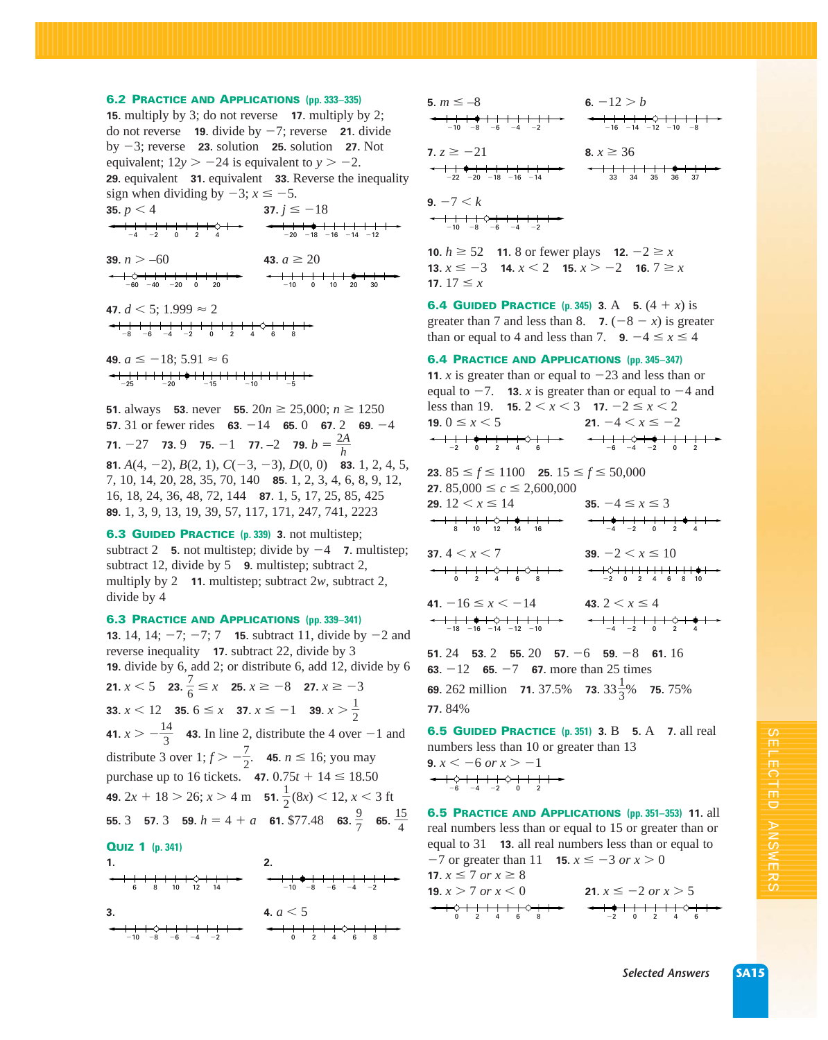#### **6.2 PRACTICE AND APPLICATIONS (pp. 333–335)**

**15.** multiply by 3; do not reverse **17.** multiply by 2; do not reverse **19.** divide by  $-7$ ; reverse **21.** divide by  $-3$ ; reverse **23.** solution **25.** solution **27.** Not equivalent;  $12y > -24$  is equivalent to  $y > -2$ . **29.** equivalent **31.** equivalent **33.** Reverse the inequality sign when dividing by  $-3$ ;  $x \le -5$ .

**35.**  $p < 4$  **37.**  $j \leq -18$ 4 2 024 20 18 16 14 12

**39.**  $n > -60$  **43.**  $a \ge 20$ 

$$
-60 - 40 - 20 \quad 0 \quad 20 \qquad -10 \quad 0 \quad 10 \quad 20 \quad 30
$$
  
**47.**  $d < 5$ ; 1.999  $\approx$  2

$$
\begin{array}{c|cccccccc}\n & -3 & -6 & -4 & -2 & 0 & 2 & 4 & 6 & 8 \\
\end{array}
$$

**49.**  $a \le -18$ ; 5.91  $\approx 6$ 25 20 15 10 5

**51.** always **53.** never **55.**  $20n \ge 25,000$ ;  $n \ge 1250$ **57.** 31 or fewer rides **63.**  $-14$  **65.** 0 **67.** 2 **69.**  $-4$ **71.**  $-27$  **73.** 9 **75.**  $-1$  **77.**  $-2$  **79.**  $b = \frac{2}{4}$ *h A* - **81.**  $A(4, -2)$ ,  $B(2, 1)$ ,  $C(-3, -3)$ ,  $D(0, 0)$  **83.** 1, 2, 4, 5, 7, 10, 14, 20, 28, 35, 70, 140 **85.** 1, 2, 3, 4, 6, 8, 9, 12, 16, 18, 24, 36, 48, 72, 144 **87.** 1, 5, 17, 25, 85, 425 **89.** 1, 3, 9, 13, 19, 39, 57, 117, 171, 247, 741, 2223

**6.3 GUIDED PRACTICE (p. 339) 3.** not multistep; subtract 2 **5.** not multistep; divide by  $-4$  **7.** multistep; subtract 12, divide by 5 **9.** multistep; subtract 2, multiply by 2 **11.** multistep; subtract 2*w*, subtract 2, divide by 4

#### **6.3 PRACTICE AND APPLICATIONS (pp. 339–341)**

**13.** 14, 14;  $-7$ ;  $-7$ ; 7 **15.** subtract 11, divide by  $-2$  and reverse inequality **17.** subtract 22, divide by 3 **19.** divide by 6, add 2; or distribute 6, add 12, divide by 6 **21.**  $x < 5$  **23.**  $\frac{7}{6}$  $\frac{7}{6} \le x$  **25.**  $x \ge -8$  **27.**  $x \ge -3$ **33.**  $x < 12$  **35.**  $6 \le x$  **37.**  $x \le -1$  **39.**  $x > \frac{1}{2}$ 2 - **41.**  $x > -\frac{1}{3}$ 3  $\frac{4}{2}$  **43.** In line 2, distribute the 4 over  $-1$  and distribute 3 over  $1; f > -\frac{7}{2}$  $\frac{1}{2}$ . **45.** *n*  $\leq$  16; you may purchase up to 16 tickets. **47.**  $0.75t + 14 \le 18.50$ **49.**  $2x + 18 > 26$ ;  $x > 4$  m **51.**  $\frac{1}{2}$  $\frac{1}{2}(8x) < 12, x < 3$  ft **55.** 3 **57.** 3 **59.**  $h = 4 + a$  **61.** \$77.48 **63.**  $\frac{9}{7}$  $\frac{9}{7}$  **65.**  $\frac{1}{4}$ 4  $\frac{5}{1}$ 

#### **QUIZ 1 (p. 341)**

**1. 2.** 6 8 10 12 14 10 8 6 4 2

3.   
4. 
$$
a < 5
$$
  
  
-10 -8 -6 -4 -2  
  
4.  $a < 5$   
  
-10 +1 +1 +1 +2 +1 +1 +3 +...  
0 2 4 6 8

| 5. $m \leq -8$                                    | 6. $-12 > b$                 |
|---------------------------------------------------|------------------------------|
| —— <del>——————————————</del><br>$-10 -8 -6 -4 -2$ | $-16$ $-14$ $-12$ $-10$ $-8$ |
| 7. $z \ge -21$                                    | 8. $x \ge 36$                |
| $-22 -20 -18 -16 -14$                             | 35<br>37<br>34<br>36<br>33   |
| 9. $-7 < k$                                       |                              |
| $-10 -8 -6 -4 -2$                                 |                              |

**10.**  $h \ge 52$  **11.** 8 or fewer plays **12.**  $-2 \ge x$ **13.**  $x \le -3$  **14.**  $x < 2$  **15.**  $x > -2$  **16.**  $7 \ge x$ **17.**  $17 \leq x$ 

**6.4 GUIDED PRACTICE (p. 345) 3.** A **5.** (4 *x*) is greater than 7 and less than 8. **7.**  $(-8 - x)$  is greater than or equal to 4 and less than 7. **9.**  $-4 \le x \le 4$ 

#### **6.4 PRACTICE AND APPLICATIONS (pp. 345–347)**

| <b>11.</b> x is greater than or equal to $-23$ and less than or<br>equal to $-7$ . <b>13</b> . x is greater than or equal to $-4$ and |
|---------------------------------------------------------------------------------------------------------------------------------------|
| less than 19. <b>15.</b> $2 < x < 3$ <b>17.</b> $-2 \le x < 2$                                                                        |
| <b>21.</b> $-4 < x \le -2$<br>19. $0 \leq x \leq 5$                                                                                   |
|                                                                                                                                       |
| <b>23.</b> $85 \le f \le 1100$ <b>25.</b> $15 \le f \le 50,000$                                                                       |
| <b>27.</b> 85,000 $\leq c \leq 2,600,000$                                                                                             |
| <b>29.</b> 12 $\lt x \le 14$<br>35. $-4 \le x \le 3$                                                                                  |
| $+\textcolor{red}{+\textcolor{blue}{+\textcolor{blue}{\leadsto}}}$<br>16<br>14<br>10 12<br>8                                          |
| 37.4 $\lt x \lt 7$<br><b>39.</b> $-2 < x \le 10$                                                                                      |
| <del>←   〇                            </del><br>-2  0  2  4  6  8  10                                                                 |
| 41. $-16 \le x \le -14$<br>43. 2 $\lt x \leq 4$                                                                                       |
| <del>← ┼ ┼ ♦ ┿</del> ◇┼┼┼┼┼╌≻<br>$-4$ $-2$ $0$ $2$<br>$-18$ $-16$ $-14$ $-12$ $-10$                                                   |
| 51. 24 53. 2 55. 20 57. $-6$ 59. $-8$ 61. 16<br>63. $-12$ 65. $-7$ 67. more than 25 times                                             |
|                                                                                                                                       |
| <b>69.</b> 262 million <b>71.</b> 37.5% <b>73.</b> 33 $\frac{1}{3}$ % <b>75.</b> 75%                                                  |
| 77.84%                                                                                                                                |
| <b>6.5 GUIDED PRACTICE</b> $(p.351)$ <b>3.</b> B <b>5.</b> A <b>7.</b> all real                                                       |

numbers less than 10 or greater than 13 **9.**  $x < -6$  *or*  $x > -1$  $-6$   $-4$   $-2$  0 2

**6.5 PRACTICE AND APPLICATIONS (pp. 351–353) 11.** all real numbers less than or equal to 15 or greater than or equal to 31 **13.** all real numbers less than or equal to  $-7$  or greater than 11 **15.**  $x \le -3$  or  $x > 0$ **17.**  $x \leq 7$  *or*  $x \geq 8$ **19.**  $x > 7$  or  $x < 0$  **21.**  $x \le -2$  or  $x > 5$ ╺╾┿◇┼┊╎╎╎╎╎║╲╫╍╄╾╷╷╶╾┽╋╎╎╎╎╎╎╎╱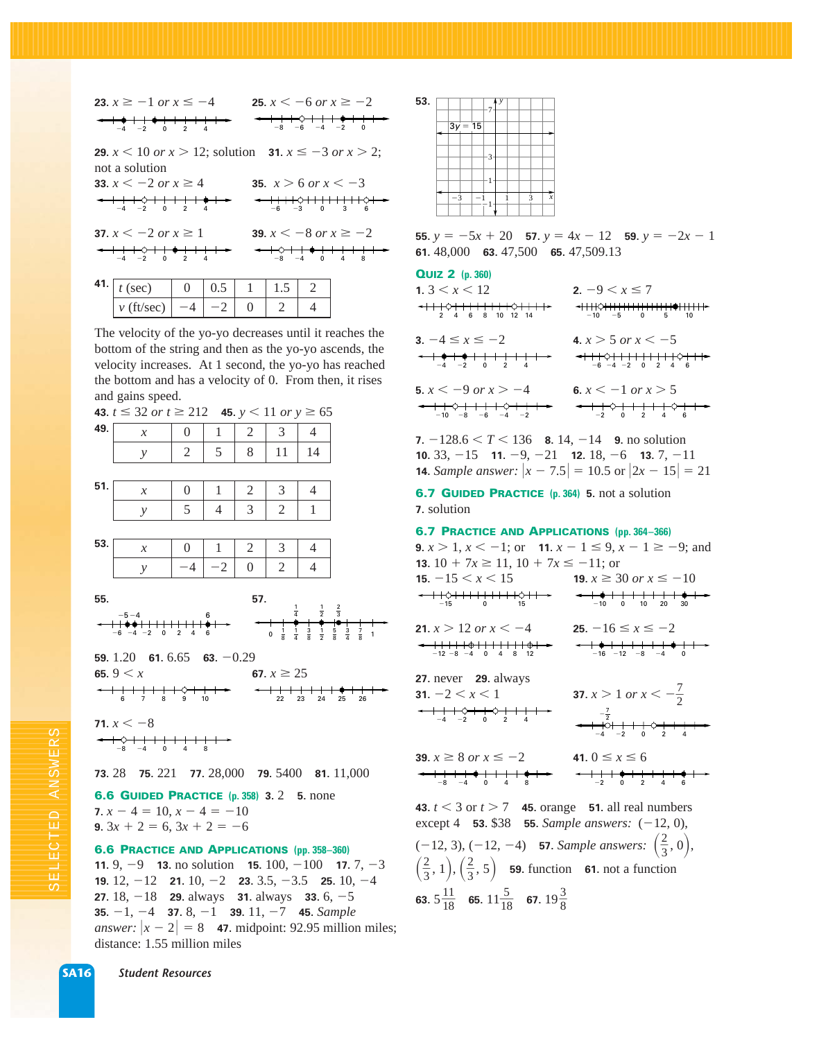| <b>23.</b> $x \ge -1$ or $x \le -4$                                           |     |   | <b>25.</b> $x < -6$ or $x \ge -2$ |       |                                   |  |  |  |
|-------------------------------------------------------------------------------|-----|---|-----------------------------------|-------|-----------------------------------|--|--|--|
|                                                                               |     |   |                                   |       | $-8$ $-6$ $-4$ $-2$ 0             |  |  |  |
| <b>29.</b> $x < 10$ or $x > 12$ ; solution <b>31.</b> $x \le -3$ or $x > 2$ ; |     |   |                                   |       |                                   |  |  |  |
| not a solution                                                                |     |   |                                   |       |                                   |  |  |  |
| <b>33.</b> $x < -2$ or $x \ge 4$                                              |     |   |                                   |       | <b>35.</b> $x > 6$ or $x < -3$    |  |  |  |
|                                                                               |     |   |                                   |       |                                   |  |  |  |
| <b>37.</b> $x < -2$ or $x \ge 1$                                              |     |   |                                   |       | <b>39.</b> $x < -8$ or $x \ge -2$ |  |  |  |
|                                                                               |     |   |                                   | +◆→→→ |                                   |  |  |  |
| $t$ (sec)                                                                     | 0.5 | 1 | 1.5                               |       |                                   |  |  |  |
| $\sqrt{v(\text{ft/sec})}$ -4 -2 0                                             |     |   |                                   |       |                                   |  |  |  |

The velocity of the yo-yo decreases until it reaches the bottom of the string and then as the yo-yo ascends, the velocity increases. At 1 second, the yo-yo has reached the bottom and has a velocity of 0. From then, it rises and gains speed.

|                                                                    | and gains speed.                                                                                                                                                                                                |                                  |        |                  |                                                      |                                               |                                               |                               |
|--------------------------------------------------------------------|-----------------------------------------------------------------------------------------------------------------------------------------------------------------------------------------------------------------|----------------------------------|--------|------------------|------------------------------------------------------|-----------------------------------------------|-----------------------------------------------|-------------------------------|
|                                                                    | 43. $t \le 32$ or $t \ge 212$ 45. $y < 11$ or $y \ge 65$                                                                                                                                                        |                                  |        |                  |                                                      |                                               |                                               |                               |
| 49.                                                                | $\boldsymbol{\mathcal{X}}$                                                                                                                                                                                      | 0                                | 1      | 2                | 3                                                    | 4                                             |                                               |                               |
|                                                                    | у                                                                                                                                                                                                               | 2                                | 5      | 8                | 11                                                   | 14                                            |                                               |                               |
|                                                                    |                                                                                                                                                                                                                 |                                  |        |                  |                                                      |                                               |                                               |                               |
| 51.                                                                | $\boldsymbol{\mathcal{X}}$                                                                                                                                                                                      | 0                                | 1      | 2                | 3                                                    | 4                                             |                                               |                               |
|                                                                    | у                                                                                                                                                                                                               | 5                                | 4      | 3                | 2                                                    | 1                                             |                                               |                               |
|                                                                    |                                                                                                                                                                                                                 |                                  |        |                  |                                                      |                                               |                                               |                               |
| 53.                                                                | $\boldsymbol{\mathcal{X}}$                                                                                                                                                                                      | $\overline{0}$                   | 1      | 2                | 3                                                    | 4                                             |                                               |                               |
|                                                                    | y                                                                                                                                                                                                               | $-4$                             | -2     | $\boldsymbol{0}$ | 2                                                    | 4                                             |                                               |                               |
| 55.                                                                | -5-4<br>0<br>$-6$ $-4$ $-2$<br>59. 1.20 61. 6.65 63. $-0.29$                                                                                                                                                    | $\overline{2}$<br>$\overline{4}$ | 6<br>6 | 57.              | $\frac{1}{4}$<br>$\frac{1}{4}$<br>$\frac{1}{8}$<br>0 | $\frac{1}{2}$<br>$rac{1}{8}$<br>$\frac{1}{2}$ | $rac{2}{3}$<br>$\frac{1}{2}$<br>$\frac{3}{4}$ | $\frac{7}{8}$<br>$\mathbf{1}$ |
|                                                                    | 65.9 $\lt x$                                                                                                                                                                                                    |                                  |        |                  | 67. $x \ge 25$                                       |                                               |                                               |                               |
|                                                                    | $\begin{array}{c} \begin{array}{c} \uparrow \\ \downarrow \\ \downarrow \\ 6 \end{array} & \begin{array}{c} \uparrow \\ \downarrow \\ 7 \end{array} & \begin{array}{c} \downarrow \\ 8 \end{array} \end{array}$ | ∘<br>$\frac{0}{9}$ 10            |        |                  | 22                                                   | 24<br>23                                      | 25                                            | 26                            |
| 71. $x < -8$<br>$_{\rm o}^+$<br>$\frac{+}{4}$<br>$-8$<br>$-4$<br>8 |                                                                                                                                                                                                                 |                                  |        |                  |                                                      |                                               |                                               |                               |
|                                                                    | 73. 28 75. 221 77. 28,000 79. 5400 81. 11,000                                                                                                                                                                   |                                  |        |                  |                                                      |                                               |                                               |                               |
|                                                                    | <b>6.6 GUIDED PRACTICE</b> $(p. 358)$ 3. 2 5. none<br>7. $x - 4 = 10$ , $x - 4 = -10$<br><b>9.</b> $3x + 2 = 6$ , $3x + 2 = -6$                                                                                 |                                  |        |                  |                                                      |                                               |                                               |                               |

#### **6.6 PRACTICE AND APPLICATIONS (pp. 358–360)**

**11.** 9,  $-9$  **13.** no solution **15.** 100,  $-100$  **17.** 7,  $-3$ **19.** 12,  $-12$  **21.** 10,  $-2$  **23.** 3.5,  $-3.5$  **25.** 10,  $-4$ **27.** 18,  $-18$  **29.** always **31.** always **33.** 6,  $-5$ **35.** 1, 4 **37.** 8, 1 **39.** 11, 7 **45.** *Sample answer:*  $|x-2| = 8$  **47.** midpoint: 92.95 million miles; distance: 1.55 million miles

| 53. |           |  |   | $\mathcal{Y}$ |   |                  |
|-----|-----------|--|---|---------------|---|------------------|
|     | $3y = 15$ |  |   |               |   |                  |
|     |           |  |   |               |   |                  |
|     |           |  | 3 |               |   |                  |
|     |           |  |   |               |   |                  |
|     | Ω         |  |   |               | 2 | $\boldsymbol{x}$ |

**55.**  $y = -5x + 20$  **57.**  $y = 4x - 12$  **59.**  $y = -2x - 1$ **61.** 48,000 **63.** 47,500 **65.** 47,509.13

#### **QUIZ 2 (p. 360)**

| 1. $3 < x < 12$                               | 2. $-9 < x \le 7$                                                                                                       |
|-----------------------------------------------|-------------------------------------------------------------------------------------------------------------------------|
|                                               | $-10 -5 0 5 10$                                                                                                         |
| 3. $-4 \le x \le -2$<br>$-4$ $-2$ $0$ $2$ $4$ | 4. $x > 5$ or $x < -5$<br>$\begin{array}{c} \begin{array}{c} \bullet \end{array} \end{array}$<br>$-6$ $-4$ $-2$ 0 2 4 6 |
| 5. $x < -9$ or $x > -4$<br>$-10 -8 -6 -4 -2$  | 6. $x < -1$ or $x > 5$                                                                                                  |

**7.**  $-128.6 < T < 136$  **8.** 14,  $-14$  **9.** no solution **10.** 33,  $-15$  **11.**  $-9$ ,  $-21$  **12.** 18,  $-6$  **13.** 7,  $-11$ **14.** *Sample answer:*  $|x - 7.5| = 10.5$  or  $|2x - 15| = 21$ 

**6.7 GUIDED PRACTICE (p. 364) 5.** not a solution **7.** solution

#### **6.7 PRACTICE AND APPLICATIONS (pp. 364–366)**

**9.**  $x > 1, x < -1$ ; or **11.**  $x - 1 \le 9, x - 1 \ge -9$ ; and **13.** 10 +  $7x \ge 11$ , 10 +  $7x \le -11$ ; or **15.**  $-15 < x < 15$  **19.**  $x \ge 30$  *or*  $x \le -10$ **21.**  $x > 12$  *or*  $x < -4$  **25.**  $-16 \le x \le -2$ **27.** never **29.** always **31.**  $-2 < x < 1$  $\frac{7}{2}$ 2 - **39.**  $x \ge 8$  or  $x \le -2$  **41.**  $0 \le x \le 6$ **43.**  $t < 3$  or  $t > 7$  **45.** orange **51.** all real numbers except 4 **53.** \$38 **55.** *Sample answers:*  $(-12, 0)$ , 8 4048 2 0246  $-4$   $-2$  0 2 4  $-\frac{7}{2}$  $\leftarrow + + \circ + + \circ + + + \circ +$  $-12$   $-8$   $-4$  0 4 8 12  $-16$   $-12$   $-8$   $-4$  0 15 0 15 10 0 10 20 30

 $(-12, 3), (-12, -4)$  **57.** *Sample answers:*  $\left(\frac{2}{3}\right)$  $\frac{2}{3}$ , 0),  $\left(\frac{2}{3}\right)$  $\left(\frac{2}{3}, 1\right), \left(\frac{2}{3}\right)$  $\left(\frac{2}{3}, 5\right)$  **59.** function **61.** not a function **63.**  $5\frac{1}{1}$ 1 1  $\frac{1}{8}$  **65.**  $11\frac{1}{1}$ 5  $\frac{5}{8}$  **67.** 19 $\frac{3}{8}$ 8 -

**SA16** *Student Resources*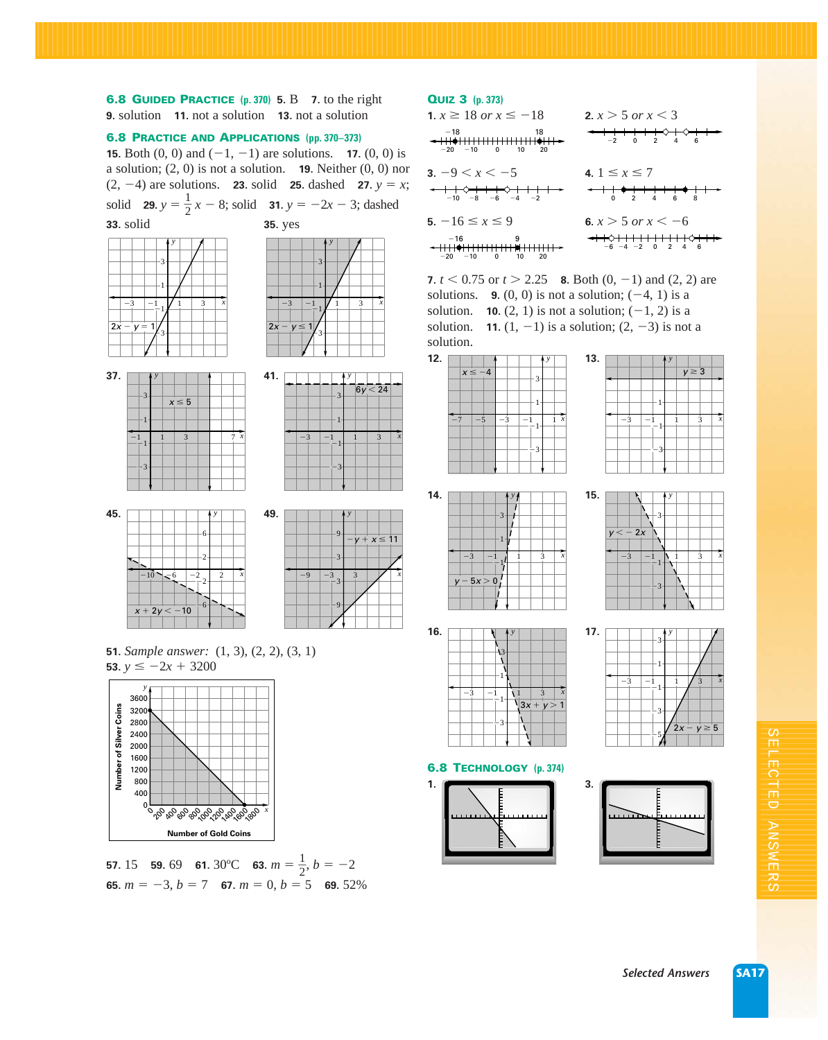**6.8 GUIDED PRACTICE (p. 370) 5.** B **7.** to the right **9.** solution **11.** not a solution **13.** not a solution

#### **6.8 PRACTICE AND APPLICATIONS (pp. 370–373)**

**15.** Both  $(0, 0)$  and  $(-1, -1)$  are solutions. **17.**  $(0, 0)$  is a solution; (2, 0) is not a solution. **19.** Neither (0, 0) nor  $(2, -4)$  are solutions. **23.** solid **25.** dashed **27.**  $y = x$ ; solid **29.**  $y = \frac{1}{2}$  $\frac{1}{2}x - 8$ ; solid **31.**  $y = -2x - 3$ ; dashed **33.** solid **35.** yes













**51.** *Sample answer:* (1, 3), (2, 2), (3, 1) **53.**  $y \le -2x + 3200$ 



**57.** 15 **59.** 69 **61.** 30°C **63.**  $m = \frac{1}{2}$  $\frac{1}{2}$ ,  $b = -2$ **65.**  $m = -3$ ,  $b = 7$  **67.**  $m = 0$ ,  $b = 5$  **69.** 52%

#### **QUIZ 3 (p. 373)**

| 1. $x \ge 18$ or $x \le -18$<br>$-18$<br>18                                                                                                                                                                                                                                                                                                                                                                                                                                                                           | 2. $x > 5$ or $x < 3$                                  |
|-----------------------------------------------------------------------------------------------------------------------------------------------------------------------------------------------------------------------------------------------------------------------------------------------------------------------------------------------------------------------------------------------------------------------------------------------------------------------------------------------------------------------|--------------------------------------------------------|
| $-20 - 10$<br>20<br>10<br><sup>0</sup>                                                                                                                                                                                                                                                                                                                                                                                                                                                                                | $-2$<br>$\mathcal{P}$<br>$\Omega$<br>ĥ                 |
| $-9 < x < -5$                                                                                                                                                                                                                                                                                                                                                                                                                                                                                                         | 4. 1 $\leq x \leq 7$                                   |
| $\leftarrow$ $\leftarrow$ $\leftarrow$ $\leftarrow$ $\leftarrow$ $\leftarrow$ $\leftarrow$ $\leftarrow$ $\leftarrow$ $\leftarrow$ $\leftarrow$ $\leftarrow$ $\leftarrow$ $\leftarrow$ $\leftarrow$ $\leftarrow$ $\leftarrow$ $\leftarrow$ $\leftarrow$ $\leftarrow$ $\leftarrow$ $\leftarrow$ $\leftarrow$ $\leftarrow$ $\leftarrow$ $\leftarrow$ $\leftarrow$ $\leftarrow$ $\leftarrow$ $\leftarrow$ $\leftarrow$ $\leftarrow$ $\leftarrow$ $\leftarrow$ $\leftarrow$ $\leftarrow$ $\leftarrow$<br>$-10 -8 -6 -4 -2$ | $\overline{\phantom{a}}$<br>$\Delta$<br>$\overline{2}$ |
| 5. $-16 \le x \le 9$                                                                                                                                                                                                                                                                                                                                                                                                                                                                                                  | 6. $x > 5$ or $x < -6$                                 |
| $-16$<br>$-20 - 10$<br>20<br>0<br>10                                                                                                                                                                                                                                                                                                                                                                                                                                                                                  | <del>-&gt;++++++++</del><br>$-6$ $-4$ $-2$ 0 2         |

**7.**  $t < 0.75$  or  $t > 2.25$  **8.** Both  $(0, -1)$  and  $(2, 2)$  are solutions. **9.**  $(0, 0)$  is not a solution;  $(-4, 1)$  is a solution. **10.** (2, 1) is not a solution;  $(-1, 2)$  is a solution. **11.**  $(1, -1)$  is a solution;  $(2, -3)$  is not a solution.

| 12. |          | $x \le -4$ |      |    | v |                  | 13. |
|-----|----------|------------|------|----|---|------------------|-----|
|     |          |            |      | 3  |   |                  |     |
|     |          |            |      |    |   |                  |     |
|     | $\equiv$ |            | $-3$ |    |   | $\boldsymbol{x}$ |     |
|     |          |            |      | -3 |   |                  |     |
|     |          |            |      |    |   |                  |     |

|      |  |   | $\overline{y}$ |            |                     |
|------|--|---|----------------|------------|---------------------|
|      |  |   |                | $y \geq 3$ |                     |
|      |  |   |                |            |                     |
|      |  |   |                |            |                     |
|      |  |   |                |            |                     |
| $-3$ |  |   |                |            | $\boldsymbol{\chi}$ |
|      |  |   |                |            |                     |
|      |  |   |                |            |                     |
|      |  |   |                |            |                     |
|      |  | 3 |                |            |                     |





**6.8 TECHNOLOGY (p. 374)**





 $-3$   $-1$   $1$   $3$   $x$ 1

 $\begin{array}{|c|c|c|c|c|c|} \hline -3 & -1 & 1 & 3 & x \\ \hline \end{array}$ 

3 *y*

 $-3$ 

3 *y*

 $2x$ 

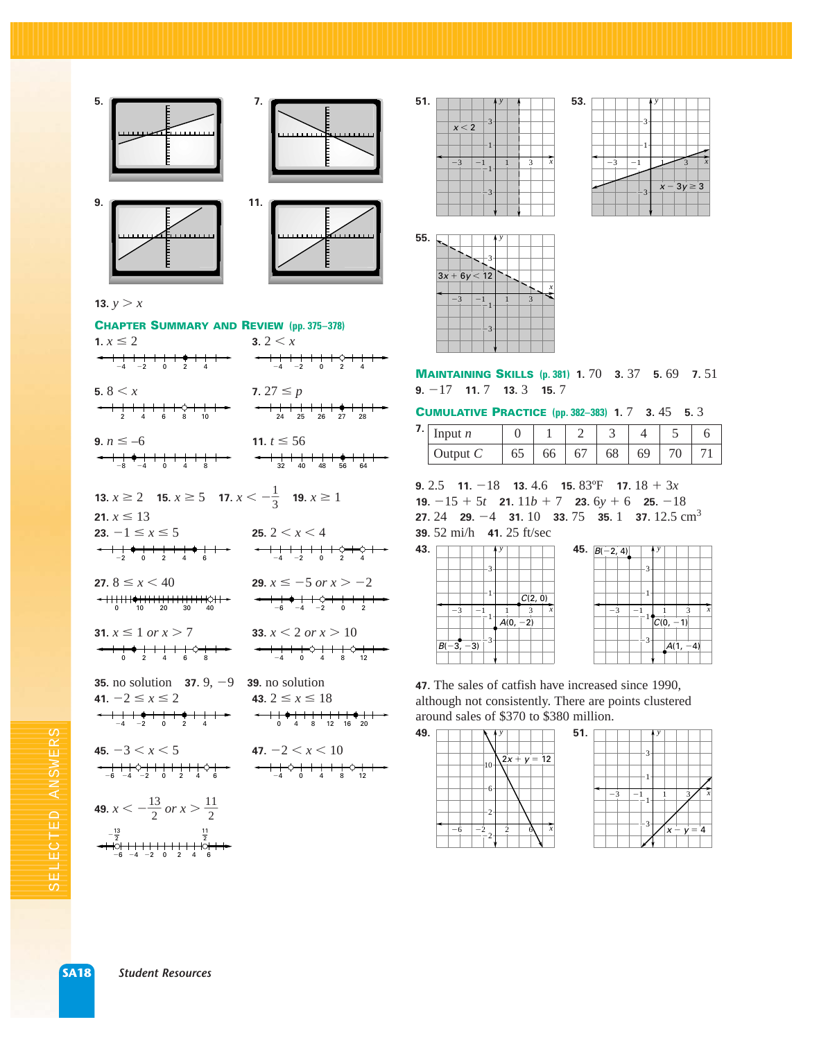

**13.**  $y > x$ 

| <b>CHAPTER SUMMARY AND REVIEW (pp. 375-378)</b>                  |                                                                                                                                                                                                                                                                                                                                                                                                                                                                                                                                                 |
|------------------------------------------------------------------|-------------------------------------------------------------------------------------------------------------------------------------------------------------------------------------------------------------------------------------------------------------------------------------------------------------------------------------------------------------------------------------------------------------------------------------------------------------------------------------------------------------------------------------------------|
| 1. $x \leq 2$                                                    | 3. $2 < x$                                                                                                                                                                                                                                                                                                                                                                                                                                                                                                                                      |
| $-4$ -2 0 2 4                                                    |                                                                                                                                                                                                                                                                                                                                                                                                                                                                                                                                                 |
| 5. 8 $\lt x$                                                     | 7. 27 $\leq p$                                                                                                                                                                                                                                                                                                                                                                                                                                                                                                                                  |
|                                                                  |                                                                                                                                                                                                                                                                                                                                                                                                                                                                                                                                                 |
| <b>9.</b> $n \le -6$                                             | <b>11.</b> $t \leq 56$<br>$\begin{array}{c cccc}\n\bullet & + & + & + & + & + & + & \bullet & + & + \\ \hline\n& 32 & 40 & 48 & 56 & 64\n\end{array}$                                                                                                                                                                                                                                                                                                                                                                                           |
| 13. $x \ge 2$ 15. $x \ge 5$ 17. $x < -\frac{1}{3}$ 19. $x \ge 1$ |                                                                                                                                                                                                                                                                                                                                                                                                                                                                                                                                                 |
| <b>21.</b> $x \le 13$                                            | 25. $2 < x < 4$                                                                                                                                                                                                                                                                                                                                                                                                                                                                                                                                 |
| <b>23.</b> $-1 \le x \le 5$                                      |                                                                                                                                                                                                                                                                                                                                                                                                                                                                                                                                                 |
| <b>27.</b> $8 \leq x \leq 40$                                    | <b>29.</b> $x \le -5$ or $x > -2$                                                                                                                                                                                                                                                                                                                                                                                                                                                                                                               |
| <del>&lt;     ●              </del> <   ><br>20   30   40        |                                                                                                                                                                                                                                                                                                                                                                                                                                                                                                                                                 |
| <b>31.</b> $x \leq 1$ or $x > 7$                                 | <b>33.</b> $x < 2$ or $x > 10$                                                                                                                                                                                                                                                                                                                                                                                                                                                                                                                  |
|                                                                  | $\begin{array}{cccccccc}\n & - & + & + & + & \circ & + & + & \circ & + & + & \circ & + & + & \circ & + & + & \circ & + & \circ & + & \circ & + & \circ & + & \circ & + & \circ & + & \circ & + & \circ & + & \circ & + & \circ & + & \circ & + & \circ & + & \circ & + & \circ & + & \circ & + & \circ & + & \circ & + & \circ & + & \circ & + & \circ & + & \circ & + & \circ & + & \circ & + & \circ & + & \circ & + & \circ & + & \circ & + & \circ & + & \circ & + & \circ & + & \circ & + & \circ & + & \circ & + & \circ & + & \circ & +$ |
| <b>35.</b> no solution <b>37.</b> 9, $-9$                        | 39. no solution                                                                                                                                                                                                                                                                                                                                                                                                                                                                                                                                 |
| 41. $-2 \le x \le 2$                                             | 43. $2 \leq x \leq 18$                                                                                                                                                                                                                                                                                                                                                                                                                                                                                                                          |
| $+\qquad +$                                                      |                                                                                                                                                                                                                                                                                                                                                                                                                                                                                                                                                 |
| 45. $-3 < x < 5$                                                 | 47. $-2 < x < 10$                                                                                                                                                                                                                                                                                                                                                                                                                                                                                                                               |
| $-6$ $-4$ $-2$ 0 2 4 6                                           |                                                                                                                                                                                                                                                                                                                                                                                                                                                                                                                                                 |
| 49. $x < -\frac{13}{2}$ or $x > \frac{11}{2}$                    |                                                                                                                                                                                                                                                                                                                                                                                                                                                                                                                                                 |
| $-\frac{13}{2}$ $\frac{11}{2}$                                   |                                                                                                                                                                                                                                                                                                                                                                                                                                                                                                                                                 |

**51.**  $\begin{array}{|c|c|c|c|c|c|} \hline \end{array}$   $\uparrow$   $\uparrow$   $\uparrow$   $\uparrow$   $\uparrow$  53. **55.**  $-3$   $-1$   $1$   $3$   $x$ 1  $\frac{1}{1}$  $-3$ 3 *y*  $x < 2$ 





**MAINTAINING SKILLS (p. 381) 1.** 70 **3.** 37 **5.** 69 **7.** 51 **9.** 17 **11.** 7 **13.** 3 **15.** 7

| <b>CUMULATIVE PRACTICE</b> (pp. 382-383) 1. $7\text{ }3.45\text{ }5.3$ |  |  |  |  |  |
|------------------------------------------------------------------------|--|--|--|--|--|
|------------------------------------------------------------------------|--|--|--|--|--|

| . . | Input $n$  |    |    |    |    |  |  |
|-----|------------|----|----|----|----|--|--|
|     | Output $C$ | ບບ | oo | б, | 68 |  |  |

**9.** 2.5 **11.**  $-18$  **13.** 4.6 **15.** 83°F **17.** 18 + 3*x* **19.**  $-15 + 5t$  **21.**  $11b + 7$  **23.**  $6y + 6$  **25.**  $-18$ **27.** 24 **29.**  $-4$  **31.** 10 **33.** 75 **35.** 1 **37.** 12.5 cm<sup>3</sup> **39.** 52 mi/h **41.** 25 ft/sec

| 43. |             |  |    | $\mathbf{v}$ |            |         |                  | 45. |
|-----|-------------|--|----|--------------|------------|---------|------------------|-----|
|     |             |  | 3  |              |            |         |                  |     |
|     |             |  |    |              |            | C(2, 0) |                  |     |
|     |             |  |    |              | $A(0, -2)$ |         | $\boldsymbol{x}$ |     |
|     | $B(-3, -3)$ |  | -3 |              |            |         |                  |     |
|     |             |  |    |              |            |         |                  |     |

| i. | $B(-2, 4)$ |  |   | $\overline{\mathbf{v}}$ |                           |                  |
|----|------------|--|---|-------------------------|---------------------------|------------------|
|    |            |  | 3 |                         |                           |                  |
|    |            |  |   |                         |                           |                  |
|    |            |  |   |                         |                           |                  |
|    |            |  |   |                         | $\int_{0}^{1}$ $C(0, -1)$ | $\boldsymbol{x}$ |
|    |            |  | 3 |                         | $A(1, -4)$                |                  |

**47.** The sales of catfish have increased since 1990, although not consistently. There are points clustered around sales of \$370 to \$380 million.

| 49. | y                     | 51.              |
|-----|-----------------------|------------------|
|     | $2x + y = 12$<br>10   |                  |
|     | 6                     |                  |
|     | $\overline{c}$        |                  |
|     | $\overline{-2}$<br>-2 | $\boldsymbol{x}$ |

|                                | ν  |                  | 51. |                         | $\mathbf{v}$ |           |  |
|--------------------------------|----|------------------|-----|-------------------------|--------------|-----------|--|
|                                |    | $2x + y = 12$    |     | 3                       |              |           |  |
|                                | 10 |                  |     |                         |              |           |  |
|                                | 6  |                  |     |                         |              |           |  |
|                                |    |                  |     |                         |              |           |  |
|                                |    |                  |     | $\overline{\mathbf{3}}$ |              |           |  |
| $\overline{\phantom{0}}$<br>-6 |    | $\boldsymbol{x}$ |     |                         |              | $x - y =$ |  |
|                                |    |                  |     |                         |              |           |  |

 $-6$   $-4$   $-2$  0 2 4 6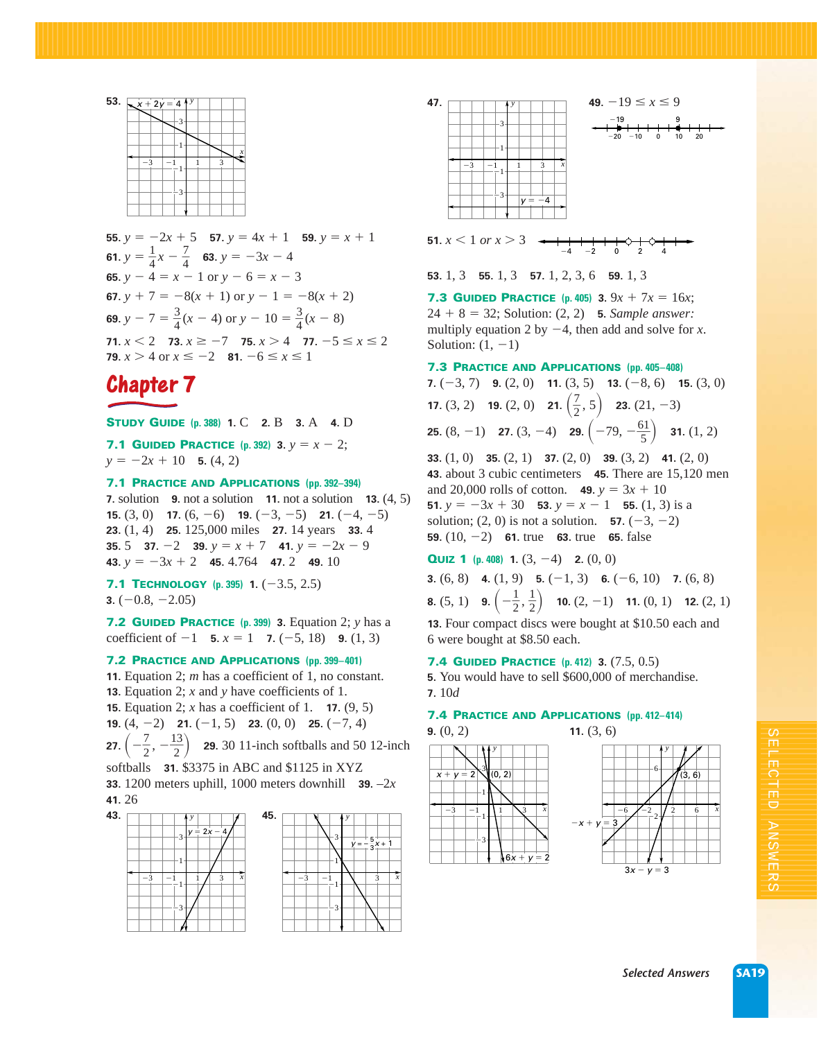

**55.**  $y = -2x + 5$  **57.**  $y = 4x + 1$  **59.**  $y = x + 1$ **61.**  $y = \frac{1}{4}$  $\frac{1}{4}x - \frac{7}{4}$  $\frac{7}{4}$  **63.**  $y = -3x - 4$ **65.**  $y - 4 = x - 1$  or  $y - 6 = x - 3$ **67.**  $y + 7 = -8(x + 1)$  or  $y - 1 = -8(x + 2)$ **69.**  $y - 7 = \frac{3}{4}$  $\frac{3}{4}(x-4)$  or  $y-10=\frac{3}{4}$  $\frac{3}{4}(x-8)$ **71.**  $x < 2$  **73.**  $x \ge -7$  **75.**  $x > 4$  **77.**  $-5 \le x \le 2$ **79.**  $x > 4$  or  $x \le -2$  **81.**  $-6 \le x \le 1$ 

### **Chapter 7**

**STUDY GUIDE (p. 388) 1.** C **2.** B **3.** A **4.** D

**7.1 GUIDED PRACTICE** (p. 392) **3.**  $y = x - 2$ ;  $y = -2x + 10$  **5.** (4, 2)

#### **7.1 PRACTICE AND APPLICATIONS (pp. 392–394)**

**7.** solution **9.** not a solution **11.** not a solution **13.** (4, 5) **15.** (3, 0) **17.** (6, -6) **19.**  $(-3, -5)$  **21.**  $(-4, -5)$ **23.** (1, 4) **25.** 125,000 miles **27.** 14 years **33.** 4 **35.** 5 **37.**  $-2$  **39.**  $y = x + 7$  **41.**  $y = -2x - 9$ **43.**  $y = -3x + 2$  **45.** 4.764 **47.** 2 **49.** 10

**7.1 TECHNOLOGY** (p. 395) **1.**  $(-3.5, 2.5)$ **3.**  $(-0.8, -2.05)$ 

**7.2 GUIDED PRACTICE (p. 399) 3.** Equation 2; *y* has a coefficient of  $-1$  **5.**  $x = 1$  **7.** (-5, 18) **9.** (1, 3)

#### **7.2 PRACTICE AND APPLICATIONS (pp. 399–401)**

**11.** Equation 2; *m* has a coefficient of 1, no constant. **13.** Equation 2; *x* and *y* have coefficients of 1.

- 
- **15.** Equation 2; *x* has a coefficient of 1. **17.** (9, 5) **19.**  $(4, -2)$  **21.**  $(-1, 5)$  **23.**  $(0, 0)$  **25.**  $(-7, 4)$

**27.**  $\left(-\frac{7}{2}\right)$  $\frac{3}{2}$ 

 $\frac{7}{2}, -\frac{1}{2}$ 2 **29.** 30 11-inch softballs and 50 12-inch

softballs **31.** \$3375 in ABC and \$1125 in XYZ

**33.** 1200 meters uphill, 1000 meters downhill **39.** –2*x* **41.** 26



| $-3$<br>3<br>- |   |
|----------------|---|
|                | x |
| 3              |   |





20

#### **53.** 1, 3 **55.** 1, 3 **57.** 1, 2, 3, 6 **59.** 1, 3

**7.3 GUIDED PRACTICE** (p. 405) **3.**  $9x + 7x = 16x$ ;  $24 + 8 = 32$ ; Solution:  $(2, 2)$  **5.** *Sample answer:* multiply equation 2 by  $-4$ , then add and solve for *x*. Solution:  $(1, -1)$ 

#### **7.3 PRACTICE AND APPLICATIONS (pp. 405–408)**

**7.**  $(-3, 7)$  **9.**  $(2, 0)$  **11.**  $(3, 5)$  **13.**  $(-8, 6)$  **15.**  $(3, 0)$ **17.** (3, 2) **19.** (2, 0) **21.**  $\left(\frac{7}{2}\right)$  $\left(\frac{7}{2}, 5\right)$  **23.** (21, -3) **25.**  $(8, -1)$  **27.**  $(3, -4)$  **29.**  $\left(-79, -\frac{6}{5}\right)$ 5  $\frac{1}{5}$  **31.** (1, 2)

**33.** (1, 0) **35.** (2, 1) **37.** (2, 0) **39.** (3, 2) **41.** (2, 0) **43.** about 3 cubic centimeters **45.** There are 15,120 men and 20,000 rolls of cotton. **49.**  $y = 3x + 10$ **51.**  $y = -3x + 30$  **53.**  $y = x - 1$  **55.** (1, 3) is a solution;  $(2, 0)$  is not a solution. **57.**  $(-3, -2)$ **59.**  $(10, -2)$  **61.** true **63.** true **65.** false

#### **QUIZ 1** (p. 408) **1.**  $(3, -4)$  **2.**  $(0, 0)$

**3.** (6, 8) **4.** (1, 9) **5.** (-1, 3) **6.** (-6, 10) **7.** (6, 8)  
**8.** (5, 1) **9.** 
$$
\left(-\frac{1}{2}, \frac{1}{2}\right)
$$
 **10.** (2, -1) **11.** (0, 1) **12.** (2, 1)

**13.** Four compact discs were bought at \$10.50 each and 6 were bought at \$8.50 each.

#### **7.4 GUIDED PRACTICE (p. 412) 3.** (7.5, 0.5)

**5.** You would have to sell \$600,000 of merchandise. **7.** 10*d*

#### **7.4 PRACTICE AND APPLICATIONS (pp. 412–414)**

**9.** (0, 2) **11.** (3, 6)





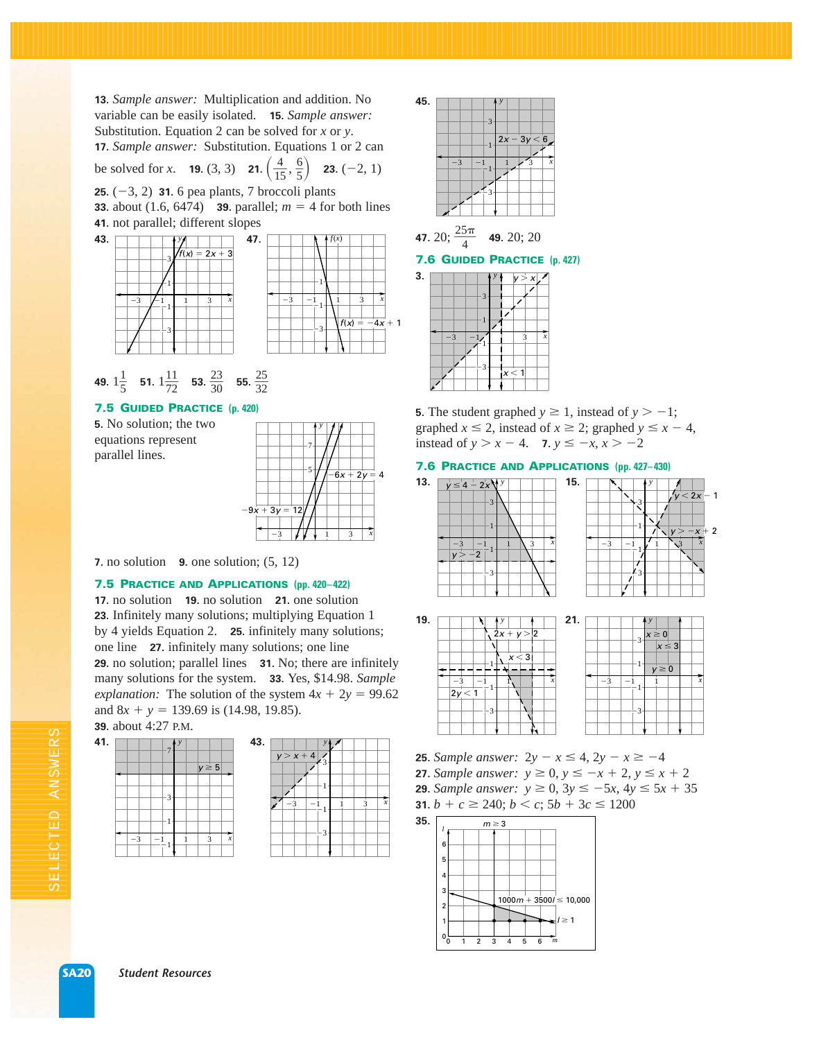**13.** *Sample answer:* Multiplication and addition. No variable can be easily isolated. **15.** *Sample answer:* Substitution. Equation 2 can be solved for *x* or *y*. **17.** *Sample answer:* Substitution. Equations 1 or 2 can

be solved for *x*. **19.** (3, 3) **21.**  $\left(\frac{2}{1}\right)$ 4  $\frac{4}{5}, \frac{6}{5}$ **23.**  $(-2, 1)$ 

**25.**  $(-3, 2)$  **31.** 6 pea plants, 7 broccoli plants **33.** about  $(1.6, 6474)$  **39.** parallel;  $m = 4$  for both lines **41.** not parallel; different slopes

5 -



**49.** 
$$
1\frac{1}{5}
$$
 **51.**  $1\frac{11}{72}$  **53.**  $\frac{23}{30}$  **55.**  $\frac{25}{32}$ 

#### **7.5 GUIDED PRACTICE (p. 420)**

**5.** No solution; the two equations represent parallel lines.



**7.** no solution **9.** one solution; (5, 12)

#### **7.5 PRACTICE AND APPLICATIONS (pp. 420–422)**

**17.** no solution **19.** no solution **21.** one solution **23.** Infinitely many solutions; multiplying Equation 1 by 4 yields Equation 2. **25.** infinitely many solutions; one line **27.** infinitely many solutions; one line **29.** no solution; parallel lines **31.** No; there are infinitely many solutions for the system. **33.** Yes, \$14.98. *Sample explanation:* The solution of the system  $4x + 2y = 99.62$ and  $8x + y = 139.69$  is (14.98, 19.85).

**39.** about 4:27 P.M.



| $y > x + 4$ |  |  |  |   |
|-------------|--|--|--|---|
|             |  |  |  |   |
|             |  |  |  |   |
|             |  |  |  |   |
|             |  |  |  |   |
|             |  |  |  | r |
|             |  |  |  |   |
|             |  |  |  |   |
|             |  |  |  |   |





**7.6 GUIDED PRACTICE (p. 427)**

|   |  |       | y > x' |                  |
|---|--|-------|--------|------------------|
| 3 |  |       |        |                  |
|   |  |       |        |                  |
|   |  |       |        |                  |
|   |  |       |        | $\boldsymbol{x}$ |
|   |  |       |        |                  |
|   |  |       |        |                  |
|   |  | x < 1 |        |                  |
|   |  |       |        |                  |

**5.** The student graphed  $y \ge 1$ , instead of  $y > -1$ ; graphed  $x \le 2$ , instead of  $x \ge 2$ ; graphed  $y \le x - 4$ , instead of  $y > x - 4$ . **7.**  $y \le -x, x > -2$ 

#### **7.6 PRACTICE AND APPLICATIONS (pp. 427–430)**





- **25.** *Sample answer:*  $2y x \le 4$ ,  $2y x \ge -4$
- **27.** *Sample answer:*  $y \ge 0$ ,  $y \le -x + 2$ ,  $y \le x + 2$
- **29.** *Sample answer:*  $y \ge 0$ ,  $3y \le -5x$ ,  $4y \le 5x + 35$
- **31.**  $b + c \ge 240$ ;  $b < c$ ;  $5b + 3c \le 1200$ **35.**

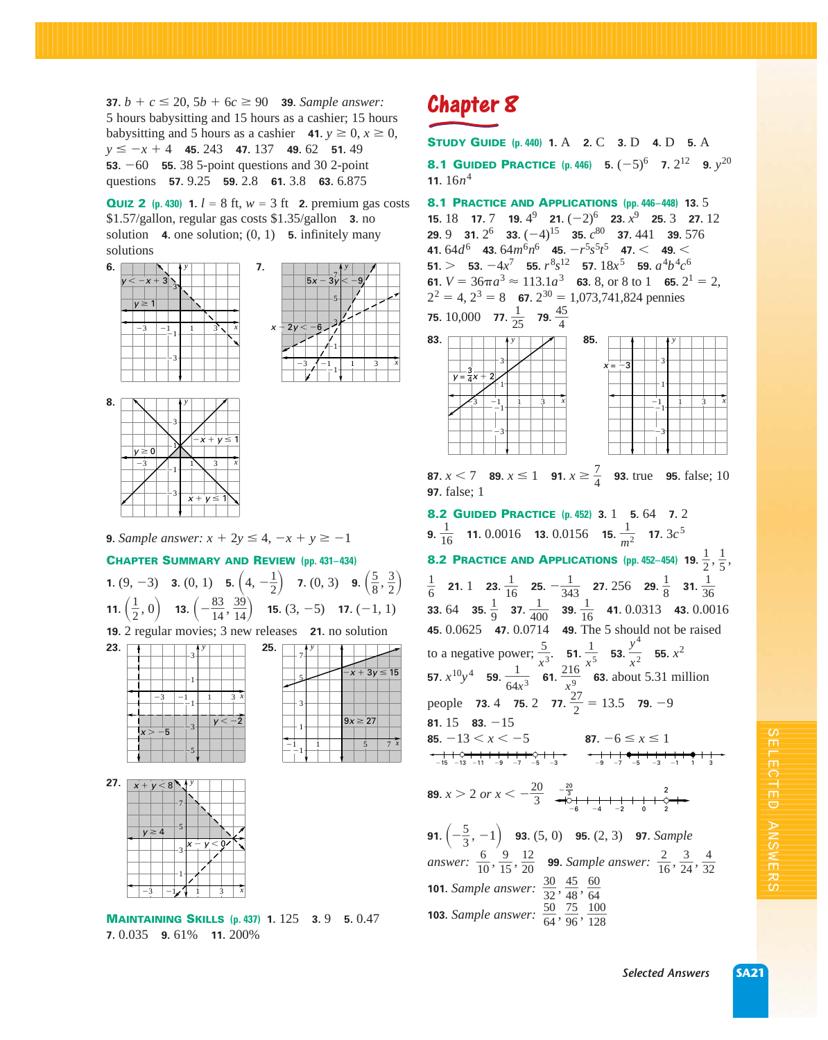**37.**  $b + c \le 20$ ,  $5b + 6c \ge 90$  **39.** *Sample answer:* 5 hours babysitting and 15 hours as a cashier; 15 hours babysitting and 5 hours as a cashier **41.**  $y \ge 0, x \ge 0$ ,  $y \leq -x + 4$  **45.** 243 **47.** 137 **49.** 62 **51.** 49 **53.** 60 **55.** 38 5-point questions and 30 2-point questions **57.** 9.25 **59.** 2.8 **61.** 3.8 **63.** 6.875

**QUIZ 2** (p. 430) **1.**  $l = 8$  ft,  $w = 3$  ft **2.** premium gas costs \$1.57/gallon, regular gas costs \$1.35/gallon **3.** no solution **4.** one solution; (0, 1) **5.** infinitely many solutions







**9.** Sample answer: 
$$
x + 2y \le 4, -x + y \ge -1
$$

#### **CHAPTER SUMMARY AND REVIEW (pp. 431–434)**

**1.**  $(9, -3)$  **3.**  $(0, 1)$  **5.**  $\left(4, -\frac{1}{2}\right)$  $\frac{1}{2}$  **7.** (0, 3) **9.**  $\left(\frac{5}{8}\right)$  $\frac{5}{8}, \frac{3}{2}$  $\frac{3}{2}$ **11.**  $\left(\frac{1}{2}\right)$  $\frac{1}{2}$ , 0) **13.**  $\left(-\frac{8}{1}\right)$ 1 3  $\frac{3}{4}, \frac{3}{1}$ 1 9  $\begin{pmatrix} 9 \\ 4 \end{pmatrix}$  **15.** (3, -5) **17.** (-1, 1) **19.** 2 regular movies; 3 new releases **21.** no solution



|   | y |  |              |                  |                  |
|---|---|--|--------------|------------------|------------------|
| 5 |   |  |              | $-x + 3y \le 15$ |                  |
| 3 |   |  |              |                  |                  |
|   |   |  | $9x \geq 27$ |                  |                  |
|   |   |  |              |                  | $\boldsymbol{x}$ |



**MAINTAINING SKILLS (p. 437) 1.** 125 **3.** 9 **5.** 0.47 **7.** 0.035 **9.** 61% **11.** 200%

### **Chapter 8**

#### **STUDY GUIDE (p. 440) 1.** A **2.** C **3.** D **4.** D **5.** A

**8.1 GUIDED PRACTICE** (p. 446) **5.**  $(-5)^6$  **7.**  $2^{12}$  **9.**  $y^{20}$ **11.**  $16n^4$ 

**8.1 PRACTICE AND APPLICATIONS (pp. 446–448) 13.** 5 **15.** 18 **17.** 7 **19.**  $4^9$  **21.**  $(-2)^6$  **23.**  $x^9$  **25.** 3 **27.** 12 **29.** 9 **31.**  $2^6$  **33.**  $(-4)^{15}$  **35.**  $c^{80}$  **37.** 441 **39.** 576 **41.**  $64d^6$  **43.**  $64m^6n^6$  **45.**  $-r^5s^5t^5$  **47.**  $<$  **49.**  $<$ **51.**  $>$  **53.**  $-4x^7$  **55.**  $r^8s^{12}$  **57.**  $18x^5$  **59.**  $a^4b^4c^6$ **61.**  $V = 36\pi a^3 \approx 113.1a^3$  **63.** 8, or 8 to 1 **65.**  $2^1 = 2$ ,  $2^2 = 4$ ,  $2^3 = 8$  **67.**  $2^{30} = 1,073,741,824$  pennies 1  $\frac{5}{4}$ 

**75.** 10,000 **77.**  $\frac{1}{2}$  $\frac{1}{5}$  **79.**  $\frac{4}{4}$ 4



**87.**  $x < 7$  **89.**  $x \le 1$  **91.**  $x \ge \frac{7}{4}$  $\frac{7}{4}$  **93.** true **95.** false; 10 **97.** false; 1

**8.2 GUIDED PRACTICE (p. 452) 3.** 1 **5.** 64 **7.** 2 **9.**  $\frac{-}{1}$ 1  $\frac{1}{6}$  **11.** 0.0016 **13.** 0.0156 **15.**  $\frac{1}{m}$ 1  $\frac{1}{2}$  **17.** 3 $c^5$ 

**8.2 PRACTICE AND APPLICATIONS** (pp. 452–454) 19.  $\frac{1}{2}$  $\frac{1}{2}, \frac{1}{5}$  $\frac{1}{5}$ ,  $\frac{1}{5}$  $\frac{1}{6}$  **21.** 1 **23.**  $\frac{1}{1}$ 1  $\frac{1}{6}$  **25.**  $-\frac{1}{34}$  $\frac{1}{43}$  **27.** 256 **29.**  $\frac{1}{8}$  $\frac{1}{8}$  **31.**  $\frac{1}{3}$ 1  $\overline{6}$ **33.** 64 **35.**  $\frac{1}{0}$  $\frac{1}{9}$  **37.**  $\frac{1}{40}$  $\frac{1}{00}$  **39.**  $\frac{1}{1}$ 1  $\frac{1}{6}$  **41.** 0.0313 **43.** 0.0016 **45.** 0.0625 **47.** 0.0714 **49.** The 5 should not be raised to a negative power;  $\frac{1}{x}$ 5  $\frac{5}{3}$ . **51.**  $\frac{3}{x}$ 1  $\frac{1}{5}$  **53.**  $\frac{y}{r}$ *x* 4  $\frac{1}{2}$  **55.**  $x^2$ **57.**  $x^{10}y^4$  **59.**  $\frac{1}{64}$ 1  $\frac{1}{x^3}$  **61.**  $\frac{21}{x}$ *x* 1 9  $\frac{16}{9}$  **63.** about 5.31 million people **73.** 4 **75.** 2 **77.**  $\frac{2}{7}$ 2  $\frac{7}{2}$  = 13.5 **79.** -9 **81.** 15 **83.** -15 **85.**  $-13 < x < -5$  **87.**  $-6 \le x \le 1$ **89.**  $x > 2$  or  $x < -\frac{2}{3}$ 3  $rac{0}{3}$   $rac{-\frac{20}{3}}{+\bigcirc}$ <br>-6 -4 **91.**  $\left(-\frac{5}{3}\right)$  $\left(\frac{5}{3}, -1\right)$  **93.** (5, 0) **95.** (2, 3) **97.** *Sample*  $answer: \frac{1}{1}$ 6  $\frac{5}{0}$ ,  $\frac{3}{1}$ 9  $\frac{9}{5}, \frac{1}{2}$ 2 2  $\frac{2}{0}$  **99.** *Sample answer*:  $\frac{2}{1}$ 2  $\frac{2}{6}, \frac{1}{2}$ 3  $\frac{1}{4}$ ,  $\frac{1}{3}$ 4  $\overline{2}$ **101.** *Sample answer*:  $\frac{3}{2}$ 3  $\mathbf{0}$  $\frac{0}{2}, \frac{4}{4}$ 4 5  $\frac{5}{8}, \frac{6}{6}$ 6 0 4 - **103.** *Sample answer*:  $\frac{5}{6}$ 6  $\boldsymbol{0}$  $\frac{0}{4}, \frac{7}{9}$ 9 5  $\frac{5}{6}, \frac{10}{12}$ 1 0 2 0  $\frac{58}{28}$ - $-2$  0 2  $\frac{20}{3}$  2 15 13 11 9 7 5 3 9 7 5 3 1 1 3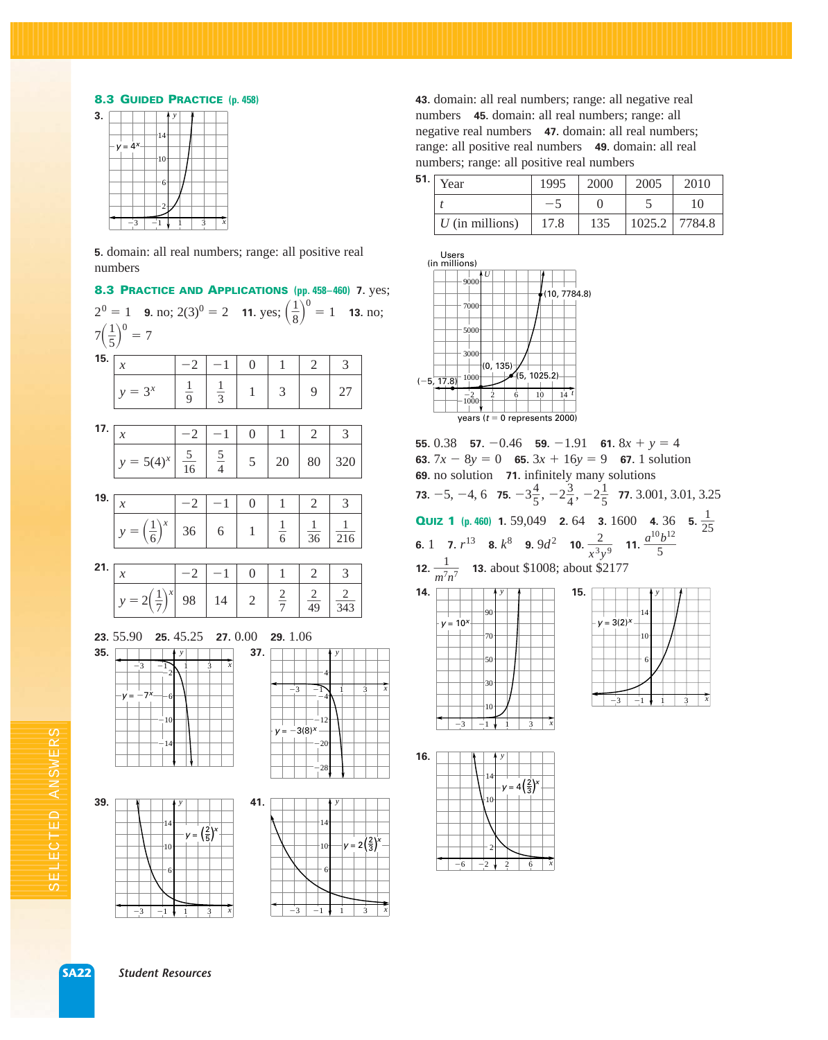#### **8.3 GUIDED PRACTICE (p. 458)**

| 3. |            |    |       | y |                |
|----|------------|----|-------|---|----------------|
|    | $-y = 4^x$ |    | $-14$ |   |                |
|    |            |    | $-10$ |   |                |
|    |            |    | 6     |   |                |
|    |            |    | -2-   |   |                |
|    |            | -3 |       |   | $\overline{x}$ |

**5.** domain: all real numbers; range: all positive real numbers

#### **8.3 PRACTICE AND APPLICATIONS (pp. 458–460) 7.** yes;

|                                   | $2^0 = 1$ <b>9.</b> no; $2(3)^0 = 2$ <b>11.</b> yes; $\left(\frac{1}{8}\right)^0 = 1$ <b>13.</b> no; |  |
|-----------------------------------|------------------------------------------------------------------------------------------------------|--|
| $7\left(\frac{1}{5}\right)^0 = 7$ |                                                                                                      |  |





**19.** 
$$
\begin{array}{|c|c|c|c|c|c|c|c|} \hline x & -2 & -1 & 0 & 1 & 2 & 3 \\ \hline y & \end{array}
$$
 
$$
y = \left(\frac{1}{6}\right)^x
$$
 **36 6 1 1 1 1 1 1 1 1 1 1 1 1 1 1 1 1 1 1 1 1 1 1 1 1 1 1 1 1 1 1 1 1 1 1 1 1 1 1 1 1 1 1 1 1 1 1 1 1 1 1 1 1 1 1 1 1 1 1 1 1 1 1 1 1 1 1 1 1 1 1 1 1 1 1 1 1 1 1 1 1 1 1 1 1 1 1 1 1 1 1 1 1 1 1**



#### **23.** 55.90 **25.** 45.25 **27.** 0.00 **29.** 1.06



|                   |       | $\mathcal{Y}$ |   |                  |
|-------------------|-------|---------------|---|------------------|
|                   | ۷     |               |   |                  |
| $-3$              |       |               | ö | $\boldsymbol{x}$ |
|                   |       |               |   |                  |
|                   | 12    |               |   |                  |
| $=-3(8)^{x}$<br>У |       |               |   |                  |
|                   | $-20$ |               |   |                  |
|                   | $-28$ |               |   |                  |



 $-3$  |  $-1$  |  $1$  |  $3$  |  $\bar{x}$ 



**43.** domain: all real numbers; range: all negative real numbers **45.** domain: all real numbers; range: all negative real numbers **47.** domain: all real numbers; range: all positive real numbers **49.** domain: all real numbers; range: all positive real numbers

| 51. | Year              | 1995 | 2000 | 2005   | 2010   |  |
|-----|-------------------|------|------|--------|--------|--|
|     |                   |      |      |        | 10     |  |
|     | $U$ (in millions) | 17.8 | 135  | 1025.2 | 7784.8 |  |



**55.** 0.38 **57.**  $-0.46$  **59.**  $-1.91$  **61.**  $8x + y = 4$ **63.**  $7x - 8y = 0$  **65.**  $3x + 16y = 9$  **67.** 1 solution **69.** no solution **71.** infinitely many solutions **73.**  $-5$ ,  $-4$ , 6 **75.**  $-3\frac{4}{5}$  $\frac{4}{5}, -2\frac{3}{4}$  $\frac{3}{4}$ ,  $-2\frac{1}{5}$  $\frac{1}{5}$  **77.** 3.001, 3.01, 3.25 **QUIZ 1** (p. 460) **1.** 59,049 **2.** 64 **3.** 1600 **4.** 36 **5.**  $\frac{1}{2}$ 1 5 - **6.** 1 **7.**  $r^{13}$  **8.**  $k^8$  **9.**  $9d^2$  **10.**  $\frac{2}{x^3}$ 2  $\frac{2}{y^9}$  **11.**  $\frac{a^{10}}{4}$ 5  $\frac{b^{12}}{5}$ 1  $\frac{1}{7n^7}$  **13.** about \$1008; about \$2177

12. 
$$
\frac{1}{m^7n^7}
$$
 13. about \$1008; about \$1  
\n14.





SELECTED ANSWERS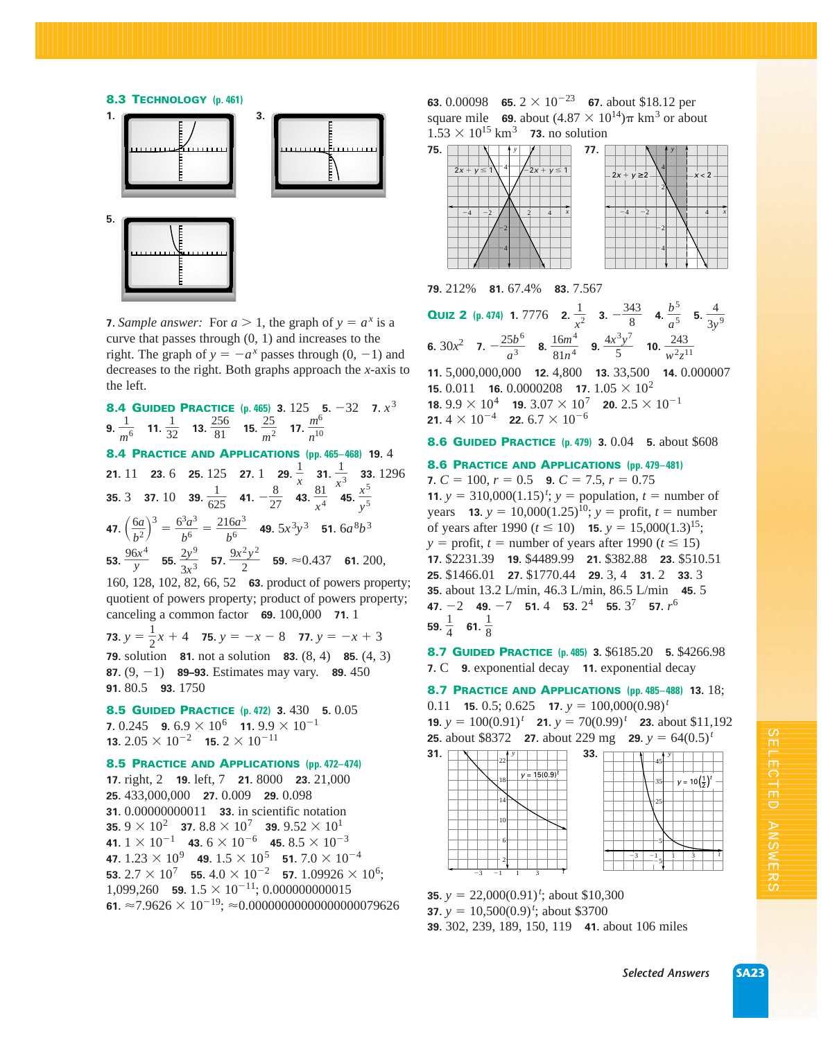

**7.** *Sample answer:* For  $a > 1$ , the graph of  $y = a^x$  is a curve that passes through (0, 1) and increases to the right. The graph of  $y = -a^x$  passes through  $(0, -1)$  and decreases to the right. Both graphs approach the *x*-axis to the left.

**8.4 GUIDED PRACTICE** (p. 465) **3.**  $125$  **5.**  $-32$  **7.**  $x^3$ **9.**  $\frac{-}{m}$ 1  $\frac{1}{16}$  **11.**  $\frac{1}{3}$ 1  $\frac{1}{2}$  **13.**  $\frac{25}{8}$ 8 5 1  $\frac{56}{1}$  **15.**  $\frac{25}{m}$ 25  $\frac{e}{n^2}$  **17.**  $\frac{m}{n}$ *m* 1 6  $\frac{1}{10}$ **8.4 PRACTICE AND APPLICATIONS (pp. 465–468) 19.** 4 **21.** 11 **23.** 6 **25.** 125 **27.** 1 **29.**  $\frac{1}{x}$  $\frac{1}{x}$  **31.**  $\frac{1}{x}$ 1  $\frac{1}{3}$  **33.** 1296 **35.** 3 **37.** 10 **39.**  $\frac{1}{62}$  $\frac{1}{25}$  **41.**  $-\frac{8}{2}$ 8  $\frac{3}{7}$  **43.**  $\frac{8}{x}$ *x* 1  $\frac{1}{4}$  **45.**  $\frac{x}{y}$ *y* 5 5 - **47.**  $\left(\frac{6}{b}\right)$ *b a*  $\left(\frac{a}{2}\right)^3 = \frac{6^3}{b}$ *b* 3 *a* 6  $rac{a^3}{6} = \frac{216}{1}$ *b* 6 6  $rac{5a^3}{6}$  **49.**  $5x^3y^3$  **51.**  $6a^8b^3$  $\frac{96}{1}$ *y*  $\frac{6x^4}{x}$  **55.**  $\frac{2y}{x}$ 3 *y x* 9  $\frac{y^9}{x^3}$  **57.**  $\frac{9x^2}{x^2}$ 2  $\frac{2y^2}{2}$  **59.**  $\approx 0.437$  **61.** 200, 160, 128, 102, 82, 66, 52 **63.** product of powers property; quotient of powers property; product of powers property;

canceling a common factor **69.** 100,000 **71.** 1 **73.**  $y = \frac{1}{2}$  $\frac{1}{2}x + 4$  **75.**  $y = -x - 8$  **77.**  $y = -x + 3$ **79.** solution **81.** not a solution **83.** (8, 4) **85.** (4, 3) **87.** (9, 1) **89–93.** Estimates may vary. **89.** 450

**91.** 80.5 **93.** 1750

**8.5 GUIDED PRACTICE (p. 472) 3.** 430 **5.** 0.05 **7.** 0.245 **9.** 6.9  $\times$  10<sup>6</sup> **11.** 9.9  $\times$  10<sup>-1</sup> **13.** 2.05  $\times$  10<sup>-2</sup> **15.** 2  $\times$  10<sup>-11</sup>

#### **8.5 PRACTICE AND APPLICATIONS (pp. 472–474)**

**17.** right, 2 **19.** left, 7 **21.** 8000 **23.** 21,000 **25.** 433,000,000 **27.** 0.009 **29.** 0.098 **31.** 0.00000000011 **33.** in scientific notation **35.**  $9 \times 10^2$  **37.**  $8.8 \times 10^7$  **39.**  $9.52 \times 10^1$ **41.**  $1 \times 10^{-1}$  **43.**  $6 \times 10^{-6}$  **45.**  $8.5 \times 10^{-3}$ **47.**  $1.23 \times 10^9$  **49.**  $1.5 \times 10^5$  **51.**  $7.0 \times 10^{-4}$ **53.**  $2.7 \times 10^7$  **55.**  $4.0 \times 10^{-2}$  **57.**  $1.09926 \times 10^6$ ;  $1,099,260$  **59.**  $1.5 \times 10^{-11}$ ; 0.000000000015 **61.** ≈7.9626  $\times$  10<sup>-19</sup>; ≈0.00000000000000000079626 **63.** 0.00098 **65.**  $2 \times 10^{-23}$  **67.** about \$18.12 per square mile **69.** about  $(4.87 \times 10^{14})\pi$  km<sup>3</sup> or about  $1.53 \times 10^{15} \text{ km}^3$  **73.** no solution



**79.** 212% **81.** 67.4% **83.** 7.567

**Quiz 2** (p. 474) **1.**  $7776$  **2.**  $\frac{1}{x}$ 1  $\frac{1}{2}$  **3.**  $-\frac{34}{8}$ 8  $\frac{43}{2}$  **4.**  $\frac{b}{2}$ *a* 5  $\frac{1}{5}$  **5.**  $\frac{1}{3}$ 4  $\frac{1}{y^9}$ **6.**  $30x^2$  **7.**  $-\frac{25}{x^2}$ *a b* 3  $rac{b^6}{3}$  **8.**  $rac{16}{3}$ 8 6 1 *m n*4  $\frac{m^4}{4}$  **9.**  $\frac{4x^3}{4}$ 5  $rac{3y^7}{5}$  **10.**  $rac{24}{w^2}$ 2 2 4 *z*  $\frac{43}{7^{11}}$ 

**11.** 5,000,000,000 **12.** 4,800 **13.** 33,500 **14.** 0.000007 **15.** 0.011 **16.** 0.0000208 **17.**  $1.05 \times 10^2$ **18.**  $9.9 \times 10^4$  **19.**  $3.07 \times 10^7$  **20.**  $2.5 \times 10^{-1}$ **21.**  $4 \times 10^{-4}$  **22.**  $6.7 \times 10^{-6}$ 

**8.6 GUIDED PRACTICE (p. 479) 3.** 0.04 **5.** about \$608

#### **8.6 PRACTICE AND APPLICATIONS (pp. 479–481)**

**7.**  $C = 100$ ,  $r = 0.5$  **9.**  $C = 7.5$ ,  $r = 0.75$ **11.**  $y = 310,000(1.15)^t$ ;  $y =$  population,  $t =$  number of years **13.**  $y = 10,000(1.25)^{10}$ ;  $y = \text{profit}, t = \text{number}$ of years after 1990 ( $t \le 10$ ) **15.**  $y = 15,000(1.3)^{15}$ ; *y* = profit, *t* = number of years after 1990 ( $t \le 15$ ) **17.** \$2231.39 **19.** \$4489.99 **21.** \$382.88 **23.** \$510.51 **25.** \$1466.01 **27.** \$1770.44 **29.** 3, 4 **31.** 2 **33.** 3 **35.** about 13.2 L/min, 46.3 L/min, 86.5 L/min **45.** 5 **47.**  $-2$  **49.**  $-7$  **51.** 4 **53.**  $2^4$  **55.**  $3^7$  **57.**  $r^6$ **59.**  $\frac{1}{4}$  $\frac{1}{4}$  **61.**  $\frac{1}{8}$ 8 -

**8.7 GUIDED PRACTICE (p. 485) 3.** \$6185.20 **5.** \$4266.98 **7.** C **9.** exponential decay **11.** exponential decay

#### **8.7 PRACTICE AND APPLICATIONS (pp. 485–488) 13.** 18; 0.11 **15.** 0.5; 0.625 **17.**  $y = 100,000(0.98)^t$

**19.**  $y = 100(0.91)^t$  **21.**  $y = 70(0.99)^t$  **23.** about \$11,192 **25.** about \$8372 **27.** about 229 mg **29.**  $y = 64(0.5)^t$ 



**35.**  $y = 22,000(0.91)^t$ ; about \$10,300

**37.**  $y = 10,500(0.9)^t$ ; about \$3700

**39.** 302, 239, 189, 150, 119 **41.** about 106 miles

SELECTED ANSWERS SELECTED ANSWERS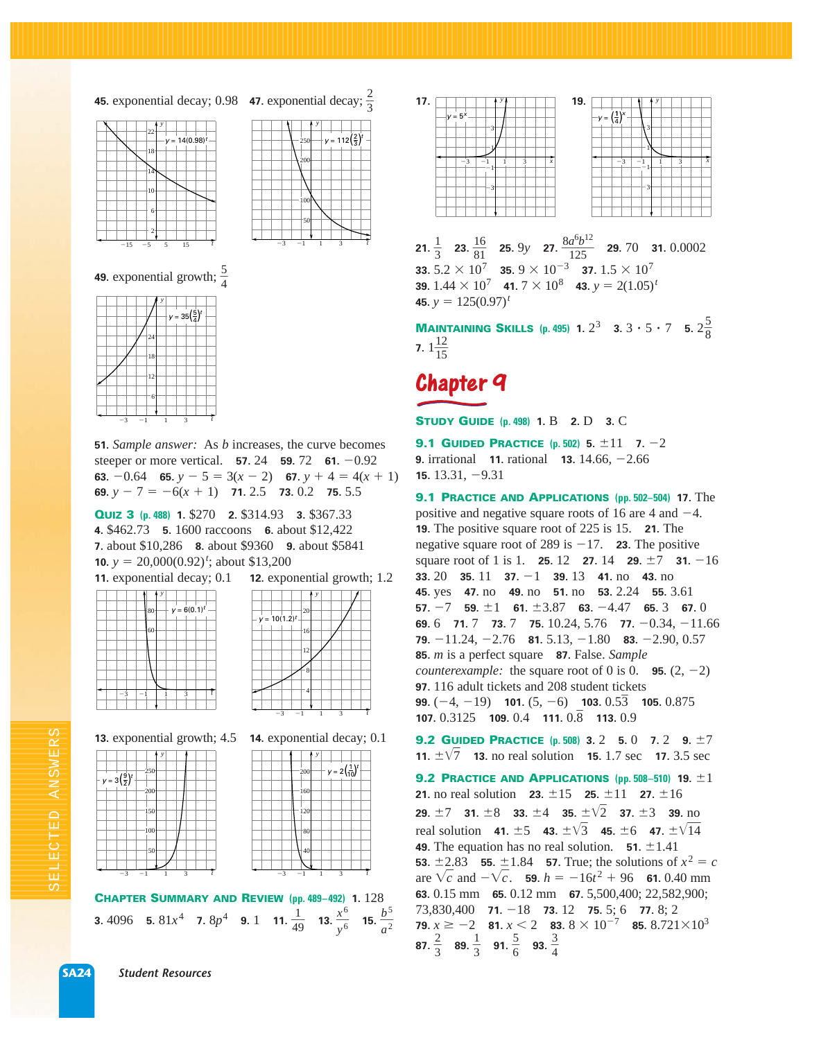**45**. exponential decay; 0.98 **47**. exponential decay;  $\frac{2}{3}$ 





|  |    | y | $y = 35(\frac{5}{4})^t$ |  |
|--|----|---|-------------------------|--|
|  | 24 |   |                         |  |
|  | 18 |   |                         |  |
|  | 12 |   |                         |  |
|  | 6  |   |                         |  |
|  |    |   |                         |  |

**51.** Sample answer: As b increases, the curve becomes steeper or more vertical. **57.** 24 **59.** 72 **61.**  $-0.92$ 63. -0.64 65.  $y - 5 = 3(x - 2)$  67.  $y + 4 = 4(x + 1)$ 69.  $y - 7 = -6(x + 1)$  71. 2.5 73. 0.2 75. 5.5

**QUIZ 3** (p. 488) 1. \$270 2. \$314.93 3. \$367.33 **4.** \$462.73 **5.** 1600 raccoons **6.** about \$12,422 7. about \$10,286 8. about \$9360 9. about \$5841 **10.**  $y = 20,000(0.92)^t$ ; about \$13,200

**11.** exponential decay;  $0.1$  **12.** exponential growth;  $1.2$ 

|  |  |    | $\overline{y}$ |  |                |  |
|--|--|----|----------------|--|----------------|--|
|  |  | 80 |                |  | $y = 6(0.1)^t$ |  |
|  |  | 60 |                |  |                |  |
|  |  |    |                |  |                |  |
|  |  |    |                |  |                |  |
|  |  |    |                |  |                |  |
|  |  |    |                |  |                |  |

| -               |    |  |
|-----------------|----|--|
|                 | y  |  |
| $y = 10(1.2)^t$ | 20 |  |
|                 | 16 |  |
|                 | 12 |  |
|                 |    |  |
|                 | Δ  |  |
|                 |    |  |

 $112(\frac{2}{3})$ 

13. exponential growth; 4.5 14. exponential decay; 0.1



|  |  |     | y |  |                         |  |
|--|--|-----|---|--|-------------------------|--|
|  |  | 200 |   |  | $y = 2(\frac{1}{10})^t$ |  |
|  |  | 160 |   |  |                         |  |
|  |  | 120 |   |  |                         |  |
|  |  | 80  |   |  |                         |  |
|  |  | 40  |   |  |                         |  |
|  |  |     |   |  |                         |  |



 $17.$ 



**21.**  $\frac{1}{3}$  **23.**  $\frac{16}{81}$  **25.** 9y **27.**  $\frac{8a^6b^{12}}{125}$  **29.** 70 **31.** 0.0002 **33.**  $5.2 \times 10^7$  **35.**  $9 \times 10^{-3}$  **37.**  $1.5 \times 10^7$ **39.** 1.44  $\times$  10<sup>7</sup> **41.** 7  $\times$  10<sup>8</sup> **43.**  $y = 2(1.05)^t$ 45.  $y = 125(0.97)^t$ 

19.

**MAINTAINING SKILLS** (p. 495) 1.  $2^3$  3.  $3 \cdot 5 \cdot 7$  5.  $2\frac{5}{8}$ 7.  $1\frac{12}{15}$ 

### Chapter 9

**STUDY GUIDE** (p. 498) 1.  $B$  2.  $D$  3.  $C$ 

**9.1 GUIDED PRACTICE** (p. 502) 5.  $\pm 11$  7.  $-2$ **9.** irrational **11.** rational **13.** 14.66,  $-2.66$ 15.  $13.31, -9.31$ 

9.1 PRACTICE AND APPLICATIONS (pp. 502-504) 17. The positive and negative square roots of 16 are 4 and  $-4$ . **19.** The positive square root of 225 is 15. **21.** The negative square root of 289 is  $-17$ . **23.** The positive square root of 1 is 1. **25.** 12 **27.** 14 **29.**  $\pm 7$  **31.**  $-16$ 33. 20 35. 11 37.  $-1$  39. 13 41. no 43. no 45. yes 47. no 49. no 51. no 53. 2.24 55. 3.61 57.  $-7$  59.  $\pm 1$  61.  $\pm 3.87$  63.  $-4.47$  65. 3 67. 0 69.6 71.7 73.7 75.10.24, 5.76 77.  $-0.34$ ,  $-11.66$ 79.  $-11.24, -2.76$  81. 5.13,  $-1.80$  83.  $-2.90, 0.57$ 85. *m* is a perfect square 87. False. Sample *counterexample:* the square root of 0 is 0. **95.**  $(2, -2)$ 97. 116 adult tickets and 208 student tickets **99.**  $(-4, -19)$  **101.**  $(5, -6)$  **103.**  $0.5\overline{3}$  **105.**  $0.875$ 107, 0.3125 109, 0.4 111, 0.8 113, 0.9

**9.2 GUIDED PRACTICE** (p. 508) 3. 2 5. 0 7. 2 9.  $\pm 7$ **11.**  $\pm\sqrt{7}$  **13.** no real solution **15.** 1.7 sec **17.** 3.5 sec

9.2 PRACTICE AND APPLICATIONS (pp. 508-510) 19.  $\pm 1$ **21.** no real solution **23.**  $\pm 15$  **25.**  $\pm 11$  **27.**  $\pm 16$ **29.**  $\pm 7$  **31.**  $\pm 8$  **33.**  $\pm 4$  **35.**  $\pm \sqrt{2}$  **37.**  $\pm 3$  **39.** no real solution 41.  $\pm 5$  43.  $\pm \sqrt{3}$  45.  $\pm 6$  47.  $\pm \sqrt{14}$ 49. The equation has no real solution. 51.  $\pm 1.41$ **53.**  $\pm 2.83$  **55.**  $\pm 1.84$  **57.** True; the solutions of  $x^2 = c$ are  $\sqrt{c}$  and  $-\sqrt{c}$ . **59**.  $h = -16t^2 + 96$  **61**. 0.40 mm 63. 0.15 mm 65. 0.12 mm 67. 5,500,400; 22,582,900; 73,830,400 **71.**  $-18$  **73.** 12 **75.** 5; 6 **77.** 8; 2 **79.**  $x \ge -2$  **81.**  $x < 2$  **83.**  $8 \times 10^{-7}$  **85.**  $8.721 \times 10^{3}$ 87.  $\frac{2}{3}$  89.  $\frac{1}{3}$  91.  $\frac{5}{6}$  93.  $\frac{3}{4}$ 

 $S<sub>A24</sub>$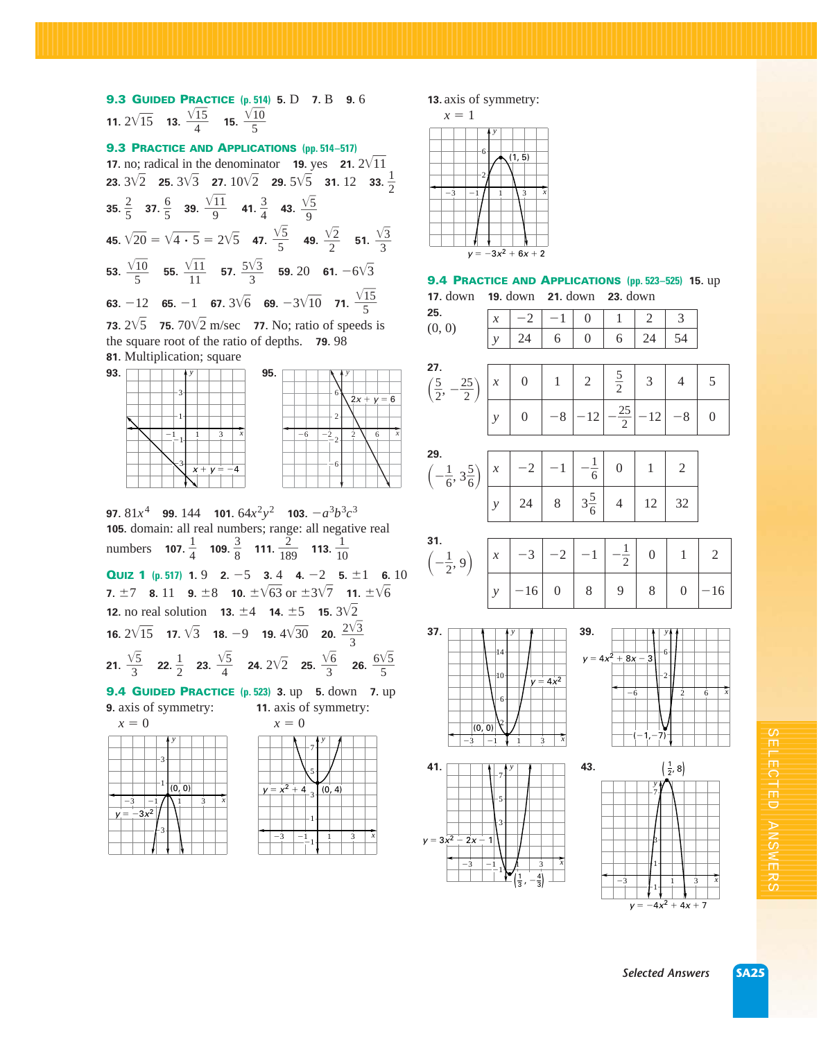**9.3 GUIDED PRACTICE (p. 514) 5.** D **7.** B **9.** 6 **11.**  $2\sqrt{15}$  **13.**  $\frac{\sqrt{15}}{4}$  **15.**  $\frac{\sqrt{10}}{5}$ 4

#### **9.3 PRACTICE AND APPLICATIONS (pp. 514–517)**

**17.** no; radical in the denominator **19.** yes **21.**  $2\sqrt{11}$ **23.**  $3\sqrt{2}$  **25.**  $3\sqrt{3}$  **27.**  $10\sqrt{2}$  **29.**  $5\sqrt{5}$  **31.** 12 **33.**  $\frac{1}{2}$ 2 - **35.**  $\frac{2}{5}$  $\frac{2}{5}$  **37.**  $\frac{6}{5}$  $\frac{6}{5}$  **39.**  $\frac{\sqrt{11}}{9}$  **41.**  $\frac{3}{4}$  $\frac{\sqrt{11}}{9}$  **41.**  $\frac{3}{4}$  **43.**  $\frac{\sqrt{5}}{9}$ **45.**  $\sqrt{20} = \sqrt{4 \cdot 5} = 2\sqrt{5}$  **47.**  $\frac{\sqrt{5}}{5}$  **49.**  $\frac{\sqrt{2}}{2}$  **51.**  $\frac{\sqrt{3}}{3}$ **53.**  $\frac{\sqrt{10}}{5}$  **55.**  $\frac{\sqrt{11}}{11}$  **57.**  $\frac{5\sqrt{3}}{3}$  **59.** 20 **61.**  $-6\sqrt{3}$ **63.** -12 **65.** -1 **67.**  $3\sqrt{6}$  **69.**  $-3\sqrt{10}$  **71.**  $\frac{\sqrt{15}}{5}$ 5 5 5 9

**73.**  $2\sqrt{5}$  **75.**  $70\sqrt{2}$  m/sec **77.** No; ratio of speeds is the square root of the ratio of depths. **79.** 98

**81.** Multiplication; square



|      | 6                     | $\mathbf{\dot{y}}$<br>$2x + y = 6$      |
|------|-----------------------|-----------------------------------------|
|      | $\overline{c}$        |                                         |
|      |                       |                                         |
| $-6$ | $^{-2}$ <sub>-2</sub> | $\overline{c}$<br>$\boldsymbol{x}$<br>б |
|      | 6                     |                                         |

**97.**  $81x^4$  **99.** 144 **101.**  $64x^2y^2$  **103.**  $-a^3b^3c^3$ **105.** domain: all real numbers; range: all negative real numbers **107.**  $\frac{1}{4}$  $\frac{1}{4}$  **109.**  $\frac{3}{8}$  $\frac{3}{8}$  **111.**  $\frac{1}{18}$  $\frac{2}{89}$  **113.**  $\frac{1}{1}$ 1  $\overline{0}$ **QUIZ 1** (p. 517) **1.** 9 **2.**  $-5$  **3.** 4 **4.**  $-2$  **5.**  $\pm 1$  **6.** 10 **7.**  $\pm 7$  **8.** 11 **9.**  $\pm 8$  **10.**  $\pm \sqrt{63}$  or  $\pm 3\sqrt{7}$  **11.**  $\pm \sqrt{6}$ **12.** no real solution **13.**  $\pm 4$  **14.**  $\pm 5$  **15.**  $3\sqrt{2}$ **16.**  $2\sqrt{15}$  **17.**  $\sqrt{3}$  **18.** -9 **19.**  $4\sqrt{30}$  **20.**  $\frac{2\sqrt{3}}{3}$ **21.**  $\frac{\sqrt{5}}{2}$  **22.**  $\frac{1}{2}$  $rac{\sqrt{5}}{3}$  **22.**  $rac{1}{2}$  **23.**  $rac{\sqrt{5}}{4}$  **24.**  $2\sqrt{2}$  **25.**  $rac{\sqrt{6}}{3}$  **26.**  $rac{6\sqrt{5}}{5}$ 3 3

**9.4 GUIDED PRACTICE (p. 523) 3.** up **5.** down **7.** up **9.** axis of symmetry: **11.** axis of symmetry:









(0, 0)

| $\lambda$ - | - 1 |   |   |               |                  |
|-------------|-----|---|---|---------------|------------------|
|             |     |   | y |               |                  |
|             |     | 6 |   |               |                  |
|             |     |   |   | (1, 5)        |                  |
|             |     |   |   |               |                  |
|             |     |   |   |               |                  |
|             |     |   |   |               |                  |
| $-3$        |     |   |   | $\frac{1}{3}$ | $\boldsymbol{x}$ |
|             |     |   |   |               |                  |
|             |     |   |   |               |                  |
|             |     |   |   |               |                  |
|             |     |   |   |               |                  |

#### **9.4 PRACTICE AND APPLICATIONS (pp. 523–525) 15.** up

**17.** down **19.** down **21.** down **23.** down **25.**

 $x \mid -2 \mid -1 \mid 0 \mid 1 \mid 2 \mid 3$ *y* | 24 | 6 | 0 | 6 | 24 | 54

> $\frac{5}{2}$ 2 -

> > $\frac{2}{5}$ 2  $\frac{5}{1}$

 $\frac{3}{2}$  3 4 5

 $-12$   $-8$  0

| 27.<br>25<br>2 | $\mathcal{X}$ | $\Omega$       |    |  |
|----------------|---------------|----------------|----|--|
|                |               | $\overline{0}$ | 12 |  |

**29.**  $\frac{1}{\left(-\frac{1}{6}\right)}$  $\frac{1}{6}$ , 3 $\frac{5}{6}$  $\frac{5}{6}$  $x \mid -2 \mid -1$  6 -1  $-1$  0 1 2  $y \mid 24 \mid 8$  $rac{5}{5}$ 6 -4 | 12 | 32









 $-3$  | | |  $1$  |  $3$  |  $x$ 1  $+1$ 3 7 *y*  $(\frac{1}{2}, 8)$ 

*Selected Answers* **SA25**

 $y = -4x^2 + 4x + 7$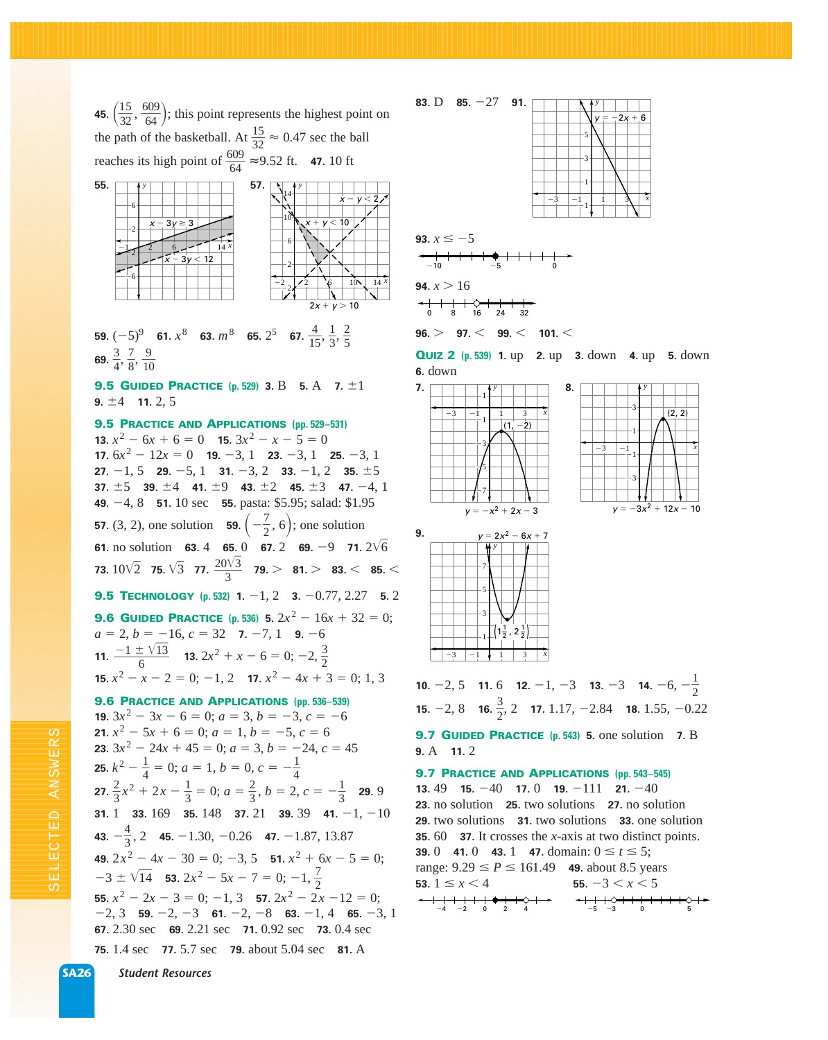**45.**  $\left(\frac{1}{3}\right)$ 3 5  $\frac{5}{2}, \frac{60}{6}$ 6  $\boldsymbol{0}$ 4  $\left(\frac{10}{4}\right)$ ; this point represents the highest point on the path of the basketball. At  $\frac{1}{2}$ 3 5  $\frac{3}{2} \approx 0.47$  sec the ball reaches its high point of  $\frac{60}{6}$ 6 0 4  $\frac{99}{4} \approx 9.52$  ft. **47.** 10 ft





**59.**  $(-5)^9$  **61.**  $x^8$  **63.**  $m^8$  **65.**  $2^5$  **67.**  $\frac{2}{1}$ 4  $\frac{1}{5}, \frac{1}{3}$  $\frac{1}{3}, \frac{2}{5}$ 5 - 69.  $\frac{3}{4}$  $\frac{3}{4}, \frac{7}{8}$  $\frac{7}{8}$ ,  $\frac{3}{1}$ 9  $\overline{0}$ 

**9.5 GUIDED PRACTICE** (p. 529) **3.** B **5.** A **7.**  $\pm 1$ **9.**  $\pm 4$  **11.** 2, 5

#### **9.5 PRACTICE AND APPLICATIONS (pp. 529–531)**

**13.**  $x^2 - 6x + 6 = 0$  **15.**  $3x^2 - x - 5 = 0$ **17.**  $6x^2 - 12x = 0$  **19.**  $-3$ , 1 **23.**  $-3$ , 1 **25.**  $-3$ , 1 **27.**  $-1$ , 5 **29.**  $-5$ , 1 **31.**  $-3$ , 2 **33.**  $-1$ , 2 **35.**  $\pm 5$ **37.**  $\pm$  5 **39.**  $\pm$  4 **41.**  $\pm$  9 **43.**  $\pm$  2 **45.**  $\pm$  3 **47.**  $-4$ , 1 **49.** 4, 8 **51.** 10 sec **55.** pasta: \$5.95; salad: \$1.95 **57.** (3, 2), one solution **59.**  $\left(-\frac{7}{2}\right)$  $(\frac{7}{2}, 6)$ ; one solution **61.** no solution **63.** 4 **65.** 0 **67.** 2 **69.**  $-9$  **71.**  $2\sqrt{6}$ **73.**  $10\sqrt{2}$  **75.**  $\sqrt{3}$  **77.**  $\frac{20\sqrt{3}}{3}$  **79.** > **81.** > **83.** < **85.** < **9.5 TECHNOLOGY** (p. 532) **1.**  $-1$ , 2 **3.**  $-0.77$ , 2.27 **5.** 2 **9.6 GUIDED PRACTICE** (p. 536) **5.**  $2x^2 - 16x + 32 = 0$ ; 3

 $a = 2, b = -16, c = 32$  **7.**  $-7, 1$  **9.**  $-6$ **11.**  $\frac{-1 \pm \sqrt{13}}{6}$  **13.**  $2x^2 + x - 6 = 0$ ;  $-2, \frac{3}{2}$  $\frac{-1 \pm \sqrt{13}}{6}$  13.  $2x^2 + x - 6 = 0$ ; -2,  $\frac{3}{2}$ **15.**  $x^2 - x - 2 = 0$ ;  $-1$ , 2 **17.**  $x^2 - 4x + 3 = 0$ ; 1, 3 6

#### **9.6 PRACTICE AND APPLICATIONS (pp. 536–539)**

**19.**  $3x^2 - 3x - 6 = 0$ ;  $a = 3$ ,  $b = -3$ ,  $c = -6$ **21.**  $x^2 - 5x + 6 = 0$ ;  $a = 1$ ,  $b = -5$ ,  $c = 6$ **23.**  $3x^2 - 24x + 45 = 0$ ;  $a = 3$ ,  $b = -24$ ,  $c = 45$ **25.**  $k^2 - \frac{1}{4}$  $\frac{1}{4} = 0$ ;  $a = 1$ ,  $b = 0$ ,  $c = -\frac{1}{4}$ 4 - **27.**  $\frac{2}{2}$  $\frac{2}{3}x^2 + 2x - \frac{1}{3}$  $\frac{1}{3} = 0$ ;  $a = \frac{2}{3}$  $\frac{2}{3}$ , *b* = 2, *c* =  $-\frac{1}{3}$  $\frac{1}{3}$  **29.** 9 **31.** 1 **33.** 169 **35.** 148 **37.** 21 **39.** 39 **41.**  $-1$ ,  $-10$ **43.**  $-\frac{4}{2}$  $\frac{4}{3}$ , 2 **45.** -1.30, -0.26 **47.** -1.87, 13.87 **49.**  $2x^2 - 4x - 30 = 0$ ;  $-3$ , 5 **51.**  $x^2 + 6x - 5 = 0$ ;  $-3 \pm \sqrt{14}$  **53.**  $2x^2 - 5x - 7 = 0$ ;  $-1, \frac{7}{2}$ 2 - **55.**  $x^2 - 2x - 3 = 0$ ;  $-1$ , 3 **57.**  $2x^2 - 2x - 12 = 0$ ;  $-2$ , 3 **59.**  $-2$ ,  $-3$  **61.**  $-2$ ,  $-8$  **63.**  $-1$ , 4 **65.**  $-3$ , 1 **67.** 2.30 sec **69.** 2.21 sec **71.** 0.92 sec **73.** 0.4 sec **75.** 1.4 sec **77.** 5.7 sec **79.** about 5.04 sec **81.** A

**83.** D **85.** 27 **91.**





0 8 16 24 32

 $96. > 97. < 99. < 101.$ 

**QUIZ 2 (p. 539) 1.** up **2.** up **3.** down **4.** up **5.** down **6.** down





**10.**  $-2$ , 5 **11.** 6 **12.**  $-1$ ,  $-3$  **13.**  $-3$  **14.**  $-6$ ,  $-\frac{1}{2}$ 2 - **15.**  $-2$ , 8 **16.**  $\frac{3}{2}$  $\frac{3}{2}$ , 2 **17.** 1.17, -2.84 **18.** 1.55, -0.22

**9.7 GUIDED PRACTICE (p. 543) 5.** one solution **7.** B **9.** A **11.** 2

**9.7 PRACTICE AND APPLICATIONS (pp. 543–545) 13.** 49 **15.**  $-40$  **17.** 0 **19.**  $-111$  **21.**  $-40$ **23.** no solution **25.** two solutions **27.** no solution **29.** two solutions **31.** two solutions **33.** one solution **35.** 60 **37.** It crosses the *x*-axis at two distinct points. **39.** 0 **41.** 0 **43.** 1 **47.** domain:  $0 \le t \le 5$ ; range:  $9.29 \le P \le 161.49$  **49.** about 8.5 years **53.**  $1 \leq x \leq 4$  $-4$   $-2$   $-2$   $-3$   $-3$   $-4$   $-5$   $-3$   $-3$   $-3$   $-1$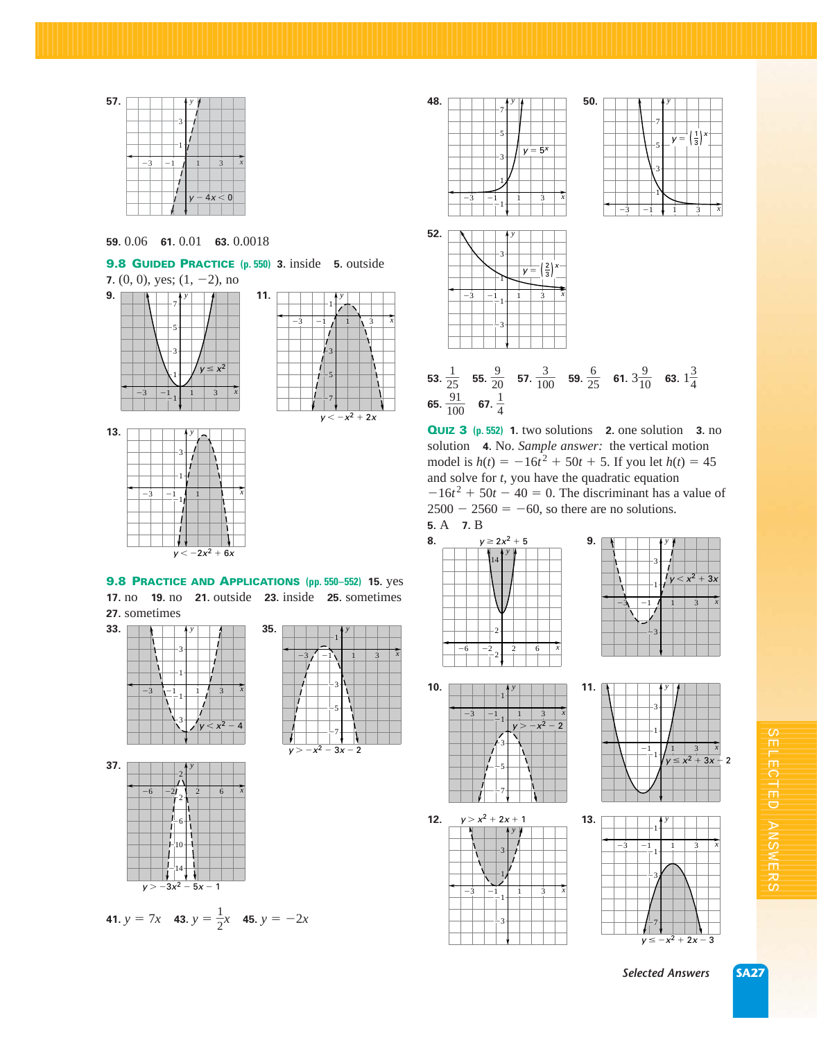

#### **59.** 0.06 **61.** 0.01 **63.** 0.0018

### **9.8 GUIDED PRACTICE (p. 550) 3.** inside **5.** outside

**7.** (0, 0), yes;  $(1, -2)$ , no







### **9.8 PRACTICE AND APPLICATIONS (pp. 550–552) 15.** yes **17.** no **19.** no **21.** outside **23.** inside **25.** sometimes

**27.** sometimes





| $y > -x^2 - 3x - 2$ |  |
|---------------------|--|
|                     |  |

 $-3$   $-1$   $1$   $3$   $x$ 1

*y*

 $-3$ 





*y*

**QUIZ 3 (p. 552) 1.** two solutions **2.** one solution **3.** no solution **4.** No. *Sample answer:* the vertical motion model is  $h(t) = -16t^2 + 50t + 5$ . If you let  $h(t) = 45$ and solve for *t*, you have the quadratic equation  $-16t^2 + 50t - 40 = 0$ . The discriminant has a value of  $2500 - 2560 = -60$ , so there are no solutions.





*y*



**12.**  $y > x^2 + 2x + 1$  **13.** 







*Selected Answers* **SA27**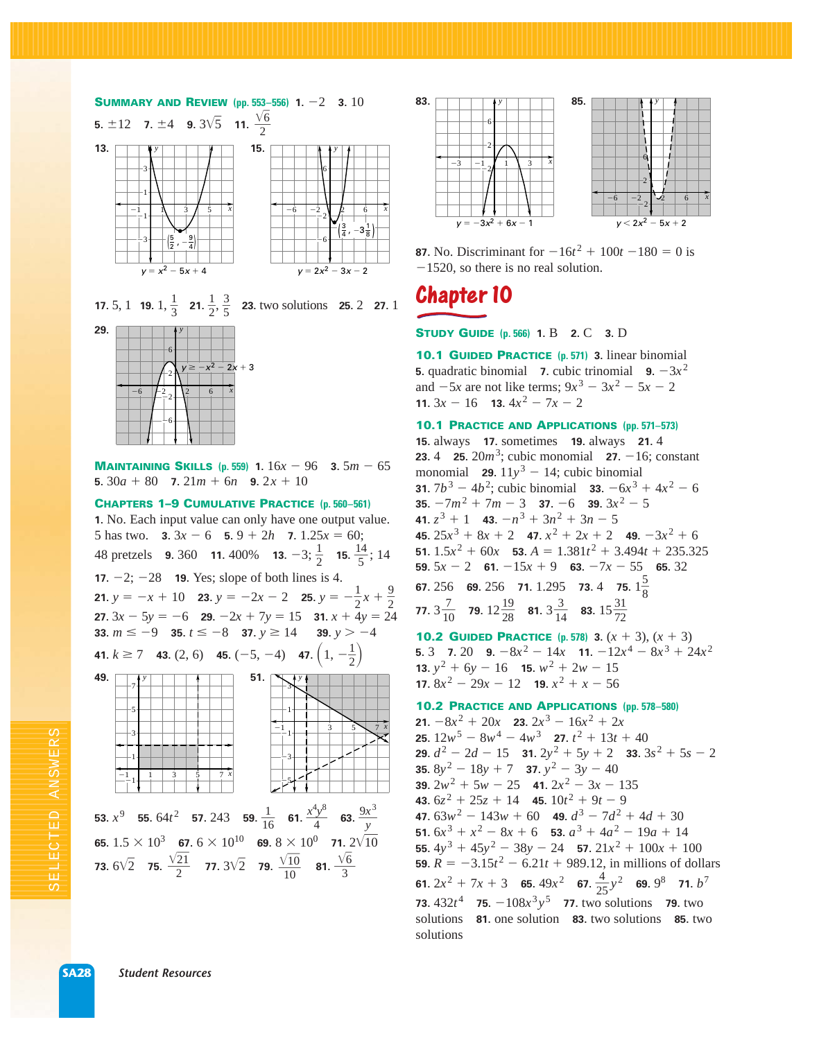

**17.** 5, 1 **19.** 1,  $\frac{1}{2}$  $\frac{1}{3}$  **21.**  $\frac{1}{2}$  $\frac{1}{2}, \frac{3}{5}$  $\frac{3}{5}$  **23.** two solutions **25.** 2 **27.** 1



**MAINTAINING SKILLS** (p. 559) **1.**  $16x - 96$  **3.**  $5m - 65$ **5.**  $30a + 80$  **7.**  $21m + 6n$  **9.**  $2x + 10$ 

#### **CHAPTERS 1–9 CUMULATIVE PRACTICE (p. 560–561)**

**1.** No. Each input value can only have one output value. 5 has two. **3.**  $3x - 6$  **5.**  $9 + 2h$  **7.**  $1.25x = 60$ ; 48 pretzels **9.** 360 **11.** 400% **13.**  $-3$ ;  $\frac{1}{2}$  $\frac{1}{2}$  **15.**  $\frac{1}{3}$ 5  $\frac{4}{5}$ ; 14 **17.**  $-2$ ;  $-28$  **19.** Yes; slope of both lines is 4. **21.**  $y = -x + 10$  **23.**  $y = -2x - 2$  **25.**  $y = -\frac{1}{2}$  $\frac{1}{2}x + \frac{9}{2}$ 2 - **27.**  $3x - 5y = -6$  **29.**  $-2x + 7y = 15$  **31.**  $x + 4y = 24$ **33.**  $m \le -9$  **35.**  $t \le -8$  **37.**  $y \ge 14$  **39.**  $y > -4$ **41.**  $k \ge 7$  **43.** (2, 6) **45.**  $(-5, -4)$  **47.**  $\left(1, -\frac{1}{2}\right)$  $\frac{1}{2}$ **49.**  $\sqrt{y}$  **1. 51. 53.**  $x^9$  **55.**  $64t^2$  **57.** 243 **59.**  $\frac{1}{1}$ 1  $\frac{1}{6}$  **61.**  $\frac{x^4}{4}$ 4  $\frac{y^8}{4}$  **63.**  $\frac{9y^8}{4}$ *y*  $\frac{x^3}{x^3}$ **65.**  $1.5 \times 10^3$  **67.**  $6 \times 10^{10}$  **69.**  $8 \times 10^0$  **71.**  $2\sqrt{10}$ **73.**  $6\sqrt{2}$  **75.**  $\frac{\sqrt{21}}{2}$  **77.**  $3\sqrt{2}$  **79.**  $\frac{\sqrt{10}}{10}$  **81.**  $\frac{\sqrt{6}}{3}$ 2 1  $-1$  $-3$  $\pm 5$ 3 *y*  $-1$   $\frac{1}{3}$   $\frac{1}{5}$   $\frac{1}{7}$   $\frac{1}{x}$  $-1$  1 3 5 7 *x* 1  $-1$ 3 5 7 *y*



**87.** No. Discriminant for  $-16t^2 + 100t - 180 = 0$  is  $-1520$ , so there is no real solution.

### **Chapter 10**

#### **STUDY GUIDE (p. 566) 1.** B **2.** C **3.** D

**10.1 GUIDED PRACTICE (p. 571) 3.** linear binomial **5.** quadratic binomial **7.** cubic trinomial **9.**  $-3x^2$ and  $-5x$  are not like terms;  $9x^3 - 3x^2 - 5x - 2$ **11.**  $3x - 16$  **13.**  $4x^2 - 7x - 2$ 

#### **10.1 PRACTICE AND APPLICATIONS (pp. 571–573)**

**15.** always **17.** sometimes **19.** always **21.** 4 **23.** 4 **25.** 20 $m^3$ ; cubic monomial **27.** -16; constant monomial **29.**  $11y^3 - 14$ ; cubic binomial **31.**  $7b^3 - 4b^2$ ; cubic binomial **33.**  $-6x^3 + 4x^2 - 6$ **35.**  $-7m^2 + 7m - 3$  **37.**  $-6$  **39.**  $3x^2 - 5$ **41.**  $z^3 + 1$  **43.**  $-n^3 + 3n^2 + 3n - 5$ **45.**  $25x^3 + 8x + 2$  **47.**  $x^2 + 2x + 2$  **49.**  $-3x^2 + 6$ **51.**  $1.5x^2 + 60x$  **53.**  $A = 1.381t^2 + 3.494t + 235.325$ **59.**  $5x - 2$  **61.**  $-15x + 9$  **63.**  $-7x - 55$  **65.** 32 **67.** 256 **69.** 256 **71.** 1.295 **73.** 4 **75.**  $1\frac{5}{8}$ 8 - **77.**  $3\frac{1}{1}$ 7  $\frac{7}{0}$  **79.**  $12\frac{1}{2}$ 2 9  $\frac{2}{8}$  **81.**  $3\frac{1}{1}$ 3  $\frac{3}{4}$  **83.** 15 $\frac{3}{7}$ 7 1  $\overline{2}$ 

**10.2 GUIDED PRACTICE** (p. 578) **3.**  $(x + 3)$ ,  $(x + 3)$ **5.** 3 **7.** 20 **9.**  $-8x^2 - 14x$  **11.**  $-12x^4 - 8x^3 + 24x^2$ **13.**  $y^2 + 6y - 16$  **15.**  $w^2 + 2w - 15$ **17.**  $8x^2 - 29x - 12$  **19.**  $x^2 + x - 56$ 

#### **10.2 PRACTICE AND APPLICATIONS (pp. 578–580)**

**21.**  $-8x^2 + 20x$  **23.**  $2x^3 - 16x^2 + 2x$ **25.**  $12w^5 - 8w^4 - 4w^3$  **27.**  $t^2 + 13t + 40$ **29.**  $d^2 - 2d - 15$  **31.**  $2y^2 + 5y + 2$  **33.**  $3s^2 + 5s - 2$ **35.**  $8y^2 - 18y + 7$  **37.**  $y^2 - 3y - 40$ **39.**  $2w^2 + 5w - 25$  **41.**  $2x^2 - 3x - 135$ **43.**  $6z^2 + 25z + 14$  **45.**  $10t^2 + 9t - 9$ **47.**  $63w^2 - 143w + 60$  **49.**  $d^3 - 7d^2 + 4d + 30$ **51.**  $6x^3 + x^2 - 8x + 6$  **53.**  $a^3 + 4a^2 - 19a + 14$ **55.**  $4y^3 + 45y^2 - 38y - 24$  **57.**  $21x^2 + 100x + 100$ **59.**  $R = -3.15t^2 - 6.21t + 989.12$ , in millions of dollars **61.**  $2x^2 + 7x + 3$  **65.**  $49x^2$  **67.**  $\frac{2}{2}$ 4  $\frac{1}{5}y^2$  **69.** 9<sup>8</sup> **71.**  $b^7$ **73.**  $432t^4$  **75.**  $-108x^3y^5$  **77.** two solutions **79.** two solutions **81.** one solution **83.** two solutions **85.** two solutions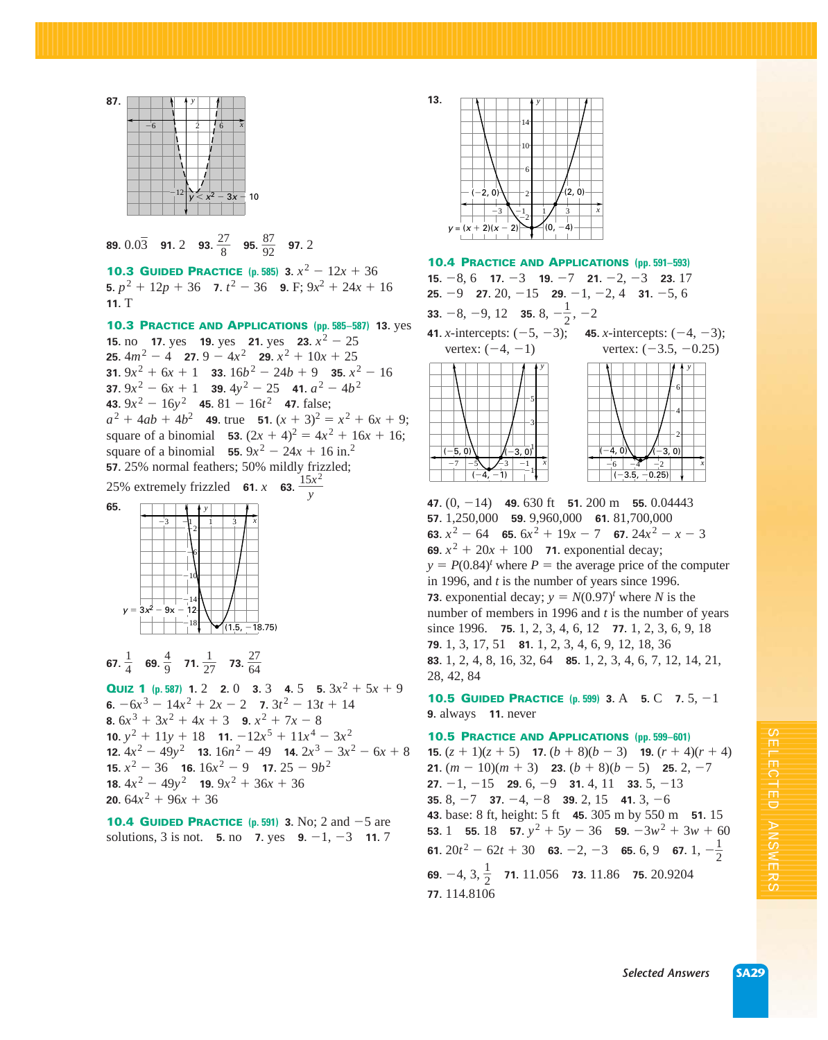

89. 0.03 91. 2 93.  $\frac{27}{8}$  95.  $\frac{87}{92}$  97. 2

**10.3 GUIDED PRACTICE** (p. 585) **3.**  $x^2 - 12x + 36$ **5.**  $p^2 + 12p + 36$  **7.**  $t^2 - 36$  **9.** F;  $9x^2 + 24x + 16$  $11. T$ 

10.3 PRACTICE AND APPLICATIONS (pp. 585-587) 13. yes

**15.** no **17.** yes **19.** yes **21.** yes **23.**  $x^2 - 25$ **25.**  $4m^2 - 4$  **27.**  $9 - 4x^2$  **29.**  $x^2 + 10x + 25$ **31.**  $9x^2 + 6x + 1$  **33.**  $16b^2 - 24b + 9$  **35.**  $x^2 - 16$ **37.**  $9x^2 - 6x + 1$  **39.**  $4y^2 - 25$  **41.**  $a^2 - 4b^2$ 43.  $9x^2 - 16y^2$  45.  $81 - 16t^2$  47. false;  $a^{2} + 4ab + 4b^{2}$  49. true 51.  $(x + 3)^{2} = x^{2} + 6x + 9$ ; square of a binomial 53.  $(2x + 4)^2 = 4x^2 + 16x + 16$ ; square of a binomial **55.**  $9x^2 - 24x + 16$  in.<sup>2</sup> 57. 25% normal feathers; 50% mildly frizzled;

25% extremely frizzled 61. x 63.  $\frac{15x^2}{x}$ 



67.  $\frac{1}{4}$  69.  $\frac{4}{9}$  71.  $\frac{1}{27}$  73.  $\frac{27}{64}$ 

QUIZ 1 (p. 587) 1. 2 2. 0 3. 3 4. 5 5.  $3x^2 + 5x + 9$ 6.  $-6x^3 - 14x^2 + 2x - 2$  7.  $3t^2 - 13t + 14$ **8.**  $6x^3 + 3x^2 + 4x + 3$  **9.**  $x^2 + 7x - 8$ **10.**  $y^2$  + 11y + 18 **11.**  $-12x^5$  + 11x<sup>4</sup> - 3x<sup>2</sup> **12.**  $4x^2 - 49y^2$  **13.**  $16n^2 - 49$  **14.**  $2x^3 - 3x^2 - 6x + 8$ **15.**  $x^2 - 36$  **16.**  $16x^2 - 9$  **17.**  $25 - 9b^2$ **18.**  $4x^2 - 49y^2$  **19.**  $9x^2 + 36x + 36$ **20.**  $64x^2 + 96x + 36$ 

**10.4 GUIDED PRACTICE** (p. 591) **3.** No; 2 and  $-5$  are solutions, 3 is not. 5. no 7. yes  $9. -1, -3$  11. 7



#### 10.4 PRACTICE AND APPLICATIONS (pp. 591-593)

15.  $-8$ , 6 17.  $-3$  19.  $-7$  21.  $-2$ ,  $-3$  23. 17 **25.**  $-9$  **27.** 20,  $-15$  **29.**  $-1$ ,  $-2$ , 4 **31.**  $-5$ , 6 **33.**  $-8$ ,  $-9$ , 12 **35.** 8,  $-2$  $\overline{2}$ ,

vertex:  $(-4, -1)$ 



|  | $(-5, 0)$ |  |   | $-3,0)^{1}$ |                  |
|--|-----------|--|---|-------------|------------------|
|  |           |  | з |             | $\boldsymbol{x}$ |
|  |           |  |   |             |                  |

|           |       |          |   | y |   |
|-----------|-------|----------|---|---|---|
|           |       |          |   |   |   |
|           |       |          | 6 |   |   |
|           |       |          |   |   |   |
|           |       |          |   |   |   |
|           |       |          |   |   |   |
|           |       |          |   |   |   |
| $(-4, 0)$ |       | $-3, 0)$ |   |   |   |
| 6         |       |          |   |   | x |
|           | $-35$ | በ 25)    |   |   |   |

47.  $(0, -14)$  49. 630 ft 51. 200 m 55. 0.04443 57. 1,250,000 59. 9,960,000 61. 81,700,000 **63.**  $x^2$  – 64 **65.**  $6x^2$  + 19x – 7 **67.**  $24x^2$  – x – 3 **69.**  $x^2 + 20x + 100$  **71.** exponential decay;  $y = P(0.84)^t$  where  $P =$  the average price of the computer in 1996, and *t* is the number of years since 1996. **73**. exponential decay;  $y = N(0.97)^t$  where N is the number of members in 1996 and  $t$  is the number of years since 1996. **75.** 1, 2, 3, 4, 6, 12 **77.** 1, 2, 3, 6, 9, 18 79. 1, 3, 17, 51 81. 1, 2, 3, 4, 6, 9, 12, 18, 36 83. 1, 2, 4, 8, 16, 32, 64 85. 1, 2, 3, 4, 6, 7, 12, 14, 21, 28, 42, 84

**10.5 GUIDED PRACTICE** (p. 599) 3. A 5. C 7. 5,  $-1$ 9. always 11. never

#### 10.5 PRACTICE AND APPLICATIONS (pp. 599-601)

**15.**  $(z + 1)(z + 5)$  **17.**  $(b + 8)(b - 3)$  **19.**  $(r + 4)(r + 4)$ **21.**  $(m - 10)(m + 3)$  **23.**  $(b + 8)(b - 5)$  **25.** 2, -7 27.  $-1$ ,  $-15$  29. 6,  $-9$  31. 4, 11 33. 5,  $-13$ **35.** 8,  $-7$  **37.**  $-4$ ,  $-8$  **39.** 2, 15 **41.** 3,  $-6$ 43. base: 8 ft, height: 5 ft 45. 305 m by 550 m 51. 15 **53.** 1 **55.** 18 **57.**  $y^2 + 5y - 36$  **59.**  $-3w^2 + 3w + 60$ 61.  $20t^2 - 62t + 30$  63.  $-2$ ,  $-3$  65. 6, 9 67. 1,  $-\frac{1}{2}$ 69.  $-4$ , 3,  $\frac{1}{2}$  71. 11.056 73. 11.86 75. 20.9204 77.114.8106

**SA29**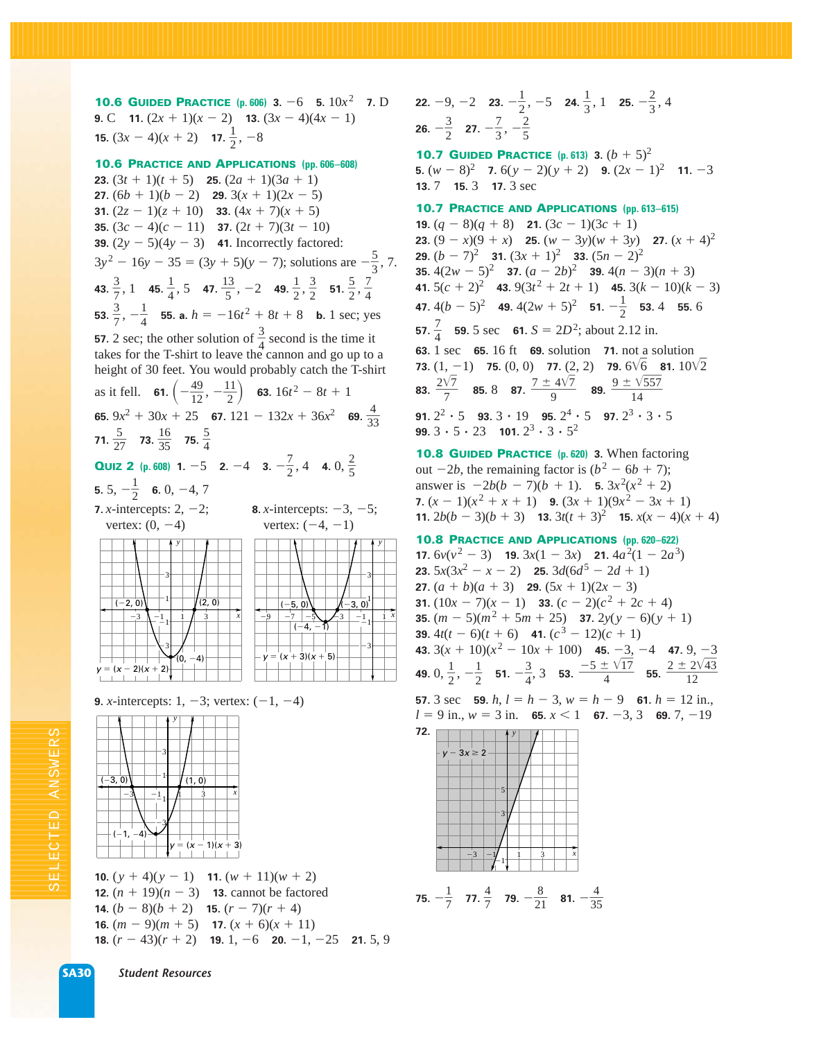**10.6 GUIDED PRACTICE** (p. 606) **3.**  $-6$  **5.**  $10x^2$  **7.** D **9.** C **11.**  $(2x + 1)(x - 2)$  **13.**  $(3x - 4)(4x - 1)$ **15.**  $(3x - 4)(x + 2)$  **17.**  $\frac{1}{2}$  $\frac{1}{2}$ , -8

#### **10.6 PRACTICE AND APPLICATIONS (pp. 606–608)**

**23.**  $(3t + 1)(t + 5)$  **25.**  $(2a + 1)(3a + 1)$ 

**27.**  $(6b + 1)(b - 2)$  **29.**  $3(x + 1)(2x - 5)$ **31.**  $(2z - 1)(z + 10)$  **33.**  $(4x + 7)(x + 5)$ **35.**  $(3c - 4)(c - 11)$  **37.**  $(2t + 7)(3t - 10)$ **39.**  $(2y - 5)(4y - 3)$  **41.** Incorrectly factored:  $3y^2 - 16y - 35 = (3y + 5)(y - 7)$ ; solutions are  $-\frac{5}{3}$  $\frac{3}{3}$ , 7. **43.**  $\frac{3}{7}$  $\frac{3}{7}$ , 1 **45.**  $\frac{1}{4}$  $\frac{1}{4}$ , 5 **47.**  $\frac{1}{3}$ 5  $\frac{3}{2}$ , -2 **49.**  $\frac{1}{2}$  $\frac{1}{2}$ ,  $\frac{3}{2}$  $\frac{3}{2}$  **51.**  $\frac{5}{2}$  $\frac{5}{2}$ ,  $\frac{7}{4}$ 4 - **53.**  $\frac{3}{7}$  $\frac{3}{7}, -\frac{1}{4}$ **55. a.**  $h = -16t^2 + 8t + 8$  **b.** 1 sec; yes **57.** 2 sec; the other solution of  $\frac{3}{4}$  $\frac{3}{4}$  second is the time it takes for the T-shirt to leave the cannon and go up to a height of 30 feet. You would probably catch the T-shirt as it fell. **61.**  $\left(-\frac{4}{1}\right)$ 1 9  $\frac{9}{2}, -\frac{1}{2}$ 2  $\frac{1}{2}$  **63.** 16*t*<sup>2</sup> – 8*t* + 1 **65.**  $9x^2 + 30x + 25$  **67.** 121 - 132*x* + 36*x*<sup>2</sup> **69.**  $\frac{2}{3}$ 4 3 - **71.**  $\frac{1}{2}$ 5  $\frac{5}{7}$  **73.**  $\frac{1}{3}$ 3 6  $\frac{6}{5}$  **75.**  $\frac{5}{4}$ 4 - **QUIZ 2** (p. 608) **1.**  $-5$  **2.**  $-4$  **3.**  $-\frac{7}{2}$  $\frac{7}{2}$ , 4 **4.** 0,  $\frac{2}{5}$ 5 -

**5.** 5,  $-\frac{1}{2}$  $\frac{1}{2}$  **6.** 0, -4, 7

**7.** *x*-intercepts: 2, -2; **8.** *x*-intercepts:  $-3$ ,  $-5$ ; vertex:  $(0, -4)$  vertex:  $(-4, -1)$ 



|      |  |           |                      |     |                |             |   | $\overline{y}$ |                     |
|------|--|-----------|----------------------|-----|----------------|-------------|---|----------------|---------------------|
|      |  |           |                      |     |                |             |   |                |                     |
|      |  |           |                      |     |                |             |   |                |                     |
|      |  |           |                      |     |                |             |   |                |                     |
|      |  |           |                      |     |                |             |   |                |                     |
|      |  | $(-5, 0)$ |                      |     |                | $-3,0)^{1}$ |   |                |                     |
| $-9$ |  |           |                      |     | $\overline{3}$ |             |   |                | $\boldsymbol{\chi}$ |
|      |  |           | $\overline{(-4)}$    | – f |                |             |   |                |                     |
|      |  |           |                      |     |                |             |   |                |                     |
|      |  |           | $y = (x + 3)(x + 5)$ |     |                |             | 3 |                |                     |
|      |  |           |                      |     |                |             |   |                |                     |
|      |  |           |                      |     |                |             |   |                |                     |

**9.** *x*-intercepts:  $1, -3$ ; vertex:  $(-1, -4)$ 



**10.**  $(y + 4)(y - 1)$  **11.**  $(w + 11)(w + 2)$ **12.**  $(n + 19)(n - 3)$  **13.** cannot be factored **14.**  $(b - 8)(b + 2)$  **15.**  $(r - 7)(r + 4)$ **16.**  $(m - 9)(m + 5)$  **17.**  $(x + 6)(x + 11)$ **18.**  $(r - 43)(r + 2)$  **19.** 1, -6 **20.** -1, -25 **21.** 5, 9

**22.** -9, -2 **23.** 
$$
-\frac{1}{2}
$$
, -5 **24.**  $\frac{1}{3}$ , 1 **25.**  $-\frac{2}{3}$ , 4  
**26.**  $-\frac{3}{2}$  **27.**  $-\frac{7}{3}$ ,  $-\frac{2}{5}$ 

**10.7 GUIDED PRACTICE**  $(p. 613)$  **3.**  $(b + 5)^2$ **5.**  $(w - 8)^2$  **7.**  $6(y - 2)(y + 2)$  **9.**  $(2x - 1)^2$  **11.** -3 **13.** 7 **15.** 3 **17.** 3 sec

#### **10.7 PRACTICE AND APPLICATIONS (pp. 613–615)**

**19.**  $(q - 8)(q + 8)$  **21.**  $(3c - 1)(3c + 1)$ **23.**  $(9 - x)(9 + x)$  **25.**  $(w - 3y)(w + 3y)$  **27.**  $(x + 4)^2$ **29.**  $(b-7)^2$  **31.**  $(3x + 1)^2$  **33.**  $(5n - 2)^2$ **35.**  $4(2w - 5)^2$  **37.**  $(a - 2b)^2$  **39.**  $4(n - 3)(n + 3)$ **41.**  $5(c + 2)^2$  **43.**  $9(3t^2 + 2t + 1)$  **45.**  $3(k - 10)(k - 3)$ **47.**  $4(b-5)^2$  **49.**  $4(2w+5)^2$  **51.**  $-\frac{1}{2}$  $\frac{1}{2}$  **53.** 4 **55.** 6 **57.**  $\frac{7}{4}$  $\frac{7}{4}$  **59.** 5 sec **61.**  $S = 2D^2$ ; about 2.12 in. **63.** 1 sec **65.** 16 ft **69.** solution **71.** not a solution **73.**  $(1, -1)$  **75.**  $(0, 0)$  **77.**  $(2, 2)$  **79.**  $6\sqrt{6}$  **81.**  $10\sqrt{2}$ **83.**  $\frac{2\sqrt{7}}{7}$  **85.** 8 **87.**  $\frac{7 \pm 4\sqrt{7}}{9}$  **89.**  $\frac{9 \pm \sqrt{557}}{14}$ **91.**  $2^2 \cdot 5$  **93.**  $3 \cdot 19$  **95.**  $2^4 \cdot 5$  **97.**  $2^3 \cdot 3 \cdot 5$ **99.**  $3 \cdot 5 \cdot 23$  **101.**  $2^3 \cdot 3 \cdot 5^2$  $(1, -1)$  75. (0, 0) 77. (2, 2) 79. 6  $\sqrt{(2, 2)}$ <br>  $\frac{2\sqrt{7}}{7}$  85. 8 87.  $\frac{7 \pm 4\sqrt{7}}{9}$  89.  $\frac{9 \pm \sqrt{7}}{14}$ 7

**10.8 GUIDED PRACTICE (p. 620) 3.** When factoring out  $-2b$ , the remaining factor is  $(b^2 - 6b + 7)$ ; answer is  $-2b(b-7)(b+1)$ . **5.**  $3x^2(x^2+2)$ **7.**  $(x - 1)(x^2 + x + 1)$  **9.**  $(3x + 1)(9x^2 - 3x + 1)$ **11.**  $2b(b-3)(b+3)$  **13.**  $3t(t+3)^2$  **15.**  $x(x-4)(x+4)$ 

#### **10.8 PRACTICE AND APPLICATIONS (pp. 620–622)**

**17.**  $6v(v^2 - 3)$  **19.**  $3x(1 - 3x)$  **21.**  $4a^2(1 - 2a^3)$ **23.**  $5x(3x^2 - x - 2)$  **25.**  $3d(6d^5 - 2d + 1)$ **27.**  $(a + b)(a + 3)$  **29.**  $(5x + 1)(2x - 3)$ **31.**  $(10x - 7)(x - 1)$  **33.**  $(c - 2)(c^2 + 2c + 4)$ **35.**  $(m - 5)(m^2 + 5m + 25)$  **37.**  $2y(y - 6)(y + 1)$ **39.**  $4t(t-6)(t+6)$  **41.**  $(c^3-12)(c+1)$ **43.**  $3(x + 10)(x^2 - 10x + 100)$  **45.**  $-3$ ,  $-4$  **47.** 9,  $-3$ **49.**  $0, \frac{1}{2}$  $\frac{1}{2}, -\frac{1}{2}$  $\frac{1}{2}$  **51.**  $-\frac{3}{4}$  $\frac{3}{4}$ , 3 **53.**  $\frac{-5 \pm \sqrt{17}}{4}$  **55.**  $\frac{2 \pm 2\sqrt{43}}{12}$ 4

**57.** 3 sec **59.** 
$$
h, l = h - 3, w = h - 9
$$
 **61.**  $h = 12$  in.,  
 $l = 9$  in.,  $w = 3$  in. **65.**  $x < 1$  **67.**  $-3, 3$  **69.** 7,  $-19$ 

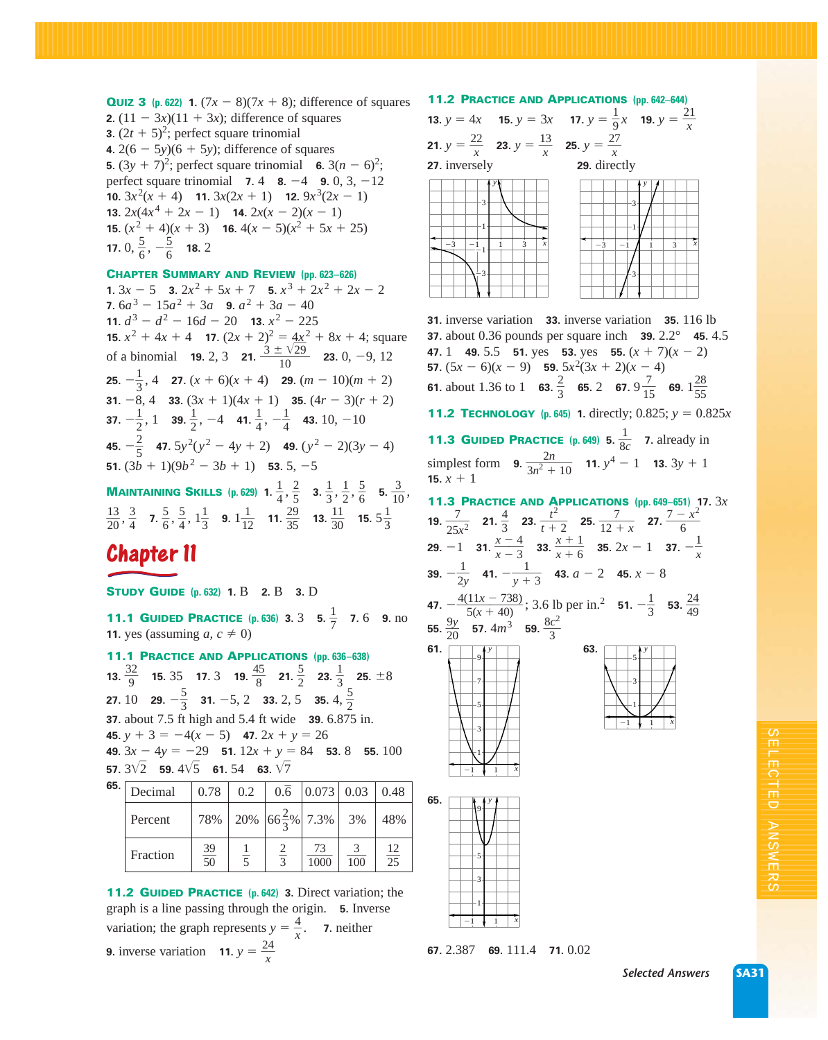**QUIZ 3** (p. 622) **1.**  $(7x - 8)(7x + 8)$ ; difference of squares **2.**  $(11 - 3x)(11 + 3x)$ ; difference of squares **3.**  $(2t + 5)^2$ ; perfect square trinomial **4.**  $2(6-5y)(6+5y)$ ; difference of squares **5.**  $(3y + 7)^2$ ; perfect square trinomial **6.**  $3(n - 6)^2$ ; perfect square trinomial **7.** 4 **8.**  $-4$  **9.** 0, 3,  $-12$ **10.**  $3x^2(x + 4)$  **11.**  $3x(2x + 1)$  **12.**  $9x^3(2x - 1)$ **13.**  $2x(4x^4 + 2x - 1)$  **14.**  $2x(x - 2)(x - 1)$ **15.**  $(x^2 + 4)(x + 3)$  **16.**  $4(x - 5)(x^2 + 5x + 25)$ **17.**  $0, \frac{5}{6}$  $\frac{5}{6}, -\frac{5}{6}$  $\frac{3}{6}$  **18.** 2

#### **CHAPTER SUMMARY AND REVIEW (pp. 623–626)**

**1.**  $3x - 5$  **3.**  $2x^2 + 5x + 7$  **5.**  $x^3 + 2x^2 + 2x - 2$ **7.**  $6a^3 - 15a^2 + 3a$  **9.**  $a^2 + 3a - 40$ **11.**  $d^3 - d^2 - 16d - 20$  **13.**  $x^2 - 225$ **15.**  $x^2 + 4x + 4$  **17.**  $(2x + 2)^2 = 4x^2 + 8x + 4$ ; square of a binomial **19.** 2, 3 **21.**  $\frac{3 \pm \sqrt{29}}{10}$  **23.** 0, -9, 12 **25.**  $-\frac{1}{2}$  $\frac{1}{3}$ , 4 **27.**  $(x + 6)(x + 4)$  **29.**  $(m - 10)(m + 2)$ **31.**  $-8$ , 4 **33.**  $(3x + 1)(4x + 1)$  **35.**  $(4r - 3)(r + 2)$ **37.**  $-\frac{1}{2}$  $\frac{1}{2}$ , 1 **39.**  $\frac{1}{2}$  $\frac{1}{2}$ , -4 **41.**  $\frac{1}{4}$  $\frac{1}{4}$ ,  $-\frac{1}{4}$  $\frac{1}{4}$  **43.** 10, -10 **45.**  $-\frac{2}{5}$  $\frac{2}{5}$  **47.**  $5y^2(y^2 - 4y + 2)$  **49.**  $(y^2 - 2)(3y - 4)$ **51.**  $(3b + 1)(9b^2 - 3b + 1)$  **53.** 5, -5 10

**MAINTAINING SKILLS (p. 629) 1.** - 1  $\frac{1}{4}, \frac{2}{5}$  $\frac{2}{5}$  **3.**  $\frac{1}{3}$  $\frac{1}{3}, \frac{1}{2}$  $\frac{1}{2}, \frac{5}{6}$  $\frac{2}{6}$  5.  $\frac{1}{1}$ 3  $\frac{1}{0}$ ,  $\frac{1}{2}$ 2 3  $\frac{3}{0}, \frac{3}{4}$  $\frac{3}{4}$  **7.**  $\frac{5}{6}$  $\frac{5}{6}, \frac{5}{4}$  $\frac{5}{4}$ ,  $1\frac{1}{3}$  $\frac{1}{3}$  **9.**  $1\frac{1}{1}$ 1  $\frac{1}{2}$  **11.**  $\frac{2}{3}$ 3 9  $\frac{9}{5}$  **13.**  $\frac{1}{3}$ 3 1  $\frac{1}{0}$  **15.**  $5\frac{1}{3}$ 3 -

### **Chapter 11**

#### **STUDY GUIDE (p. 632) 1.** B **2.** B **3.** D

**11.1 GUIDED PRACTICE** (p. 636) **3.** 3 **5.**  $\frac{1}{7}$  $\frac{1}{7}$  **7.** 6 **9.** no **11.** yes (assuming  $a, c \neq 0$ )

#### **11.1 PRACTICE AND APPLICATIONS (pp. 636–638)**

**13.**  $\frac{3}{7}$ 9  $\frac{2}{2}$  **15.** 35 **17.** 3 **19.**  $\frac{4}{3}$ 8  $\frac{5}{2}$  **21.**  $\frac{5}{2}$  $\frac{5}{2}$  **23.**  $\frac{1}{3}$  $\frac{1}{3}$  **25.**  $\pm 8$ **27.** 10 **29.**  $-\frac{5}{3}$  $\frac{5}{3}$  **31.** -5, 2 **33.** 2, 5 **35.** 4,  $\frac{5}{2}$ 2 - **37.** about 7.5 ft high and 5.4 ft wide **39.** 6.875 in. **45.**  $y + 3 = -4(x - 5)$  **47.**  $2x + y = 26$ **49.**  $3x - 4y = -29$  **51.**  $12x + y = 84$  **53.** 8 **55.** 100

**57.**  $3\sqrt{2}$  **59.**  $4\sqrt{5}$  **61.** 54 **63.**  $\sqrt{7}$ 

| 65. | Decimal  | 0.78     | 0.2 | 0.6 | $\vert 0.073 \vert 0.03$    |     | 0.48     |
|-----|----------|----------|-----|-----|-----------------------------|-----|----------|
|     | Percent  | 78%      |     |     | 20% 66 $\frac{2}{2}$ % 7.3% | 3%  | 48%      |
|     | Fraction | 39<br>50 |     |     | 73<br>1000                  | 100 | 12<br>25 |

**11.2 GUIDED PRACTICE (p. 642) 3.** Direct variation; the graph is a line passing through the origin. **5.** Inverse variation; the graph represents  $y = \frac{4}{x}$  $\frac{4}{x}$ . **7.** neither **9.** inverse variation **11.**  $y = \frac{2}{3}$ *x*  $\frac{4}{1}$ 

#### **11.2 PRACTICE AND APPLICATIONS (pp. 642–644)**

**13.**  $y = 4x$  **15.**  $y = 3x$  **17.**  $y = \frac{1}{9}$ **21.**  $y = \frac{2}{3}$ *x*  $\frac{2}{x}$  **23.**  $y = \frac{1}{x}$ *x*

> 1  $\frac{1}{1}$  $-3$

3 *y*





*x* 7 -

 $\frac{1}{9}x$  **19.**  $y = \frac{2}{x}$ 

*x* 1 -

**31.** inverse variation **33.** inverse variation **35.** 116 lb **37.** about 0.36 pounds per square inch **39.** 2.2° **45.** 4.5 **47.** 1 **49.** 5.5 **51.** yes **53.** yes **55.**  $(x + 7)(x - 2)$ **57.**  $(5x - 6)(x - 9)$  **59.**  $5x^2(3x + 2)(x - 4)$ **61.** about 1.36 to 1 **63.**  $\frac{2}{3}$  $\frac{2}{3}$  **65.** 2 **67.**  $9\frac{1}{1}$ 7  $\frac{7}{5}$  **69.**  $1\frac{2}{5}$ 5 8 5 - **11.2 TECHNOLOGY** (p. 645) **1.** directly; 0.825;  $y = 0.825x$ **11.3 GUIDED PRACTICE (p. 649) 5.** -8 1  $\frac{1}{c}$  **7.** already in simplest form **9.**  $\frac{2}{3n^2}$ 2  $^{+}$  $\frac{n}{x+10}$  **11.**  $y^4 - 1$  **13.** 3*y* + 1 **15.**  $x + 1$ **11.3 PRACTICE AND APPLICATIONS (pp. 649–651) 17.** 3*x*

9. 
$$
\frac{7}{25x^2}
$$
 21.  $\frac{4}{3}$  23.  $\frac{t^2}{t+2}$  25.  $\frac{7}{12+x}$  27.  $\frac{7-x^2}{6}$ 

**19.** 
$$
\frac{7}{25x^2}
$$
 **21.**  $\frac{4}{3}$  **23.**  $\frac{7}{t+2}$  **25.**  $\frac{7}{12+x}$  **27.**  $\frac{7}{6}$   
\n**29.** -1 **31.**  $\frac{x-4}{x-3}$  **33.**  $\frac{x+1}{x+6}$  **35.**  $2x - 1$  **37.**  $-\frac{1}{x}$   
\n**39.**  $-\frac{1}{2y}$  **41.**  $-\frac{1}{y+3}$  **43.**  $a - 2$  **45.**  $x - 8$   
\n**47.**  $-\frac{4(11x - 738)}{5(x+40)}$ ; 3.6 lb per in.<sup>2</sup> **51.**  $-\frac{1}{3}$  **53.**  $\frac{24}{49}$ 

3  $\frac{c^2}{2}$ 

**55.** 
$$
\frac{9y}{20}
$$
 **57.**  $4m^3$  **59.**  $\frac{8a}{3}$ 

$$
\frac{20}{}
$$



 $-1$   $\downarrow$   $1$   $\downarrow$   $x$ 1





| 65. |  | 9 | $\overline{y}$ |   |
|-----|--|---|----------------|---|
|     |  |   |                |   |
|     |  |   |                |   |
|     |  |   |                |   |
|     |  | 5 |                |   |
|     |  |   |                |   |
|     |  | 3 |                |   |
|     |  |   |                |   |
|     |  | 1 |                |   |
|     |  |   |                |   |
|     |  |   |                | x |

**67.** 2.387 **69.** 111.4 **71.** 0.02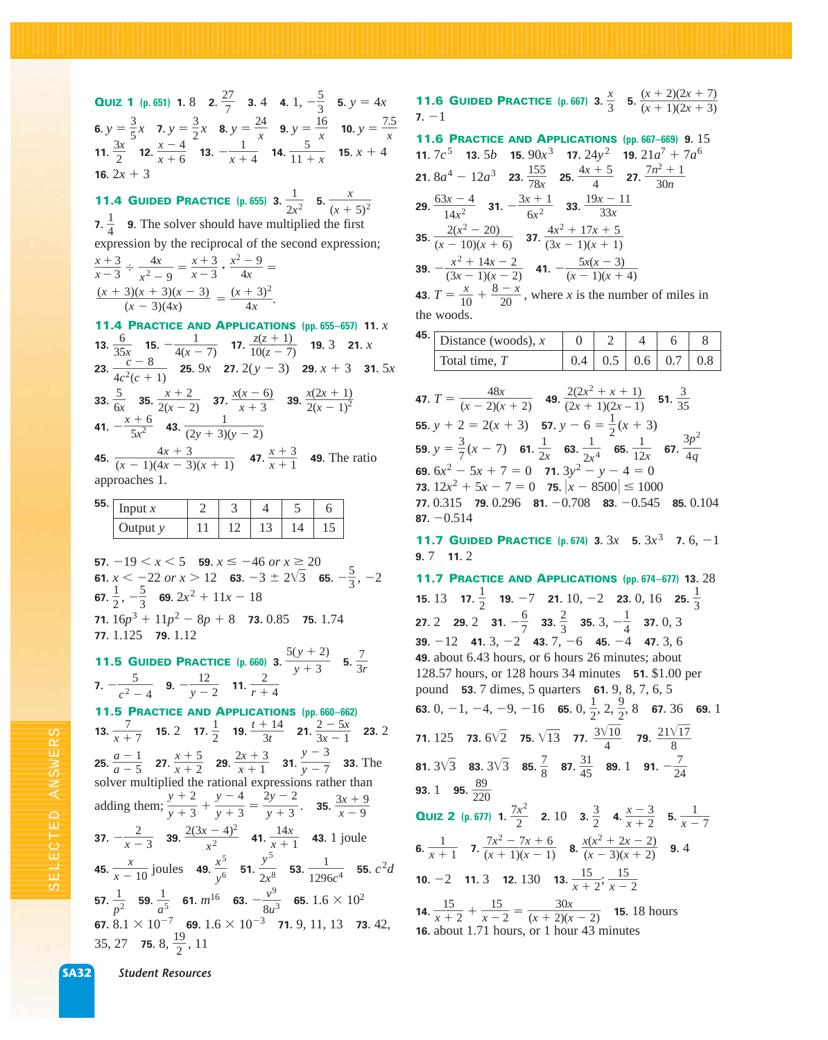**QUIZ 1** (p. 651) **1.** 8 **2.**  $\frac{2}{7}$ 7  $\frac{7}{2}$  **3.** 4 **4.** 1,  $-\frac{5}{3}$  $\frac{3}{3}$  **5.**  $y = 4x$ **6.**  $y = \frac{3}{5}$  $\frac{3}{5}x$  **7.**  $y = \frac{3}{2}$  $\frac{3}{2}x$  **8.**  $y = \frac{2}{x}$ *x*  $\frac{4}{x}$  **9.**  $y = \frac{1}{x}$ *x*  $\frac{6}{x}$  **10.**  $y = \frac{7}{x}$ *x*  $\frac{.5}{.}$ **11.**  $\frac{3}{7}$ 2  $\frac{x}{2}$  **12.**  $\frac{x}{x+1}$ *x*  $\overline{\phantom{0}}$  $^{+}$  $\frac{-4}{+6}$  **13.**  $-\frac{1}{x+}$  $\frac{1}{+4}$  **14.**  $\frac{3}{11}$ 5  $\frac{5}{+x}$  **15.**  $x + 4$ **16.**  $2x + 3$ 

**11.4 GUIDED PRACTICE** (p. 655) **3.**  $\frac{1}{2}$ 1  $\frac{1}{x^2}$  **5.**  $\frac{x}{(x+1)}$ *x*  $\frac{(x-5)^2}{(x-5)^2}$ **7.**  $\frac{1}{4}$  $\frac{1}{4}$  **9.** The solver should have multiplied the first expression by the reciprocal of the second expression;  $\frac{x+1}{x-1}$ *x*  $\overline{\phantom{0}}$  $\frac{+3}{-3} \div \frac{4}{x^2}$ 4  $\overline{\phantom{0}}$  $\frac{x}{-9} = \frac{x+1}{x-1}$ *x*  $^{+}$  $\overline{\phantom{0}}$  $\frac{+3}{-3} \cdot \frac{x^2}{4}$ 4  $\overline{\phantom{0}}$  $\frac{-9}{x}$  =  $=\frac{(x + x)}{4}$ 4*x*  $\frac{(x+3)(x+3)(x-3)}{(x-3)(4x)} = \frac{(x+3)^2}{4x}.$  $(x - 3)(4x)$ 

**11.4 PRACTICE AND APPLICATIONS (pp. 655–657) 11.** *x* **13.**  $\frac{1}{35}$ 6  $\frac{6}{5x}$  **15.**  $-\frac{1}{4(x+1)}$ 1  $\frac{1}{1-7}$  **17.**  $\frac{z(z-1)}{10(z-1)}$ *z*  $\mathbf{0}$ ( ( *z z*  $^{+}$  $\overline{\phantom{0}}$ 1  $\frac{+1}{-7}$  **19.** 3 **21.** *x* **23.**  $\frac{c}{4c^2(c)}$ *c* (*c*  $\overline{\phantom{0}}$  $\frac{-8}{+1}$  **25.** 9*x* **27.** 2(*y* - 3) **29.** *x* + 3 **31.** 5*x* **33.**  $\frac{1}{6}$ 5  $\frac{5}{x}$  **35.**  $\frac{x+1}{2(x+1)}$ *x x*  $^{+}$  $\frac{x+2}{-2}$  **37.**  $\frac{x(x-2)}{x+2}$ *x x*  $^{+}$  $\frac{x-6}{+3}$  **39.**  $\frac{x(2x)}{2(x-1)}$ 2 ( ( 2 *x x*  $\overline{\phantom{0}}$  1 1  $\frac{+1}{-1)^2}$ **41.**  $-\frac{x-1}{5}$ 5 **35.**  $\frac{1}{2(x-2)}$  **37**<br>  $\frac{1}{x^2}$  **43.**  $\frac{1}{(2y+3)}$ 1  $\frac{1}{(x+3)}$ <br>  $(y-2)$ **45.**  $\frac{4x+3}{(x-1)(4x-2)(x+1)}$  **47.**  $\frac{x+1}{x+1}$  $\! + \!$  $\frac{4x+3}{(x-1)(4x-3)(x+1)}$  **47.**  $\frac{x+3}{x+1}$  **49.** The ratio  $4x + 3$ 

*x* approaches 1.  $(x - 1)(4x - 3)(x + 1)$ 

| 55. | Input $x$  |   |  |  |
|-----|------------|---|--|--|
|     | Output $y$ | ╭ |  |  |

**57.**  $-19 < x < 5$  **59.**  $x \le -46$  or  $x \ge 20$ **61.**  $x < -22$  or  $x > 12$  **63.**  $-3 \pm 2\sqrt{3}$  **65.**  $-\frac{5}{3}$  $\frac{3}{3}$ , -2 **67.**  $\frac{1}{2}$  $\frac{1}{2}$ ,  $-\frac{5}{3}$  $\frac{5}{3}$  **69.**  $2x^2 + 11x - 18$ **71.**  $16p^3 + 11p^2 - 8p + 8$  **73.** 0.85 **75.** 1.74 **77.** 1.125 **79.** 1.12

**11.5 GUIDED PRACTICE** (p. 660) **3.**  $\frac{5(y+1)}{y-1}$ *y y*  $\frac{+2}{-3}$  **5.**  $\frac{7}{3}$ 7 **7.**  $-\frac{5}{c^2-4}$  **9.**  $-\frac{12}{y-2}$  **11.**  $\frac{2}{r+4}$  **5.**  $\frac{3r}{3r}$ <br>**7.**  $-\frac{5}{c^2-4}$  **9.**  $-\frac{12}{y-2}$  **11.**  $\frac{2}{r+4}$  $\frac{5}{-4}$  **9.**  $-\frac{1}{y}$ 1  $\overline{\phantom{0}}$  $\frac{2}{r-2}$  **11.**  $\frac{2}{r+1}$  $\frac{2}{+}$ 

#### **11.5 PRACTICE AND APPLICATIONS (pp. 660–662)**

**13.**  $\frac{7}{x+1}$  $\frac{7}{+7}$  **15.** 2 **17.**  $\frac{1}{2}$  $\frac{1}{2}$  **19.**  $\frac{t+1}{3}$  $\frac{+14}{3t}$  **21.**  $\frac{2}{3x}$ 3*x*  $\overline{\phantom{0}}$  $\overline{\phantom{0}}$  $\frac{-5x}{-1}$  **23.** 2 **25.**  $\frac{a}{a}$ *a*  $\overline{\phantom{0}}$  $\overline{\phantom{0}}$  $\frac{-1}{-5}$  **27.**  $\frac{x+1}{x+1}$ *x*  $^{+}$  $^{+}$  $\frac{+5}{+2}$  **29.**  $\frac{2x}{x+}$ *x x*  $^{+}$  $\frac{+3}{+1}$  **31.**  $\frac{y}{y}$ *y*  $\overline{\phantom{0}}$  $\overline{\phantom{0}}$  $\frac{-3}{-7}$  **33.** The solver multiplied the rational expressions rather than adding them;  $\frac{y+1}{y+1}$ *y*  $\! + \!$  $^{+}$  $\frac{+2}{+3} + \frac{y}{y+}$ *y*  $\overline{\phantom{0}}$  $^{+}$  $\frac{-4}{-3} = \frac{2y}{y+}$ *y y*  $^{+}$  $\overline{\phantom{0}}$  $\frac{-2}{+3}$ . **35.**  $\frac{3x}{x-}$ *x x*  $\overline{\phantom{0}}$  $\frac{+9}{-9}$ **37.**  $-\frac{2}{x-1}$  $\frac{2}{-3}$  **39.**  $\frac{2(3x)}{x}$ *x*  $\overline{\phantom{0}}$ 2  $\frac{(x-4)^2}{2}$  **41.**  $\frac{1}{x+4}$ 1  $^{+}$  $\frac{4x}{+1}$  **43.** 1 joule **45.**  $\frac{x}{x-1}$  $\frac{x}{-10}$  joules **49.**  $\frac{x}{y}$ *y*6 5  $\frac{1}{6}$  **51.**  $\frac{1}{2}$ *y x* 5  $\frac{1}{x^8}$  **53.**  $\frac{1}{129}$ 1  $\frac{1}{6c^4}$  **55.**  $c^2d$ **57.** - *p* 1  $\frac{1}{a^2}$  **59.**  $\frac{1}{a}$ 1  $\frac{1}{5}$  **61.**  $m^{16}$  **63.**  $-\frac{v}{8v}$ *v u* 9  $\frac{1}{2}$  **65.** 1.6  $\times$  10<sup>2</sup> **67.**  $8.1 \times 10^{-7}$  **69.**  $1.6 \times 10^{-3}$  **71.** 9, 11, 13 **73.** 42,  $35, 27$  **75.**  $8, \frac{1}{7}$ 2  $\frac{9}{2}$ , 11

**11.6 GUIDED PRACTICE (p. 667) 3.** -3  $\frac{x}{3}$  **5.**  $\frac{(x + 2)(x)}{(x + 1)(x)}$ ( *x x*  $^{+}$  1 2 ) ) ( ( 2 2 *x x*  $^{+}$  7 **11.6 GUIDED PRACTICE** (p. 667) **3.**  $\frac{x}{3}$  **5.**  $\frac{(x+2)(2x+7)}{(x+1)(2x+3)}$ <br>**7.** -1

**11.6 PRACTICE AND APPLICATIONS (pp. 667–669) 9.** 15 **11.**  $7c^5$  **13.** 5*b* **15.**  $90x^3$  **17.**  $24y^2$  **19.**  $21a^7 + 7a^6$ **21.**  $8a^4 - 12a^3$  **23.**  $\frac{15}{78}$ 7 5 8 5  $\frac{55}{3x}$  **25.**  $\frac{4x}{4}$ 4  $\frac{+5}{4}$  **27.**  $\frac{7n^2}{36}$ 3 2 0  $^{+}$  $\frac{+1}{2n}$ **29.**  $\frac{63x}{14}$ 1 *x* 4  $\frac{-4}{x^2}$  **31.**  $-\frac{3x}{6x}$ 6*x*  $\! + \!$  $\frac{+1}{x^2}$  **33.**  $\frac{19x}{3}$ 33  $\overline{\phantom{0}}$  $\frac{-11}{3x}$ **35.**  $\frac{2(x^2-1)}{(x-10)}$ 2  $\overline{\phantom{0}}$ (*x* 1 2 0  $\overline{\phantom{0}}$ )(*x* 2  $\frac{-20}{(x+6)}$  **37.**  $\frac{4x^2+1}{(3x-1)}$ 4 3 *x x* 2  $\overline{\phantom{0}}$  $\! + \!$ 1 1 ) 7 (*x x*  $\! + \!$  $\frac{33x}{(7x+5)}$ <br> $(x + 1)$ **39.**  $\frac{x^2 + 1}{(3x - 1)}$ *x x* 2  $\overline{\phantom{0}}$  $\! + \!$ 1 1 ) 4 ( *x x*  $\overline{\phantom{0}}$  $\frac{4x-2}{(x-2)}$  **41.**  $\frac{5x(x-1)}{(x-1)}$ 5  $\overline{\phantom{0}}$ *x*( 1 *x* )(  $\overline{\phantom{0}}$  $(x + 1)$ <br>  $\frac{-3}{x(1+4)}$ *x*  $\overline{\phantom{0}}$ 

**43.**  $T = \frac{3}{1}$  $\frac{x}{0} + \frac{8}{2}$ 2  $\frac{-x}{0}$ , where *x* is the number of miles in the woods.

| 45. | Distance (woods), $x$ |  |                  |     |  |
|-----|-----------------------|--|------------------|-----|--|
|     | Total time, T         |  | 0.6 <sub>1</sub> | 0.7 |  |

**47.** 
$$
T = \frac{48x}{(x-2)(x+2)}
$$
 **49.**  $\frac{2(2x^2 + x + 1)}{(2x+1)(2x-1)}$  **51.**  $\frac{3}{35}$   
\n**55.**  $y + 2 = 2(x+3)$  **57.**  $y - 6 = \frac{1}{2}(x+3)$   
\n**59.**  $y = \frac{3}{7}(x-7)$  **61.**  $\frac{1}{2x}$  **63.**  $\frac{1}{2x^4}$  **65.**  $\frac{1}{12x}$  **67.**  $\frac{3p^2}{4q}$   
\n**69.**  $6x^2 - 5x + 7 = 0$  **71.**  $3y^2 - y - 4 = 0$   
\n**73.**  $12x^2 + 5x - 7 = 0$  **75.**  $|x - 8500| \le 1000$   
\n**77.** 0.315 **79.** 0.296 **81.** -0.708 **83.** -0.545 **85.** 0.104  
\n**87.** -0.514

**11.7 GUIDED PRACTICE** (p. 674) **3.**  $3x$  **5.**  $3x<sup>3</sup>$  **7.** 6, -1 **9.** 7 **11.** 2

**11.7 PRACTICE AND APPLICATIONS (pp. 674–677) 13.** 28 **15.** 13 **17.**  $\frac{1}{2}$  $\frac{1}{2}$  **19.** -7 **21.** 10, -2 **23.** 0, 16 **25.**  $\frac{1}{3}$ 3 - **27.** 2 **29.** 2 **31.**  $-\frac{6}{7}$  $\frac{6}{7}$  **33.**  $\frac{2}{3}$  $\frac{2}{3}$  **35.** 3,  $-\frac{1}{4}$  $\frac{1}{4}$  **37**. 0, 3 **39.**  $-12$  **41.** 3,  $-2$  **43.** 7,  $-6$  **45.**  $-4$  **47.** 3, 6 **49.** about 6.43 hours, or 6 hours 26 minutes; about 128.57 hours, or 128 hours 34 minutes **51.** \$1.00 per pound **53.** 7 dimes, 5 quarters **61.** 9, 8, 7, 6, 5 **63.** 0,  $-1$ ,  $-4$ ,  $-9$ ,  $-16$  **65.** 0,  $\frac{1}{2}$  $\frac{1}{2}$ , 2,  $\frac{9}{2}$  $\frac{2}{2}$ , 8 **67**. 36 **69.** 1 **71.** 125 **73.**  $6\sqrt{2}$  **75.**  $\sqrt{13}$  **77.**  $\frac{3\sqrt{10}}{4}$  **79.**  $\frac{21\sqrt{17}}{8}$ **81.**  $3\sqrt{3}$  **83.**  $3\sqrt{3}$  **85.**  $\frac{7}{8}$  $\frac{7}{8}$  **87.**  $\frac{3}{4}$ 4 1  $\frac{1}{5}$  **89.** 1 **91.**  $-\frac{1}{2}$ 7 4 - **93.** 1 **95.**  $\frac{8}{22}$ 8 2 9  $\frac{2}{20}$ **QUIZ 2** (p. 677) **1.**  $\frac{73}{6}$ 2  $\frac{x^2}{2}$  **2.** 10 **3.**  $\frac{3}{2}$  $\frac{3}{2}$  **4.**  $\frac{x}{x+1}$ *x*  $\overline{\phantom{0}}$  $^{+}$  $\frac{-3}{+2}$  **5.**  $\frac{1}{x-1}$  $\frac{1}{-7}$ **6.**  $\frac{1}{x +}$  $\frac{1}{x+1}$  **7.**  $\frac{7x^2-1}{(x+1)}$ 7 *x x*  $^{+}$  $2-$ 1) 7 (*x x*  $\overline{\phantom{0}}$  $\! + \!$  $\frac{7x+6}{(x-1)}$  **8.**  $\frac{x(x^2+1)}{(x-3)}$ (*x* (*x*  $\overline{\phantom{0}}$  $^{2}+$ 3) 2 (*x x*  $\overline{\phantom{0}}$ 2 2  $\frac{2x+2}{(x+2)}$  **9.** 4 **10.**  $-2$  **11.** 3 **12.** 130 **13.**  $\frac{1}{x+1}$ 1  $^{+}$  $\frac{5}{-2}$ ;  $\frac{1}{x-2}$ 1  $\overline{\phantom{0}}$  $\frac{5}{-2}$ **14.**  $\frac{1}{x+1}$ 1  $^{+}$  $\frac{5}{2} + \frac{15}{x-}$  $\frac{15}{-2} = \frac{30}{(x + 2)}$ 3 )  $\boldsymbol{0}$ ( *x*  $\frac{0x}{(x-2)}$  **15.** 18 hours **16.** about 1.71 hours, or 1 hour 43 minutes 4

SELECTED ANSWERS

**SA32** *Student Resources*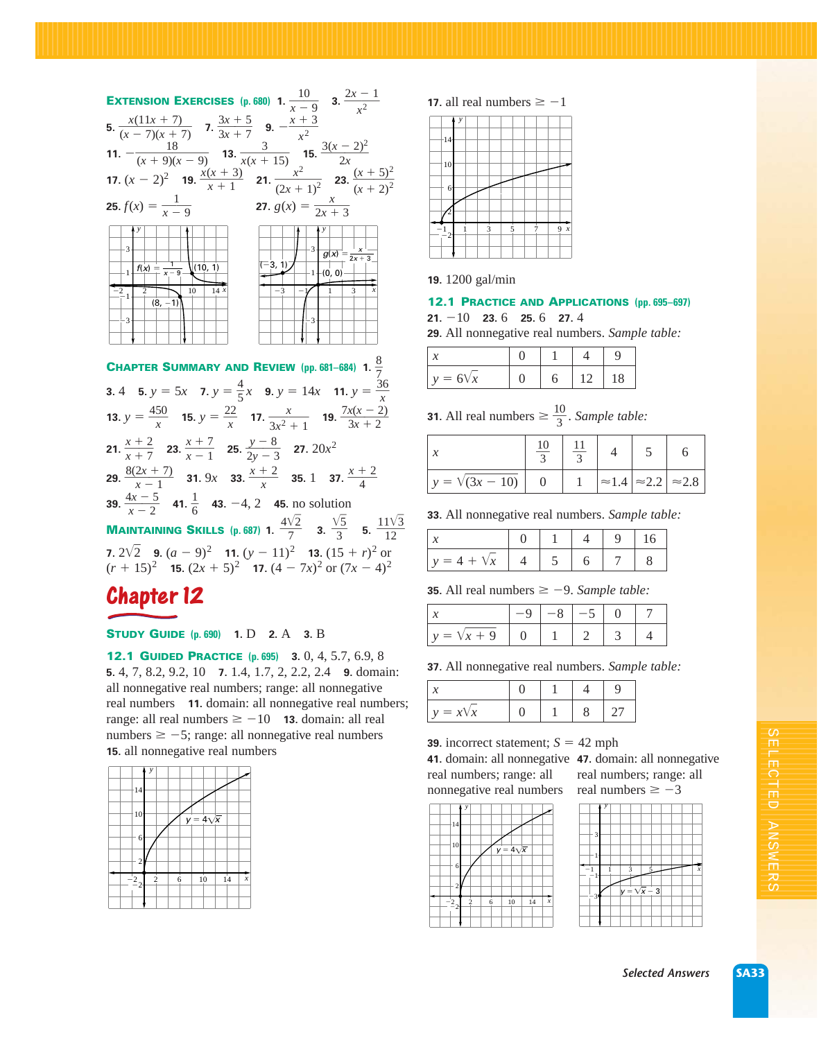

### **Chapter 12**

#### **STUDY GUIDE (p. 690) 1.** D **2.** A **3.** B

**12.1 GUIDED PRACTICE (p. 695) 3.** 0, 4, 5.7, 6.9, 8 **5.** 4, 7, 8.2, 9.2, 10 **7.** 1.4, 1.7, 2, 2.2, 2.4 **9.** domain: all nonnegative real numbers; range: all nonnegative real numbers **11.** domain: all nonnegative real numbers; range: all real numbers  $\ge -10$  **13.** domain: all real numbers  $\ge -5$ ; range: all nonnegative real numbers **15.** all nonnegative real numbers

|  |                      | $\overline{y}$ |   |                 |  |    |                     |
|--|----------------------|----------------|---|-----------------|--|----|---------------------|
|  | 14                   |                |   |                 |  |    |                     |
|  | 10                   |                |   | $y = 4\sqrt{x}$ |  |    |                     |
|  | 6                    |                |   |                 |  |    |                     |
|  |                      |                |   |                 |  |    |                     |
|  | $^{-2}$ <sub>2</sub> | $\overline{c}$ | 6 | 10              |  | 14 | $\boldsymbol{\chi}$ |
|  |                      |                |   |                 |  |    |                     |

**17.** all real numbers  $\geq -1$ 

|                                | $\overline{y}$ |   |   |                       |
|--------------------------------|----------------|---|---|-----------------------|
| 14                             |                |   |   |                       |
| $10\,$                         |                |   |   |                       |
| 6                              |                |   |   |                       |
|                                |                |   |   |                       |
| $\overline{\phantom{0}}$<br>-2 |                | 3 | Ś | $\boldsymbol{x}$<br>Q |

#### **19.** 1200 gal/min

#### **12.1 PRACTICE AND APPLICATIONS (pp. 695–697)**

**21.** 10 **23.** 6 **25.** 6 **27.** 4

**29.** All nonnegative real numbers. *Sample table:*

| QVX<br>$\overline{\phantom{a}}$ |  | ۰o |
|---------------------------------|--|----|

| <b>31.</b> All real numbers $\geq \frac{10}{2}$ . Sample table: |  |  |  |
|-----------------------------------------------------------------|--|--|--|
|-----------------------------------------------------------------|--|--|--|

| $y = V(3x - 10)$ |  | $\approx$ 1.4 $\approx$ 2.2 $\approx$ 2.8 |  |
|------------------|--|-------------------------------------------|--|

**33.** All nonnegative real numbers. *Sample table:*

|                    |  |  | .6 |
|--------------------|--|--|----|
| $y = 4 + \sqrt{x}$ |  |  |    |

**35.** All real numbers  $\geq -9$ . *Sample table:* 

| $v = \sqrt{x} + 9$ |  |  |  |
|--------------------|--|--|--|

**37.** All nonnegative real numbers. *Sample table:*

| $y = x \vee x$ |  |  |
|----------------|--|--|

**39.** incorrect statement;  $S = 42$  mph **41.** domain: all nonnegative **47.** domain: all nonnegative real numbers; range: all real numbers; range: all

|                            |    | y                       |   |    |                 |    |                  |
|----------------------------|----|-------------------------|---|----|-----------------|----|------------------|
|                            | 14 |                         |   |    |                 |    |                  |
|                            | 10 |                         |   |    | $y = 4\sqrt{x}$ |    |                  |
|                            | 6  |                         |   |    |                 |    |                  |
|                            |    |                         |   |    |                 |    |                  |
| $\frac{+}{2}$ <sup>1</sup> |    | $\overline{\mathbf{c}}$ | 6 | 10 |                 | 14 | $\boldsymbol{x}$ |
|                            |    |                         |   |    |                 |    |                  |

nonnegative real numbers real numbers  $\ge -3$ 

|                | $\overline{y}$ |                    |  |  |  |             |
|----------------|----------------|--------------------|--|--|--|-------------|
|                |                |                    |  |  |  |             |
| $\overline{3}$ |                |                    |  |  |  |             |
|                |                |                    |  |  |  |             |
|                |                |                    |  |  |  |             |
| 1              |                |                    |  |  |  | $\tilde{x}$ |
|                |                | $y = \sqrt{x} - 3$ |  |  |  |             |
|                |                |                    |  |  |  |             |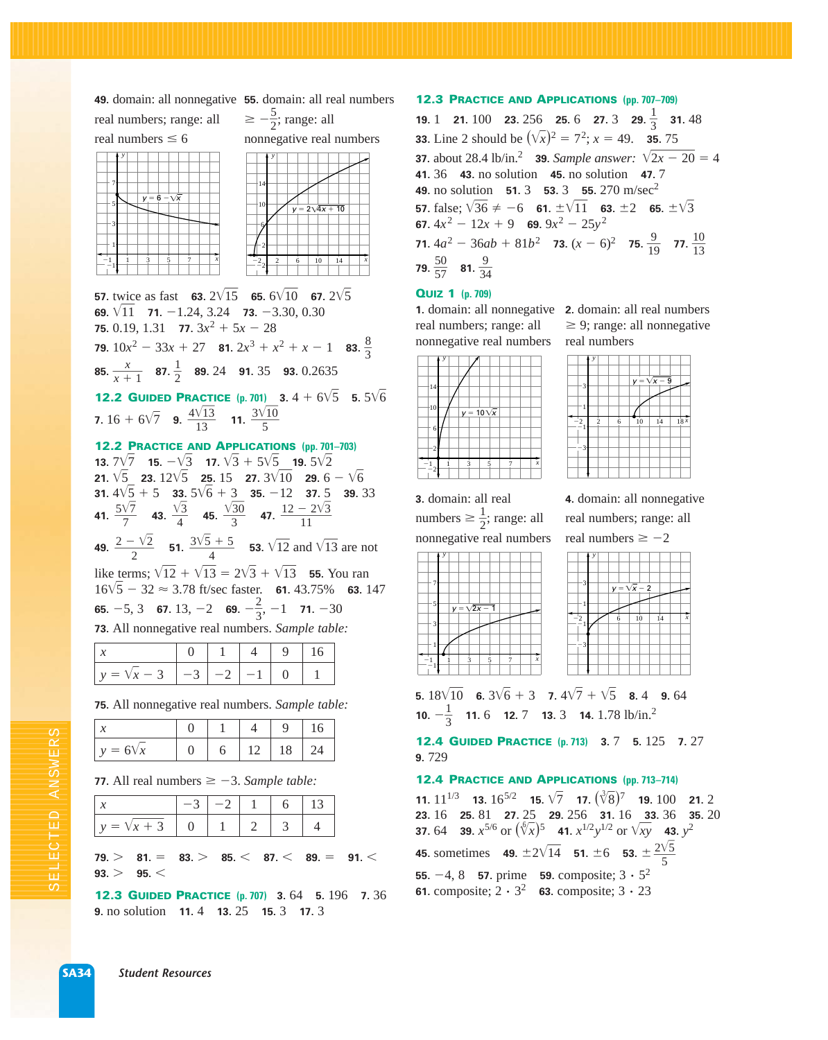**49.** domain: all nonnegative **55.** domain: all real numbers real numbers; range: all

 $\frac{5}{2}$  $\frac{3}{2}$ ; range: all

real numbers  $\leq 6$  nonnegative real numbers





**57.** twice as fast **63.**  $2\sqrt{15}$  **65.**  $6\sqrt{10}$  **67.**  $2\sqrt{5}$ **69.**  $\sqrt{11}$  **71.**  $-1.24$ , 3.24 **73.**  $-3.30$ , 0.30 **75.** 0.19, 1.31 **77.**  $3x^2 + 5x - 28$ **79.**  $10x^2 - 33x + 27$  **81.**  $2x^3 + x^2 + x - 1$  **83.**  $\frac{8}{3}$ 3 - **85.**  $\frac{x}{x+1}$  $\frac{x}{+1}$  **87.**  $\frac{1}{2}$  $\frac{1}{2}$  **89.** 24 **91.** 35 **93.** 0.2635

**12.2 GUIDED PRACTICE** (p. 701) **3.**  $4 + 6\sqrt{5}$  **5.**  $5\sqrt{6}$ **7.**  $16 + 6\sqrt{7}$  **9.**  $\frac{4\sqrt{13}}{13}$  **11.**  $\frac{3\sqrt{10}}{5}$ 13

#### **12.2 PRACTICE AND APPLICATIONS (pp. 701–703)**

**13.**  $7\sqrt{7}$  **15.**  $-\sqrt{3}$  **17.**  $\sqrt{3}$  +  $5\sqrt{5}$  **19.**  $5\sqrt{2}$ **21.**  $\sqrt{5}$  **23.**  $12\sqrt{5}$  **25.** 15 **27.**  $3\sqrt{10}$  **29.**  $6 - \sqrt{6}$ **31.**  $4\sqrt{5} + 5$  **33.**  $5\sqrt{6} + 3$  **35.**  $-12$  **37.** 5 **39.** 33 **41.**  $\frac{5\sqrt{7}}{7}$  **43.**  $\frac{\sqrt{3}}{4}$  **45.**  $\frac{\sqrt{30}}{3}$  **47.**  $\frac{12-2\sqrt{3}}{11}$ **49.**  $\frac{2-\sqrt{2}}{2}$  **51.**  $\frac{3\sqrt{5}+5}{4}$  **53.**  $\sqrt{12}$  and  $\sqrt{13}$  are not like terms;  $\sqrt{12} + \sqrt{13} = 2\sqrt{3} + \sqrt{13}$  **55.** You ran  $16\sqrt{5}$  – 32  $\approx$  3.78 ft/sec faster. **61.** 43.75% **63.** 147 **65.**  $-5$ , 3 **67.** 13,  $-2$  **69.**  $-\frac{2}{3}$  $\frac{2}{3}$ , -1 **71.** -30  $\frac{2-\sqrt{2}}{2}$  51.  $\frac{3\sqrt{5}}{4}$ 2 7

**73.** All nonnegative real numbers. *Sample table:*

| $x - 3 - -3$<br>$v = \lambda$ | $-2$ |  |  |
|-------------------------------|------|--|--|

**75.** All nonnegative real numbers. *Sample table:*

|                 |    |              | 16        |
|-----------------|----|--------------|-----------|
| $v = 6\sqrt{x}$ | h. | $12 \mid 18$ | $\mid$ 24 |

**77.** All real numbers  $\geq -3$ . *Sample table:* 

| $x + 3$<br>$\equiv$ $\equiv$ |  |  |  |
|------------------------------|--|--|--|

 $79. > 81. = 83. > 85. < 87. < 89. = 91.$  $93. > 95. <$ 

**12.3 GUIDED PRACTICE (p. 707) 3.** 64 **5.** 196 **7.** 36 **9.** no solution **11.** 4 **13.** 25 **15.** 3 **17.** 3

#### **12.3 PRACTICE AND APPLICATIONS (pp. 707–709)**

**19.** 1 **21.** 100 **23.** 256 **25.** 6 **27.** 3 **29.**  $\frac{1}{2}$  $\frac{1}{3}$  **31.** 48 **33.** Line 2 should be  $(\sqrt{x})^2 = 7^2$ ;  $x = 49$ . **35.** 75 **37.** about 28.4 lb/in.<sup>2</sup> **39.** *Sample answer:*  $\sqrt{2x - 20} = 4$ **41.** 36 **43.** no solution **45.** no solution **47.** 7 **49.** no solution **51.** 3 **53.** 3 **55.** 270 m/sec<sup>2</sup> **57.** false;  $\sqrt{36} \neq -6$  **61.**  $\pm \sqrt{11}$  **63.**  $\pm 2$  **65.**  $\pm \sqrt{3}$ **67.**  $4x^2 - 12x + 9$  **69.**  $9x^2 - 25y^2$ **71.**  $4a^2 - 36ab + 81b^2$  **73.**  $(x - 6)^2$  **75.**  $\frac{5}{1}$ 9  $\frac{9}{9}$  77.  $\frac{1}{1}$ 1  $\mathbf{0}$  $\overline{\overline{3}}$ **79.**  $\frac{5}{5}$ 5  $\mathbf{0}$  $\frac{3}{7}$  **81.**  $\frac{3}{3}$ 9 4 -

#### **QUIZ 1 (p. 709)**

**1.** domain: all nonnegative **2.** domain: all real numbers real numbers; range: all  $\geq 9$ ; range: all nonnegative nonnegative real numbers real numbers

*y*  $\Box$   $\uparrow$ <sup>y</sup>  $\Box$  /  $\Box$ 

| 14 |  |                  |  |  |   |
|----|--|------------------|--|--|---|
|    |  |                  |  |  |   |
| 10 |  | $y = 10\sqrt{x}$ |  |  |   |
|    |  |                  |  |  |   |
| 6  |  |                  |  |  |   |
|    |  |                  |  |  |   |
|    |  |                  |  |  |   |
|    |  |                  |  |  | x |
|    |  |                  |  |  |   |
|    |  |                  |  |  |   |

|               | y |            |    |                  |     |
|---------------|---|------------|----|------------------|-----|
|               |   |            |    |                  |     |
| 3             |   |            |    | $y = \sqrt{x-9}$ |     |
|               |   |            |    |                  |     |
|               |   |            |    |                  |     |
| $\frac{1}{2}$ | 2 | $\ddot{6}$ | 10 | 14               | 18x |
|               |   |            |    |                  |     |
|               |   |            |    |                  |     |
|               |   |            |    |                  |     |
| $\cdot$ 3     |   |            |    |                  |     |
|               |   |            |    |                  |     |
|               |   |            |    |                  |     |

numbers  $\geq \frac{1}{2}$ 

**3.** domain: all real **4.** domain: all nonnegative real numbers; range: all

2 nonnegative real numbers real numbers  $\ge -2$ 

|   | y |                     |  |  |  |                     |
|---|---|---------------------|--|--|--|---------------------|
|   |   |                     |  |  |  |                     |
|   |   |                     |  |  |  |                     |
|   |   |                     |  |  |  |                     |
|   |   |                     |  |  |  |                     |
| 5 |   | $y = \sqrt{2x - 1}$ |  |  |  |                     |
|   |   |                     |  |  |  |                     |
|   |   |                     |  |  |  |                     |
| 3 |   |                     |  |  |  |                     |
|   |   |                     |  |  |  |                     |
|   |   |                     |  |  |  |                     |
|   |   |                     |  |  |  | $\boldsymbol{\chi}$ |
|   |   |                     |  |  |  |                     |

|                | y |   |    |                    |    |              |
|----------------|---|---|----|--------------------|----|--------------|
| 3              |   |   |    | $y = \sqrt{x} - 2$ |    |              |
|                |   |   |    |                    |    |              |
|                |   |   |    |                    |    |              |
|                |   | 6 | 10 |                    | 14 | $\mathbf{x}$ |
|                |   |   |    |                    |    |              |
| $\mathbb{Z}_2$ |   |   |    |                    |    |              |

**5.**  $18\sqrt{10}$  **6.**  $3\sqrt{6} + 3$  **7.**  $4\sqrt{7} + \sqrt{5}$  **8.** 4 **9.** 64 **10.**  $-\frac{1}{2}$  $\frac{1}{3}$  **11.** 6 **12.** 7 **13.** 3 **14.** 1.78 lb/in.<sup>2</sup>

**12.4 GUIDED PRACTICE (p. 713) 3.** 7 **5.** 125 **7.** 27 **9.** 729

#### **12.4 PRACTICE AND APPLICATIONS (pp. 713–714)**

**11.**  $11^{1/3}$  **13.**  $16^{5/2}$  **15.**  $\sqrt{7}$  **17.**  $(\sqrt[3]{8})^7$  **19.** 100 **21.** 2 **23.** 16 **25.** 81 **27.** 25 **29.** 256 **31.** 16 **33.** 36 **35.** 20 **37.** 64 **39.**  $x^{5/6}$  or  $(\sqrt[6]{x})^5$  **41.**  $x^{1/2}y^{1/2}$  or  $\sqrt{xy}$  **43.**  $y^2$ **45.** sometimes **49.**  $\pm 2\sqrt{14}$  **51.**  $\pm 6$  **53.**  $\pm \frac{2\sqrt{5}}{5}$ **55.**  $-4$ , 8 **57.** prime **59.** composite;  $3 \cdot 5^2$ **61.** composite;  $2 \cdot 3^2$  **63.** composite;  $3 \cdot 23$ 5

SELECTED ANSWERS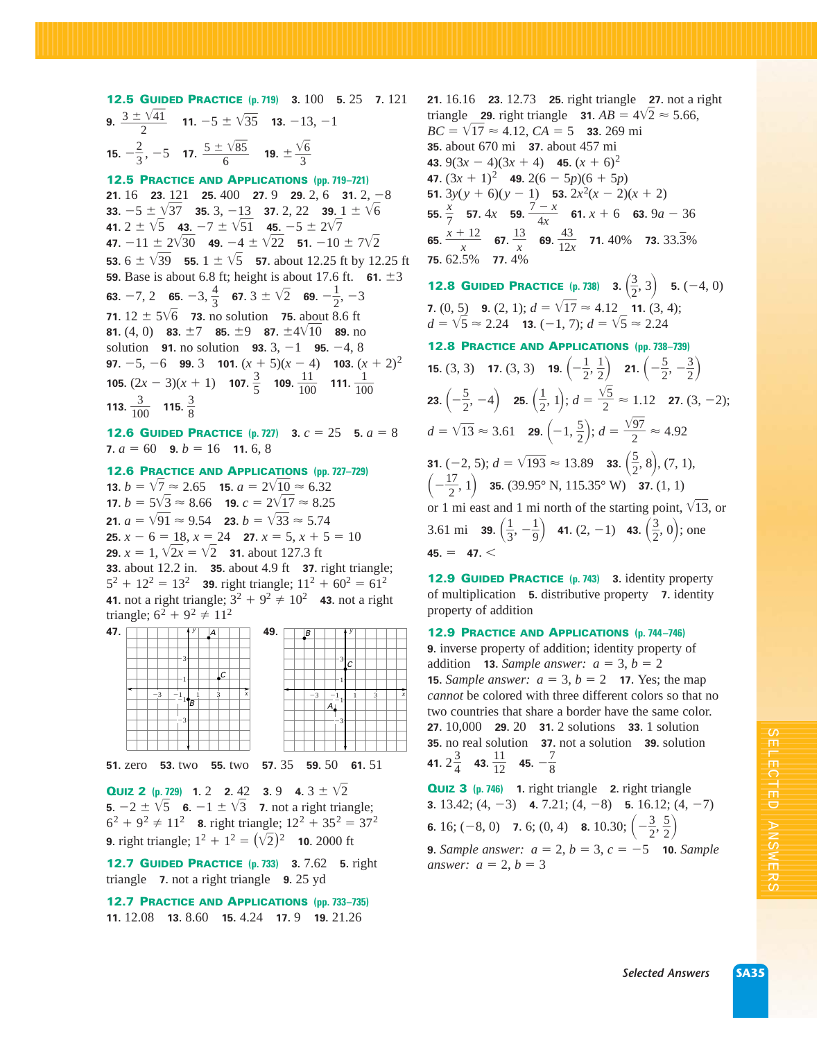**12.5 GUIDED PRACTICE (p. 719) 3.** 100 **5.** 25 **7.** 121 **12.5 GUIDED PRACTICE** (p. 719) **3.** 100<br> **9.**  $\frac{3 \pm \sqrt{41}}{2}$  **11.**  $-5 \pm \sqrt{35}$  **13.**  $-13$ ,  $-1$ **15.**  $-\frac{2}{3}$  $\frac{2}{3}$ , -5 **17.**  $\frac{5 \pm \sqrt{85}}{6}$  **19.**  $\pm \frac{\sqrt{6}}{3}$  $\frac{5 \pm \sqrt{85}}{6}$  19.  $\pm \frac{\sqrt{85}}{3}$ 6 2

#### **12.5 PRACTICE AND APPLICATIONS (pp. 719–721)**

**21.** 16 **23.** 121 **25.** 400 **27.** 9 **29.** 2, 6 **31.** 2, -8 **33.**  $-5 \pm \sqrt{37}$  **35.** 3,  $-13$  **37.** 2, 22 **39.** 1  $\pm \sqrt{6}$ **41.**  $2 \pm \sqrt{5}$  **43.**  $-7 \pm \sqrt{51}$  **45.**  $-5 \pm 2\sqrt{7}$ **47.**  $-11 \pm 2\sqrt{30}$  **49.**  $-4 \pm \sqrt{22}$  **51.**  $-10 \pm 7\sqrt{2}$ **53.**  $6 \pm \sqrt{39}$  **55.**  $1 \pm \sqrt{5}$  **57.** about 12.25 ft by 12.25 ft **59.** Base is about 6.8 ft; height is about 17.6 ft.  $\bullet$  **61.**  $\pm$ 3 **63.**  $-7$ , 2 **65.**  $-3$ ,  $\frac{4}{3}$  $\frac{4}{3}$  **67.** 3  $\pm \sqrt{2}$  **69.**  $-\frac{1}{2}$  $\frac{1}{2}$ , -3 **71.**  $12 \pm 5\sqrt{6}$  **73.** no solution **75.** about 8.6 ft **81.** (4, 0) **83.**  $\pm 7$  **85.**  $\pm 9$  **87.**  $\pm 4\sqrt{10}$  **89.** no solution **91.** no solution **93.**  $3, -1$  **95.**  $-4, 8$ **97.**  $-5$ ,  $-6$  **99.** 3 **101.**  $(x + 5)(x - 4)$  **103.**  $(x + 2)^2$ **105.**  $(2x - 3)(x + 1)$  **107.**  $\frac{3}{5}$  $\frac{3}{5}$  **109.**  $\frac{1}{10}$ 1 0 1  $\frac{1}{00}$  **111.**  $\frac{1}{10}$  $\frac{1}{00}$ **113.**  $\frac{1}{10}$  $\frac{3}{00}$  **115.**  $\frac{3}{8}$ 8 -

**12.6 GUIDED PRACTICE** (p. 727) **3.**  $c = 25$  **5.**  $a = 8$ **7.**  $a = 60$  **9.**  $b = 16$  **11.** 6, 8

#### **12.6 PRACTICE AND APPLICATIONS (pp. 727–729) 13.**  $b = \sqrt{7} \approx 2.65$  **15.**  $a = 2\sqrt{10} \approx 6.32$ **17.**  $b = 5\sqrt{3} \approx 8.66$  **19.**  $c = 2\sqrt{17} \approx 8.25$ **21.**  $a = \sqrt{91} \approx 9.54$  **23.**  $b = \sqrt{33} \approx 5.74$ **25.**  $x - 6 = 18$ ,  $x = 24$  **27.**  $x = 5$ ,  $x + 5 = 10$ **29.**  $x = 1, \sqrt{2x} = \sqrt{2}$  **31.** about 127.3 ft

**33.** about 12.2 in. **35.** about 4.9 ft **37.** right triangle;  $5^2 + 12^2 = 13^2$  **39.** right triangle;  $11^2 + 60^2 = 61^2$ **41.** not a right triangle;  $3^2 + 9^2 \neq 10^2$  **43.** not a right triangle;  $6^2 + 9^2 \neq 11^2$ 

| 47. |      |                               | $\overline{y}$ | A   |                  | 49. |
|-----|------|-------------------------------|----------------|-----|------------------|-----|
|     |      | $\cdot$ 3                     |                |     |                  |     |
|     |      |                               |                | lc. |                  |     |
|     | $-3$ | $\overline{\phantom{0}}$<br>ŀ | Ťв             | 3   | $\boldsymbol{x}$ |     |
|     |      | -3                            |                |     |                  |     |
|     |      |                               |                |     |                  |     |

| $\overline{B}$ |                        |                | $\overline{y}$ |  |  |                  |
|----------------|------------------------|----------------|----------------|--|--|------------------|
|                |                        |                |                |  |  |                  |
|                |                        |                |                |  |  |                  |
|                |                        | $\frac{-3}{C}$ |                |  |  |                  |
|                |                        |                |                |  |  |                  |
|                |                        |                |                |  |  |                  |
|                |                        |                |                |  |  |                  |
| $-3$           |                        |                |                |  |  | $\boldsymbol{x}$ |
|                | $\frac{-1}{A_{\perp}}$ |                |                |  |  |                  |
|                |                        |                |                |  |  |                  |
|                |                        |                |                |  |  |                  |

**51.** zero **53.** two **55.** two **57.** 35 **59.** 50 **61.** 51

**QUIZ 2** (p. 729) **1.** 2 **2.** 42 **3.** 9 **4.**  $3 \pm \sqrt{2}$ **5.**  $-2 \pm \sqrt{5}$  **6.**  $-1 \pm \sqrt{3}$  **7.** not a right triangle;  $6^2 + 9^2 \neq 11^2$  **8.** right triangle;  $12^2 + 35^2 = 37^2$ **9.** right triangle;  $1^2 + 1^2 = (\sqrt{2})^2$  **10.** 2000 ft

**12.7 GUIDED PRACTICE (p. 733) 3.** 7.62 **5.** right triangle **7.** not a right triangle **9.** 25 yd

**12.7 PRACTICE AND APPLICATIONS (pp. 733–735) 11.** 12.08 **13.** 8.60 **15.** 4.24 **17.** 9 **19.** 21.26

**21.** 16.16 **23.** 12.73 **25.** right triangle **27.** not a right triangle **29.** right triangle **31.**  $AB = 4\sqrt{2} \approx 5.66$ ,  $BC = \sqrt{17} \approx 4.12$ ,  $CA = 5$  **33.** 269 mi **35.** about 670 mi **37.** about 457 mi **43.**  $9(3x - 4)(3x + 4)$  **45.**  $(x + 6)^2$ **47.**  $(3x + 1)^2$  **49.** 2(6 - 5*p*)(6 + 5*p*) **51.**  $3y(y + 6)(y - 1)$  **53.**  $2x^2(x - 2)(x + 2)$ **55.**  $\frac{x}{7}$  $\frac{x}{7}$  **57.** 4*x* **59.**  $\frac{7}{4}$ 4  $\overline{\phantom{0}}$  $\frac{-x}{x}$  **61.**  $x + 6$  **63.**  $9a - 36$ **65.**  $\frac{x +}{}$  $\frac{+12}{x}$  **67.**  $\frac{1}{x}$ *x*  $\frac{3}{x}$  **69.**  $\frac{4}{12}$ 4 2 3  $\frac{3}{2x}$  **71.** 40% **73.** 33.3% **75.** 62.5% **77.** 4%

**12.8 GUIDED PRACTICE** (p. 738) **3.**  $\left(\frac{3}{2}\right)$  $\left(\frac{3}{2}, 3\right)$  **5.** (-4, 0) **7.** (0, 5) **9.** (2, 1);  $d = \sqrt{17} \approx 4.12$  **11.** (3, 4);  $d = \sqrt{5} \approx 2.24$  **13.** (-1, 7);  $d = \sqrt{5} \approx 2.24$ 

**12.8 PRACTICE AND APPLICATIONS (pp. 738–739) 15.** (3, 3) **17.** (3, 3) **19.**  $\left(-\frac{1}{2}\right)$  $\frac{1}{2}, \frac{1}{2}$  $\frac{1}{2}$  **21.**  $\left(-\frac{5}{2}\right)$  $\frac{5}{2}, -\frac{3}{2}$  $\left(\frac{3}{2}\right)$ **23.**  $\left(-\frac{5}{2}\right)$  $\left(\frac{5}{2}, -4\right)$  **25.**  $\left(\frac{1}{2}\right)$  $(\frac{1}{2}, 1); d = \frac{\sqrt{5}}{2} \approx 1.12$  **27.** (3, -2);  $d = \sqrt{13} \approx 3.61$  **29.**  $\left(-1, \frac{5}{2}\right)$  $\left(\frac{5}{2}\right); d = \frac{\sqrt{97}}{2} \approx 4.92$ **31.** (-2, 5);  $d = \sqrt{193} \approx 13.89$  **33.**  $\left(\frac{5}{2}\right)$  $(\frac{5}{2}, 8), (7, 1),$  $\frac{1}{\left(-\frac{1}{2}\right)}$ 2 **7**, 1) **35.** (39.95° N, 115.35° W) **37.** (1, 1) or 1 mi east and 1 mi north of the starting point,  $\sqrt{13}$ , or  $3.61 \text{ mi}$  **39.**  $\left(\frac{1}{3}\right)$  $\frac{1}{3}, -\frac{1}{9}$  $\frac{1}{9}$  **41.** (2, -1) **43.**  $\left(\frac{3}{2}\right)$  $\left(\frac{3}{2}, 0\right)$ ; one 2 2

 $45. = 47. <$ 

**12.9 GUIDED PRACTICE (p. 743) 3.** identity property of multiplication **5.** distributive property **7.** identity property of addition

#### **12.9 PRACTICE AND APPLICATIONS (p. 744–746)**

**9.** inverse property of addition; identity property of addition **13**. *Sample answer:*  $a = 3, b = 2$ **15.** *Sample answer:*  $a = 3$ ,  $b = 2$  **17.** Yes; the map *cannot* be colored with three different colors so that no two countries that share a border have the same color. **27.** 10,000 **29.** 20 **31.** 2 solutions **33.** 1 solution **35.** no real solution **37.** not a solution **39.** solution **41.**  $2\frac{3}{4}$  $\frac{3}{4}$  **43.**  $\frac{1}{1}$ 1 1  $\frac{1}{2}$  **45.**  $-\frac{7}{8}$ 8 -

**QUIZ 3 (p. 746) 1.** right triangle **2.** right triangle **3.** 13.42;  $(4, -3)$  **4.** 7.21;  $(4, -8)$  **5.** 16.12;  $(4, -7)$ **6.** 16;  $(-8, 0)$  **7.** 6;  $(0, 4)$  **8.** 10.30;  $\left(-\frac{3}{2}\right)$  $\frac{3}{2}, \frac{5}{2}$  $\frac{5}{2}$ **9.** *Sample answer:*  $a = 2, b = 3, c = -5$  **10.** *Sample* 

*answer:*  $a = 2, b = 3$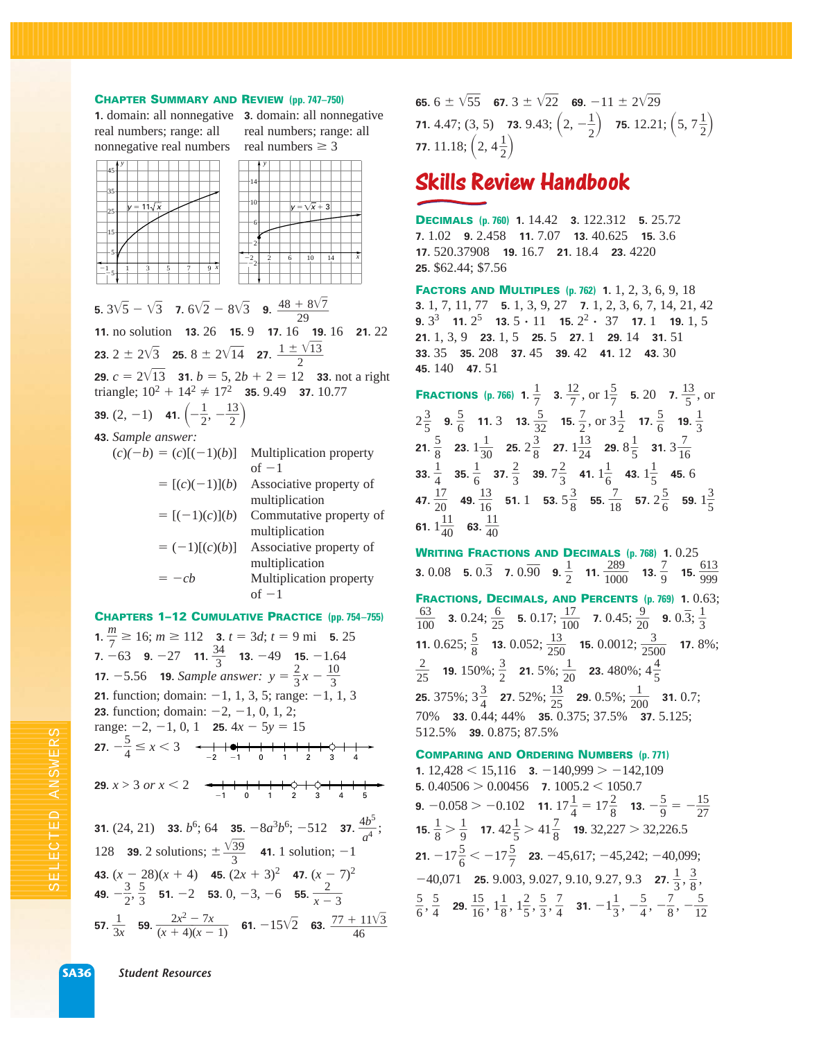#### **CHAPTER SUMMARY AND REVIEW (pp. 747–750)**

real numbers; range: all real numbers; range: all nonnegative real numbers  $\geq 3$ 

**1.** domain: all nonnegative **3.** domain: all nonnegative



|                 | y         |            |                    |    |                  |
|-----------------|-----------|------------|--------------------|----|------------------|
| 14              |           |            |                    |    |                  |
| 10              |           |            | $y = \sqrt{x} + 3$ |    |                  |
| 6               |           |            |                    |    |                  |
|                 |           |            |                    |    |                  |
| $\frac{-2}{-2}$ | $\dot{2}$ | $\ddot{6}$ | 10                 | 14 | $\boldsymbol{x}$ |
|                 |           |            |                    |    |                  |

**5.**  $3\sqrt{5} - \sqrt{3}$  **7.**  $6\sqrt{2} - 8\sqrt{3}$  **9.**  $\frac{48 + 8\sqrt{7}}{29}$ **11.** no solution **13.** 26 **15.** 9 **17.** 16 **19.** 16 **21.** 22 **11.** no solution **13.** 26 **15.** 9 **17.** 16 **19**<br> **23.**  $2 \pm 2\sqrt{3}$  **25.**  $8 \pm 2\sqrt{14}$  **27.**  $\frac{1 \pm \sqrt{13}}{2}$ **29.**  $c = 2\sqrt{13}$  **31.**  $b = 5, 2b + 2 = 12$  **33.** not a right triangle;  $10^2 + 14^2 \neq 17^2$  **35.** 9.49 **37.** 10.77 **39.**  $(2, -1)$  **41.**  $\left(-\frac{1}{2}\right)$  $\frac{1}{2}$ ,  $-\frac{1}{2}$ 2  $\left(\frac{3}{2}\right)$ **43.** *Sample answer:*  $(c)(-b) = (c)[(-1)(b)]$  Multiplication property 2 29

| $\cdots$         |                         |
|------------------|-------------------------|
|                  | $of -1$                 |
| $= [(c)(-1)](b)$ | Associative property of |
|                  | multiplication          |
| $= [(-1)(c)](b)$ | Commutative property of |
|                  | multiplication          |
| $= (-1)[(c)(b)]$ | Associative property of |
|                  | multiplication          |
| $= -ch$          | Multiplication property |
|                  | $of -1$                 |
|                  |                         |

#### **CHAPTERS 1–12 CUMULATIVE PRACTICE (pp. 754–755)**

**1.**  $\frac{m}{7} \ge 16$ ;  $m \ge 112$  **3.**  $t = 3d$ ;  $t = 9$  mi **5.** 25 7 **7.**  $-63$  **9.**  $-27$  **11.**  $\frac{3}{3}$ 3  $\frac{4}{2}$  **13.** -49 **15.** -1.64 **17.**  $-5.56$  **19.** *Sample answer:*  $y = \frac{2}{3}$  $\frac{2}{3}x - \frac{1}{3}$ 3  $\frac{0}{2}$ **21.** function; domain:  $-1$ , 1, 3, 5; range:  $-1$ , 1, 3 **23.** function; domain:  $-2$ ,  $-1$ , 0, 1, 2; range:  $-2$ ,  $-1$ , 0, 1 **25.**  $4x - 5y = 15$ **27.**  $-\frac{5}{4}$  $\frac{3}{4} \leq x < 3$   $\leftarrow$   $\leftarrow$   $\leftarrow$   $\leftarrow$   $\leftarrow$   $\leftarrow$   $\leftarrow$   $\leftarrow$   $\leftarrow$   $\leftarrow$   $\leftarrow$   $\leftarrow$   $\leftarrow$   $\leftarrow$   $\leftarrow$   $\leftarrow$   $\leftarrow$   $\leftarrow$   $\leftarrow$   $\leftarrow$   $\leftarrow$   $\leftarrow$   $\leftarrow$   $\leftarrow$   $\leftarrow$   $\leftarrow$   $\leftarrow$   $\leftarrow$   $\leftarrow$   $\leftarrow$   $\leftarrow$   $\leftarrow$   $\leftarrow$   $\leftarrow$  **29.** *x* > 3 *or x* 2 1 1234 0 5 **31.** (24, 21) **33.**  $b^6$ ; 64 **35.**  $-8a^3b^6$ ;  $-512$  **37.**  $\frac{4b}{5}$ *a b* 4 5  $\frac{2}{4}$ ; 128 **39.** 2 solutions;  $\pm \frac{\sqrt{39}}{3}$  **41.** 1 solution; -1 **43.**  $(x - 28)(x + 4)$  **45.**  $(2x + 3)^2$  **47.**  $(x - 7)^2$ **49.**  $-\frac{3}{2}$  $\frac{3}{2}, \frac{5}{3}$  $\frac{5}{3}$  **51.** -2 **53.** 0, -3, -6 **55.**  $\frac{2}{x-1}$  $\frac{2}{-3}$ **57.**  $\frac{1}{3}$ 1  $\frac{1}{x}$  **59.**  $\frac{2x^2}{(x+4)}$  $2x^2$ 4)  $\overline{\phantom{0}}$ (*x* 7  $\frac{x-3}{(x-1)}$  **61.** -15 $\sqrt{2}$  **63.**  $\frac{77+11\sqrt{3}}{46}$ 46 3

**65.**  $6 \pm \sqrt{55}$  **67.**  $3 \pm \sqrt{22}$  **69.**  $-11 \pm 2\sqrt{29}$ **71.** 4.47; (3, 5) **73.** 9.43;  $\left(2, -\frac{1}{2}\right)$  $\left(\frac{1}{2}\right)$  **75.** 12.21;  $\left(5, 7\frac{1}{2}\right)$  $\frac{1}{2}$ **77.** 11.18;  $\left(2, 4\frac{1}{2}\right)$  $\frac{1}{2}$ 

### **Skills Review Handbook**

**DECIMALS (p. 760) 1.** 14.42 **3.** 122.312 **5.** 25.72 **7.** 1.02 **9.** 2.458 **11.** 7.07 **13.** 40.625 **15.** 3.6 **17.** 520.37908 **19.** 16.7 **21.** 18.4 **23.** 4220 **25.** \$62.44; \$7.56

**FACTORS AND MULTIPLES (p. 762) 1.** 1, 2, 3, 6, 9, 18 **3.** 1, 7, 11, 77 **5.** 1, 3, 9, 27 **7.** 1, 2, 3, 6, 7, 14, 21, 42 **9.**  $3^3$  **11.**  $2^5$  **13.**  $5 \cdot 11$  **15.**  $2^2 \cdot 37$  **17.** 1 **19.** 1, 5 **21.** 1, 3, 9 **23.** 1, 5 **25.** 5 **27.** 1 **29.** 14 **31.** 51 **33.** 35 **35.** 208 **37.** 45 **39.** 42 **41.** 12 **43.** 30 **45.** 140 **47.** 51

**FRACTIONS** (p. 766) **1.**  $\frac{1}{7}$  $\frac{1}{7}$  **3.**  $\frac{1}{7}$ 7  $\frac{2}{7}$ , or  $1\frac{5}{7}$  $\frac{5}{7}$  **5.** 20 **7.**  $\frac{1}{3}$ 5  $\frac{3}{5}$ , or  $2\frac{3}{5}$  $\frac{3}{5}$  **9.**  $\frac{5}{6}$  $\frac{3}{6}$  **11.** 3 **13.**  $\frac{1}{3}$ 5  $\frac{5}{2}$  **15.**  $\frac{7}{2}$  $\frac{7}{2}$ , or  $3\frac{1}{2}$  $\frac{1}{2}$  **17.**  $\frac{5}{6}$  $\frac{5}{6}$  **19.**  $\frac{1}{3}$ 3 - **21.**  $\frac{5}{9}$  $\frac{5}{8}$  **23.**  $1\frac{1}{3}$ 1  $\frac{1}{0}$  **25.**  $2\frac{3}{8}$  $\frac{3}{8}$  **27.** 1 $\frac{1}{2}$ 2 3  $\frac{3}{4}$  **29.**  $8\frac{1}{5}$  $\frac{1}{5}$  **31.**  $3\frac{1}{1}$ 7  $\overline{6}$ **33.**  $\frac{1}{4}$  **35.**  $\frac{1}{6}$  **37.**  $\frac{2}{3}$  **39.**  $7\frac{2}{3}$  **41.**  $1\frac{1}{6}$  **43.**  $1\frac{1}{5}$  **45.** 6  $4^{356}$   $6^{376}$   $3^{356}$   $3^{366}$   $3^{416}$   $6^{456}$   $15^{46}$ **47.**  $\frac{1}{2}$ 2 7  $\frac{7}{0}$  **49.**  $\frac{1}{1}$ 1 3  $\frac{3}{6}$  **51.** 1 **53.**  $5\frac{3}{8}$  $\frac{3}{8}$  **55.**  $\frac{3}{1}$ 7  $\frac{7}{8}$  **57.**  $2\frac{5}{6}$  $\frac{5}{6}$  **59.**  $1\frac{3}{5}$ 5 - **61.**  $1\frac{1}{4}$ 4 1  $\frac{1}{0}$  **63.**  $\frac{1}{4}$ 4 1  $\overline{0}$ 

**WRITING FRACTIONS AND DECIMALS (p. 768) 1.** 0.25 **3.** 0.08 **5.** 0.3 **7.** 0.90 **9.**  $\frac{1}{2}$  $\frac{1}{2}$  **11.**  $\frac{20}{10}$ 2 0 8 0 9  $\frac{39}{00}$  **13.**  $\frac{7}{9}$  $\frac{7}{9}$  **15.**  $\frac{61}{99}$ 9 1 9 3  $\frac{15}{99}$ **FRACTIONS, DECIMALS, AND PERCENTS (p. 769) 1.** 0.63;  $\frac{8}{10}$ 6 0 3  $\frac{5}{20}$  **3.** 0.24;  $\frac{8}{2}$ 6  $\frac{5}{5}$  **5.** 0.17;  $\frac{1}{10}$ 1 0 7  $\frac{7}{20}$  7. 0.45;  $\frac{3}{2}$ 9  $\frac{9}{0}$  **9.** 0.3;  $\frac{1}{3}$ 3 - **11.** 0.625;  $\frac{5}{8}$  $\frac{3}{8}$  **13.** 0.052;  $\frac{1}{25}$ 1 5 3  $\frac{3}{50}$  **15.** 0.0012;  $\frac{3}{25}$  $\frac{3}{500}$  **17.** 8%; -2 2  $\frac{2}{5}$  **19.** 150%;  $\frac{3}{2}$  $\frac{3}{2}$  **21.** 5%;  $\frac{1}{2}$ 1  $\frac{1}{0}$  **23.** 480%; 4 $\frac{4}{5}$ 5 - **25.** 375%;  $3\frac{3}{4}$  $\frac{3}{4}$  **27.** 52%;  $\frac{1}{2}$ 2 3  $\frac{3}{5}$  **29.** 0.5%;  $\frac{1}{20}$  $\frac{1}{00}$  **31.** 0.7; 70% **33.** 0.44; 44% **35.** 0.375; 37.5% **37.** 5.125; 512.5% **39.** 0.875; 87.5%

#### **COMPARING AND ORDERING NUMBERS (p. 771)**

**1.**  $12,428 \le 15,116$  **3.**  $-140,999 \ge -142,109$ **5.**  $0.40506 > 0.00456$  **7.**  $1005.2 < 1050.7$ **9.**  $-0.058 > -0.102$  **11.**  $17\frac{1}{4}$  $\frac{1}{4} = 17\frac{2}{8}$  $\frac{2}{8}$  **13.**  $-\frac{5}{9}$  $\frac{5}{9} = -\frac{1}{2}$ 2 5 7 - **15.**  $\frac{1}{5}$  $\frac{1}{8} > \frac{1}{9}$  $\frac{1}{9}$  **17.**  $42\frac{1}{5}$  $\frac{1}{5}$  > 41 $\frac{7}{8}$  $\frac{7}{8}$  **19.** 32,227 > 32,226.5 **21.**  $-17\frac{5}{6}$  $\frac{5}{6} < -17\frac{5}{7}$ **23.**  $-45,617; -45,242; -40,099;$  $-40,071$  **25.** 9.003, 9.027, 9.10, 9.27, 9.3 **27.**  $\frac{1}{2}$  $\frac{1}{3}, \frac{3}{8}$  $\frac{3}{8}$ ,  $\frac{5}{5}$  $\frac{5}{6}, \frac{5}{4}$  $\frac{5}{4}$  **29.**  $\frac{1}{1}$ 1 5  $\frac{5}{6}$ ,  $1\frac{1}{8}$  $\frac{1}{8}$ ,  $1\frac{2}{5}$  $\frac{2}{5}, \frac{5}{3}$  $\frac{5}{3}, \frac{7}{4}$  $\frac{7}{4}$  **31.**  $-1\frac{1}{3}$  $\frac{1}{3}, -\frac{5}{4}$  $\frac{5}{4}, -\frac{7}{8}$  $\frac{7}{8}, -\frac{1}{1}$ 5  $\overline{2}$ 

**SA36** *Student Resources*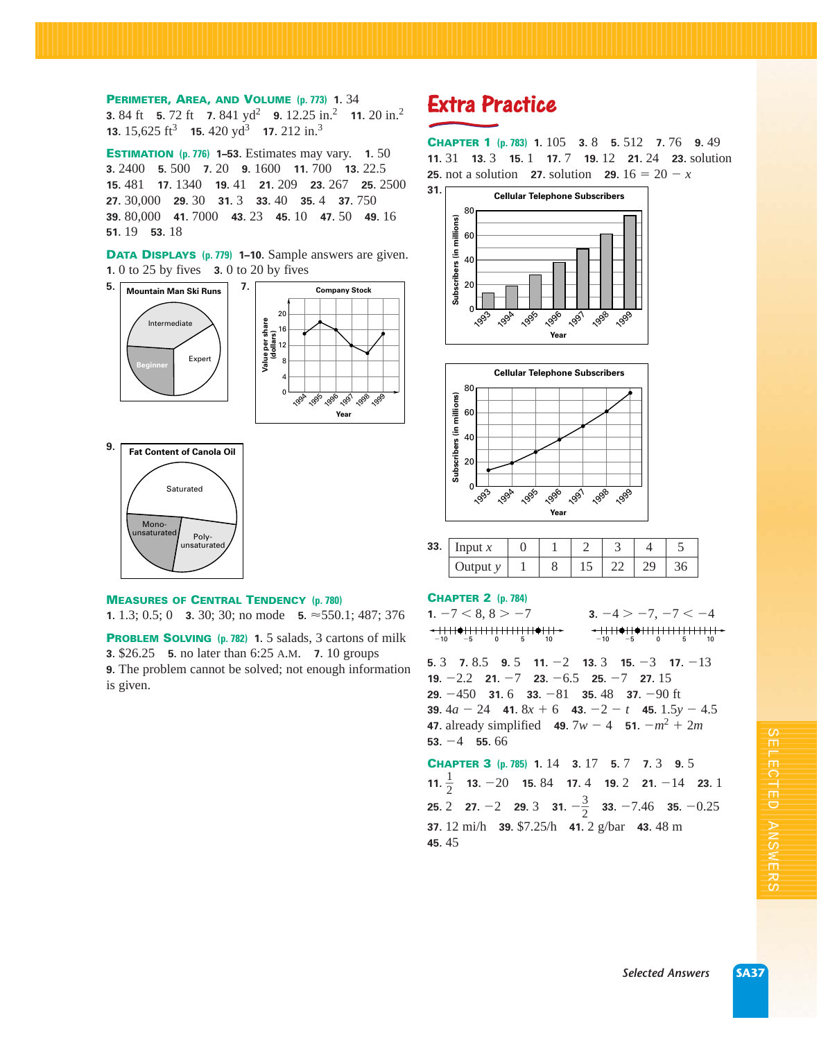**PERIMETER, AREA, AND VOLUME (p. 773) 1.** 34 **3.** 84 ft **5.** 72 ft **7.** 841 yd<sup>2</sup> **9.** 12.25 in.<sup>2</sup> **11.** 20 in.<sup>2</sup> **13.** 15,625 ft<sup>3</sup> **15.** 420 yd<sup>3</sup> **17.** 212 in.<sup>3</sup>

**ESTIMATION (p. 776) 1–53.** Estimates may vary. **1.** 50 **3.** 2400 **5.** 500 **7.** 20 **9.** 1600 **11.** 700 **13.** 22.5 **15.** 481 **17.** 1340 **19.** 41 **21.** 209 **23.** 267 **25.** 2500 **27.** 30,000 **29.** 30 **31.** 3 **33.** 40 **35.** 4 **37.** 750 **39.** 80,000 **41.** 7000 **43.** 23 **45.** 10 **47.** 50 **49.** 16 **51.** 19 **53.** 18

**DATA DISPLAYS (p. 779) 1–10.** Sample answers are given. **1.** 0 to 25 by fives **3.** 0 to 20 by fives







#### **MEASURES OF CENTRAL TENDENCY (p. 780)**

**1.** 1.3; 0.5; 0 **3.** 30; 30; no mode **5.**  $\approx$  550.1; 487; 376

**PROBLEM SOLVING (p. 782) 1.** 5 salads, 3 cartons of milk

**3.** \$26.25 **5.** no later than 6:25 A.M. **7.** 10 groups

**9.** The problem cannot be solved; not enough information is given.

### **Extra Practice**

**CHAPTER 1 (p. 783) 1.** 105 **3.** 8 **5.** 512 **7.** 76 **9.** 49 **11.** 31 **13.** 3 **15.** 1 **17.** 7 **19.** 12 **21.** 24 **23.** solution **25.** not a solution **27.** solution **29.**  $16 = 20 - x$ 





| 33. | Input $x$  |  |  |  |
|-----|------------|--|--|--|
|     | Output $y$ |  |  |  |

#### **CHAPTER 2 (p. 784)**

| 1. $-7 < 8, 8 > -7$<br><b>3.</b> $-4 > -7$ , $-7 < -4$                                                                    |
|---------------------------------------------------------------------------------------------------------------------------|
| <del>╺┼┼┼╡╋┼┼┼┼┼┼┼┼┼┼┼┼╡╋┼┽</del> ╼╴<br><del>╺╶┼┼╎┤╋├╎╋┼┼┼┼┼┼┼┼┼┼┼┼┼┼┾</del> ╼<br>$-10$ $-5$ 0 5 10<br>$-10 -5 0 5$<br>10 |
| <b>5.</b> 3 7. 8.5 <b>9.</b> 5 11. $-2$ 13. 3 15. $-3$ 17. $-13$                                                          |
| 19. $-2.2$ 21. $-7$ 23. $-6.5$ 25. $-7$ 27. 15                                                                            |
| <b>29.</b> $-450$ <b>31.</b> 6 <b>33.</b> $-81$ <b>35.</b> 48 <b>37.</b> $-90$ ft                                         |
| <b>39.</b> $4a - 24$ <b>41.</b> $8x + 6$ <b>43.</b> $-2 - t$ <b>45.</b> $1.5y - 4.5$                                      |
| <b>47.</b> already simplified <b>49.</b> $7w - 4$ <b>51.</b> $-m^2 + 2m$                                                  |
| 53. $-4$ 55. 66                                                                                                           |
| <b>CHAPTER 3</b> (p. 785) 1. 14 3. 17 5. 7 7. 3 9. 5                                                                      |
| $1.1.2.20 \pm 0.4.1.12.2.1$                                                                                               |

**11.**  $\frac{1}{2}$ 2 - **13.** 20 **15.** 84 **17.** 4 **19.** 2 **21.** 14 **23.** 1 **25.** 2 **27.** -2 **29.** 3 **31.**  $-\frac{3}{2}$ 2 -**33.**  $-7.46$  **35.**  $-0.25$ **37.** 12 mi/h **39.** \$7.25/h **41.** 2 g/bar **43.** 48 m **45.** 45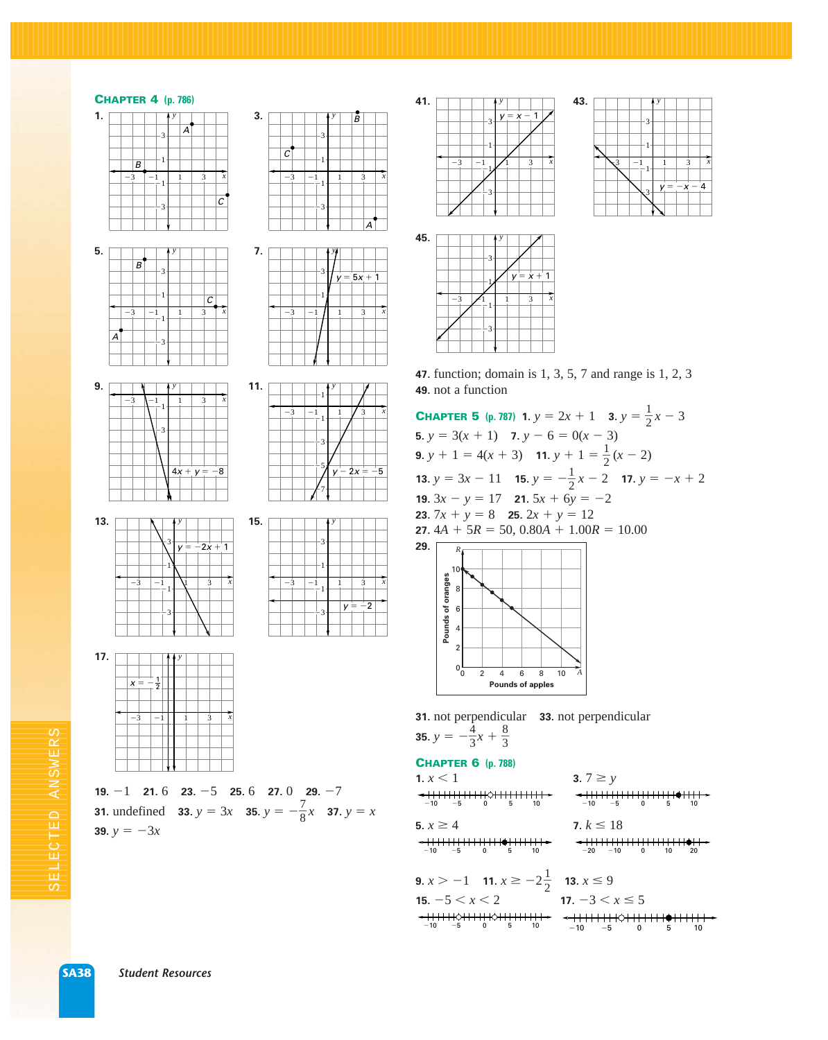#### **CHAPTER 4** (p. 786)







| 7. |     |   |  |              |   |
|----|-----|---|--|--------------|---|
|    |     |   |  |              |   |
|    |     | 3 |  | $y = 5x + 1$ |   |
|    |     |   |  |              |   |
|    |     |   |  |              |   |
|    | - 2 |   |  |              | x |
|    |     |   |  |              |   |
|    |     |   |  |              |   |
|    |     |   |  |              |   |
|    |     |   |  |              |   |







| 15. |      |  |      | $\overline{y}$ |                     |   |
|-----|------|--|------|----------------|---------------------|---|
|     |      |  | $-3$ |                |                     |   |
|     |      |  |      |                |                     |   |
|     | $-3$ |  |      |                | 3                   | х |
|     |      |  | $-3$ |                | $\overline{v} = -2$ |   |
|     |      |  |      |                |                     |   |



**19.**  $-1$  **21.** 6 **23.**  $-5$  **25.** 6 **27.** 0 **29.**  $-7$ **31.** undefined **33.**  $y = 3x$  **35.**  $y = -\frac{7}{8}x$  **37.**  $y = x$ **39.**  $y = -3x$ 







47. function; domain is  $1, 3, 5, 7$  and range is  $1, 2, 3$ 49. not a function

**CHAPTER 5** (p. 787) 1.  $y = 2x + 1$  3.  $y = \frac{1}{2}x - 3$ 5.  $y = 3(x + 1)$  7.  $y - 6 = 0(x - 3)$ <br>
9.  $y + 1 = 4(x + 3)$  11.  $y + 1 = \frac{1}{2}(x - 2)$ **13.**  $y = 3x - 11$  **15.**  $y = -\frac{1}{2}x - 2$  **17.**  $y = -x + 2$ <br>**19.**  $3x - y = 17$  **21.**  $5x + 6y = -2$ **23.**  $7x + y = 8$  **25.**  $2x + y = 12$ **27.**  $4A + 5R = 50$ ,  $0.80A + 1.00R = 10.00$ 29.





#### **CHAPTER 6 (p. 788)**

| 1. $x < 1$                                                               | <b>3.</b> $7 \ge y$                                           |
|--------------------------------------------------------------------------|---------------------------------------------------------------|
| $-10$ $-5$ 0 5<br>10                                                     | $-10 -5 0 5$<br>10                                            |
| 5. $x \ge 4$                                                             | 7. $k \leq 18$                                                |
| <del>←┼┼┼┼┼┼┼┼┼┼╎╎</del> ●┾<br>$-10 -5 0 5$<br>10                        | $-20 -10 0$<br>10<br>20                                       |
| <b>9.</b> $x > -1$ <b>11.</b> $x \ge -2\frac{1}{2}$ <b>13.</b> $x \le 9$ |                                                               |
| 15. $-5 < x < 2$                                                         | 17. $-3 < x \le 5$                                            |
| <del>:::::::::::::::::::::::::::::::</del><br>$-10 -5 0 5$<br>10         | <del>hhi 10 Mil</del><br>$-5$<br>$-10$<br>5<br>10<br>$\Omega$ |

**SA38**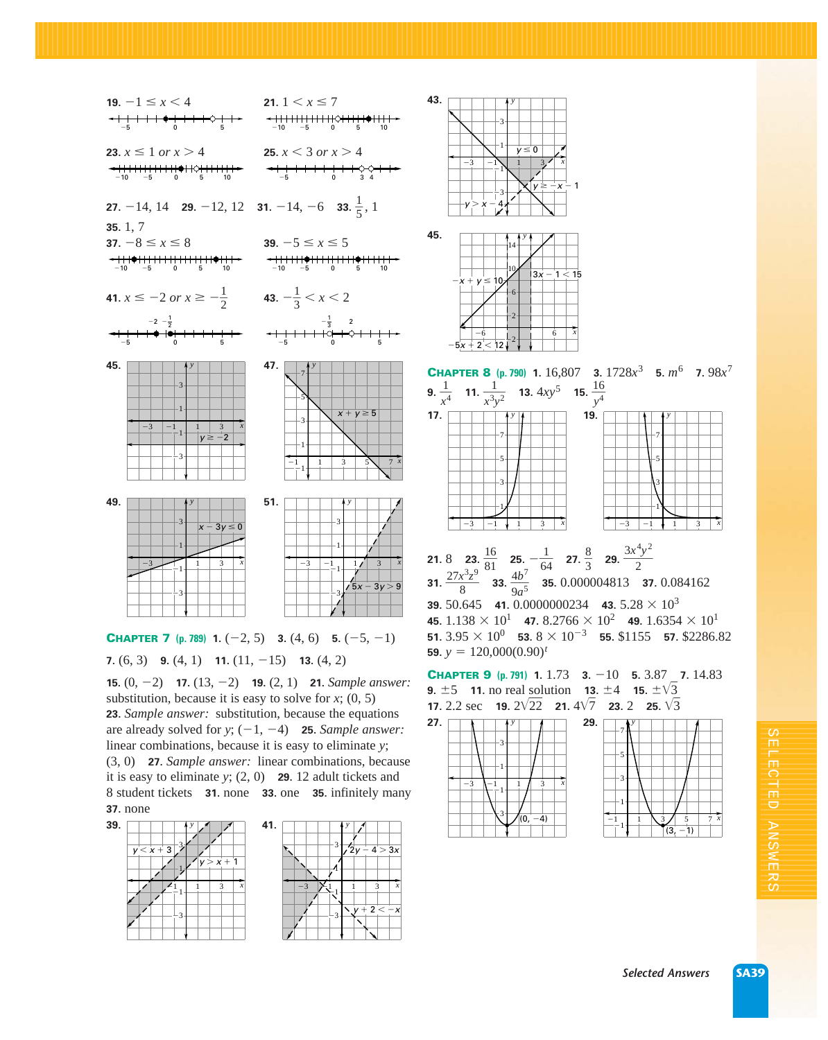

#### **CHAPTER 7** (p. 789) 1.  $(-2, 5)$  3.  $(4, 6)$  5.  $(-5, -1)$

7.  $(6, 3)$  9.  $(4, 1)$  11.  $(11, -15)$  13.  $(4, 2)$ 

**15.**  $(0, -2)$  **17.**  $(13, -2)$  **19.**  $(2, 1)$  **21.** Sample answer: substitution, because it is easy to solve for x;  $(0, 5)$ 23. Sample answer: substitution, because the equations are already solved for y;  $(-1, -4)$  **25**. Sample answer: linear combinations, because it is easy to eliminate  $y$ ;  $(3, 0)$  **27.** Sample answer: linear combinations, because it is easy to eliminate y;  $(2, 0)$  **29**. 12 adult tickets and 8 student tickets 31. none 33. one 35. infinitely many **37.** none









**CHAPTER 8** (p. 790) 1. 16,807 3. 1728 $x^3$  5.  $m^6$  7. 98 $x^7$ 11.  $rac{1}{x^3y^2}$ **13.**  $4xy^5$  **15.**  $\frac{16}{y^4}$ 



**21.** 8 **23.**  $rac{16}{81}$  **25.**  $-\frac{1}{64}$  **27.**  $rac{8}{3}$  **29.**  $rac{3x^4y^2}{2}$ 31.  $\frac{27x^3z^9}{8}$  33.  $\frac{4b^7}{9a^5}$  35. 0.000004813 37. 0.084162 **39.** 50.645 **41.** 0.0000000234 **43.** 5.28  $\times$  10<sup>3</sup> 45.  $1.138 \times 10^1$  47.  $8.2766 \times 10^2$  49.  $1.6354 \times 10^1$ 51.  $3.95 \times 10^{0}$  53.  $8 \times 10^{-3}$  55. \$1155 57. \$2286.82 59.  $y = 120,000(0.90)^t$ 

**CHAPTER 9** (p. 791) 1. 1.73 3. -10 5. 3.87 7. 14.83 **9.**  $\pm 5$  **11.** no real solution **13.**  $\pm 4$  **15.**  $\pm \sqrt{3}$ **17.** 2.2 sec **19.**  $2\sqrt{22}$  **21.**  $4\sqrt{7}$  **23.** 2 **25.**  $\sqrt{3}$